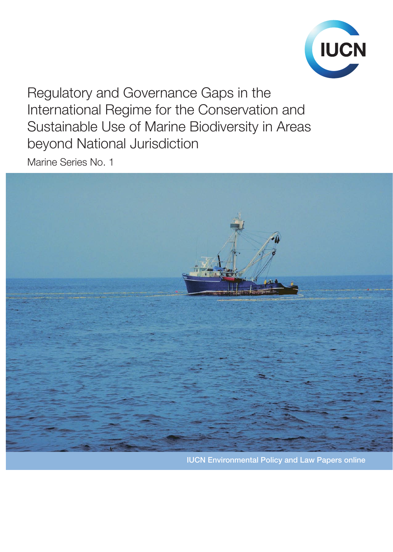

Regulatory and Governance Gaps in the International Regime for the Conservation and Sustainable Use of Marine Biodiversity in Areas beyond National Jurisdiction

Marine Series No. 1

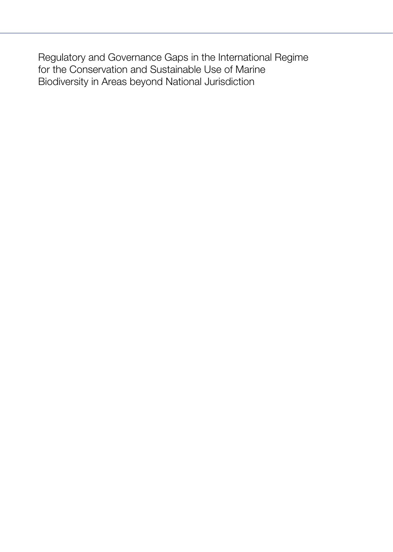Regulatory and Governance Gaps in the International Regime for the Conservation and Sustainable Use of Marine Biodiversity in Areas beyond National Jurisdiction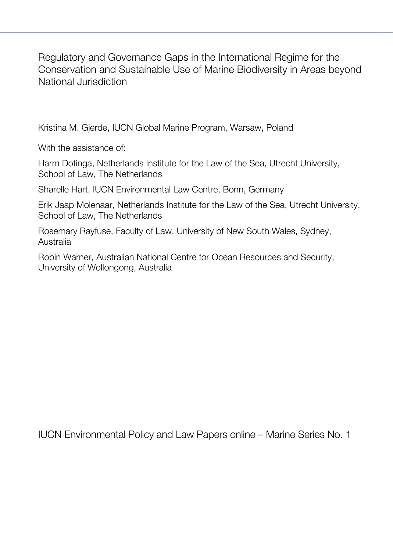Regulatory and Governance Gaps in the International Regime for the Conservation and Sustainable Use of Marine Biodiversity in Areas beyond National Jurisdiction

Kristina M. Gjerde, IUCN Global Marine Program, Warsaw, Poland

With the assistance of:

Harm Dotinga, Netherlands Institute for the Law of the Sea, Utrecht University, School of Law, The Netherlands

Sharelle Hart, IUCN Environmental Law Centre, Bonn, Germany

Erik Jaap Molenaar, Netherlands Institute for the Law of the Sea, Utrecht University, School of Law, The Netherlands

Rosemary Rayfuse, Faculty of Law, University of New South Wales, Sydney, Australia

Robin Warner, Australian National Centre for Ocean Resources and Security, University of Wollongong, Australia

IUCN Environmental Policy and Law Papers online – Marine Series No. 1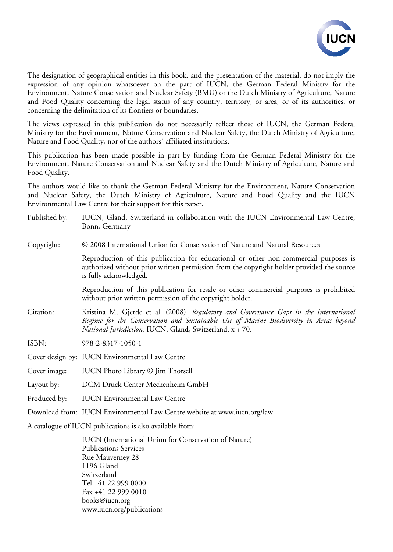

The designation of geographical entities in this book, and the presentation of the material, do not imply the expression of any opinion whatsoever on the part of IUCN, the German Federal Ministry for the Environment, Nature Conservation and Nuclear Safety (BMU) or the Dutch Ministry of Agriculture, Nature and Food Quality concerning the legal status of any country, territory, or area, or of its authorities, or concerning the delimitation of its frontiers or boundaries.

The views expressed in this publication do not necessarily reflect those of IUCN, the German Federal Ministry for the Environment, Nature Conservation and Nuclear Safety, the Dutch Ministry of Agriculture, Nature and Food Quality, nor of the authors´ affiliated institutions.

This publication has been made possible in part by funding from the German Federal Ministry for the Environment, Nature Conservation and Nuclear Safety and the Dutch Ministry of Agriculture, Nature and Food Quality.

The authors would like to thank the German Federal Ministry for the Environment, Nature Conservation and Nuclear Safety, the Dutch Ministry of Agriculture, Nature and Food Quality and the IUCN Environmental Law Centre for their support for this paper.

| Published by: | IUCN, Gland, Switzerland in collaboration with the IUCN Environmental Law Centre,<br>Bonn, Germany                                                                                                                                                 |
|---------------|----------------------------------------------------------------------------------------------------------------------------------------------------------------------------------------------------------------------------------------------------|
| Copyright:    | © 2008 International Union for Conservation of Nature and Natural Resources                                                                                                                                                                        |
|               | Reproduction of this publication for educational or other non-commercial purposes is<br>authorized without prior written permission from the copyright holder provided the source<br>is fully acknowledged.                                        |
|               | Reproduction of this publication for resale or other commercial purposes is prohibited<br>without prior written permission of the copyright holder.                                                                                                |
| Citation:     | Kristina M. Gjerde et al. (2008). Regulatory and Governance Gaps in the International<br>Regime for the Conservation and Sustainable Use of Marine Biodiversity in Areas beyond<br><i>National Jurisdiction.</i> IUCN, Gland, Switzerland. x + 70. |
| ISBN:         | 978-2-8317-1050-1                                                                                                                                                                                                                                  |
|               | Cover design by: IUCN Environmental Law Centre                                                                                                                                                                                                     |
| Cover image:  | IUCN Photo Library © Jim Thorsell                                                                                                                                                                                                                  |
| Layout by:    | DCM Druck Center Meckenheim GmbH                                                                                                                                                                                                                   |
| Produced by:  | <b>IUCN</b> Environmental Law Centre                                                                                                                                                                                                               |
|               | Download from: IUCN Environmental Law Centre website at www.iucn.org/law                                                                                                                                                                           |
|               | A catalogue of IUCN publications is also available from:                                                                                                                                                                                           |

IUCN (International Union for Conservation of Nature) Publications Services Rue Mauverney 28 1196 Gland Switzerland Tel +41 22 999 0000 Fax +41 22 999 0010 books@iucn.org www.iucn.org/publications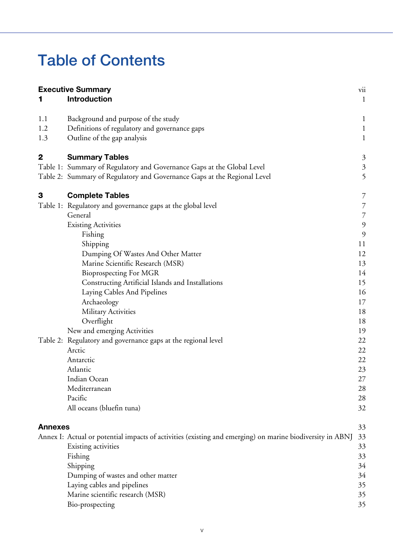### **Table of Contents**

|                | <b>Executive Summary</b><br><b>Introduction</b>                                                           | vii<br>$\mathbf{1}$ |
|----------------|-----------------------------------------------------------------------------------------------------------|---------------------|
| 1.1            | Background and purpose of the study                                                                       | $\mathbf{1}$        |
| 1.2            | Definitions of regulatory and governance gaps                                                             | $\mathbf{1}$        |
| 1.3            | Outline of the gap analysis                                                                               | $\mathbf{1}$        |
| 2              | <b>Summary Tables</b>                                                                                     | $\mathfrak{Z}$      |
|                | Table 1: Summary of Regulatory and Governance Gaps at the Global Level                                    | $\mathfrak{Z}$      |
|                | Table 2: Summary of Regulatory and Governance Gaps at the Regional Level                                  | 5                   |
| 3              | <b>Complete Tables</b>                                                                                    | 7                   |
|                | Table 1: Regulatory and governance gaps at the global level                                               | $\overline{7}$      |
|                | General                                                                                                   | $\overline{7}$      |
|                | <b>Existing Activities</b>                                                                                | $\mathfrak{g}$      |
|                | Fishing                                                                                                   | 9                   |
|                | Shipping                                                                                                  | 11                  |
|                | Dumping Of Wastes And Other Matter                                                                        | 12                  |
|                | Marine Scientific Research (MSR)                                                                          | 13                  |
|                | <b>Bioprospecting For MGR</b>                                                                             | 14                  |
|                | Constructing Artificial Islands and Installations                                                         | 15                  |
|                | Laying Cables And Pipelines                                                                               | 16                  |
|                | Archaeology                                                                                               | 17                  |
|                | <b>Military Activities</b>                                                                                | 18                  |
|                | Overflight                                                                                                | 18                  |
|                | New and emerging Activities                                                                               | 19                  |
|                | Table 2: Regulatory and governance gaps at the regional level                                             | 22                  |
|                | Arctic                                                                                                    | 22                  |
|                | Antarctic                                                                                                 | 22                  |
|                | Atlantic<br>Indian Ocean                                                                                  | 23                  |
|                | Mediterranean                                                                                             | 27<br>28            |
|                | Pacific                                                                                                   | 28                  |
|                | All oceans (bluefin tuna)                                                                                 | 32                  |
|                |                                                                                                           |                     |
| <b>Annexes</b> |                                                                                                           | 33                  |
|                | Annex I: Actual or potential impacts of activities (existing and emerging) on marine biodiversity in ABNJ | 33                  |
|                | Existing activities                                                                                       | 33                  |
|                | Fishing                                                                                                   | 33                  |
|                | Shipping                                                                                                  | 34                  |
|                | Dumping of wastes and other matter                                                                        | 34                  |
|                | Laying cables and pipelines                                                                               | 35                  |
|                | Marine scientific research (MSR)                                                                          | 35                  |
|                | Bio-prospecting                                                                                           | 35                  |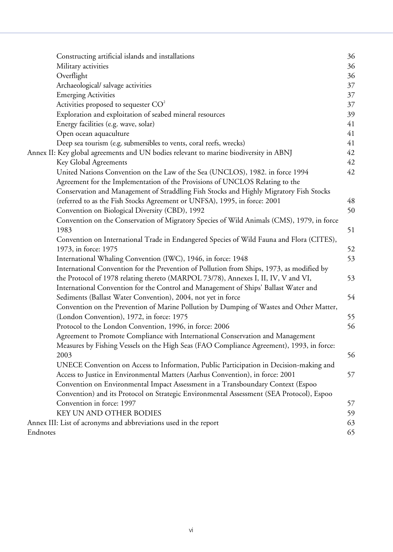|          | Constructing artificial islands and installations                                         | 36 |  |  |  |  |  |  |
|----------|-------------------------------------------------------------------------------------------|----|--|--|--|--|--|--|
|          | Military activities                                                                       | 36 |  |  |  |  |  |  |
|          | Overflight                                                                                | 36 |  |  |  |  |  |  |
|          | Archaeological/ salvage activities                                                        | 37 |  |  |  |  |  |  |
|          | <b>Emerging Activities</b>                                                                | 37 |  |  |  |  |  |  |
|          | Activities proposed to sequester $CO2$                                                    | 37 |  |  |  |  |  |  |
|          | Exploration and exploitation of seabed mineral resources                                  | 39 |  |  |  |  |  |  |
|          | Energy facilities (e.g. wave, solar)                                                      | 41 |  |  |  |  |  |  |
|          | Open ocean aquaculture                                                                    | 41 |  |  |  |  |  |  |
|          | Deep sea tourism (e.g. submersibles to vents, coral reefs, wrecks)                        | 41 |  |  |  |  |  |  |
|          | Annex II: Key global agreements and UN bodies relevant to marine biodiversity in ABNJ     | 42 |  |  |  |  |  |  |
|          | Key Global Agreements                                                                     | 42 |  |  |  |  |  |  |
|          | United Nations Convention on the Law of the Sea (UNCLOS), 1982. in force 1994             | 42 |  |  |  |  |  |  |
|          | Agreement for the Implementation of the Provisions of UNCLOS Relating to the              |    |  |  |  |  |  |  |
|          | Conservation and Management of Straddling Fish Stocks and Highly Migratory Fish Stocks    |    |  |  |  |  |  |  |
|          | (referred to as the Fish Stocks Agreement or UNFSA), 1995, in force: 2001                 | 48 |  |  |  |  |  |  |
|          | Convention on Biological Diversity (CBD), 1992                                            | 50 |  |  |  |  |  |  |
|          | Convention on the Conservation of Migratory Species of Wild Animals (CMS), 1979, in force |    |  |  |  |  |  |  |
|          | 1983                                                                                      | 51 |  |  |  |  |  |  |
|          | Convention on International Trade in Endangered Species of Wild Fauna and Flora (CITES),  |    |  |  |  |  |  |  |
|          | 1973, in force: 1975                                                                      | 52 |  |  |  |  |  |  |
|          | International Whaling Convention (IWC), 1946, in force: 1948                              | 53 |  |  |  |  |  |  |
|          | International Convention for the Prevention of Pollution from Ships, 1973, as modified by |    |  |  |  |  |  |  |
|          | the Protocol of 1978 relating thereto (MARPOL 73/78), Annexes I, II, IV, V and VI,        | 53 |  |  |  |  |  |  |
|          | International Convention for the Control and Management of Ships' Ballast Water and       |    |  |  |  |  |  |  |
|          | Sediments (Ballast Water Convention), 2004, not yet in force                              | 54 |  |  |  |  |  |  |
|          | Convention on the Prevention of Marine Pollution by Dumping of Wastes and Other Matter,   |    |  |  |  |  |  |  |
|          | (London Convention), 1972, in force: 1975                                                 | 55 |  |  |  |  |  |  |
|          | Protocol to the London Convention, 1996, in force: 2006                                   | 56 |  |  |  |  |  |  |
|          | Agreement to Promote Compliance with International Conservation and Management            |    |  |  |  |  |  |  |
|          | Measures by Fishing Vessels on the High Seas (FAO Compliance Agreement), 1993, in force:  |    |  |  |  |  |  |  |
|          | 2003                                                                                      | 56 |  |  |  |  |  |  |
|          | UNECE Convention on Access to Information, Public Participation in Decision-making and    |    |  |  |  |  |  |  |
|          | Access to Justice in Environmental Matters (Aarhus Convention), in force: 2001            | 57 |  |  |  |  |  |  |
|          | Convention on Environmental Impact Assessment in a Transboundary Context (Espoo           |    |  |  |  |  |  |  |
|          | Convention) and its Protocol on Strategic Environmental Assessment (SEA Protocol), Espoo  |    |  |  |  |  |  |  |
|          | Convention in force: 1997                                                                 |    |  |  |  |  |  |  |
|          | KEY UN AND OTHER BODIES                                                                   | 59 |  |  |  |  |  |  |
|          | Annex III: List of acronyms and abbreviations used in the report                          | 63 |  |  |  |  |  |  |
| Endnotes |                                                                                           | 65 |  |  |  |  |  |  |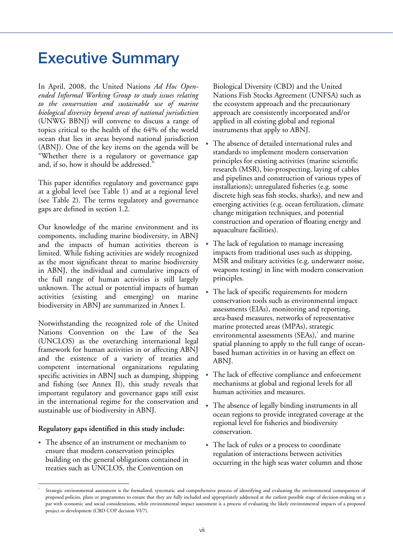### **Executive Summary**

In April, 2008, the United Nations *Ad Hoc Openended Informal Working Group to study issues relating to the conservation and sustainable use of marine biological diversity beyond areas of national jurisdiction* (UNWG BBNJ) will convene to discuss a range of topics critical to the health of the 64% of the world ocean that lies in areas beyond national jurisdiction (ABNJ). One of the key items on the agenda will be "Whether there is a regulatory or governance gap and, if so, how it should be addressed."

This paper identifies regulatory and governance gaps at a global level (see Table 1) and at a regional level (see Table 2). The terms regulatory and governance gaps are defined in section 1.2.

Our knowledge of the marine environment and its components, including marine biodiversity, in ABNJ and the impacts of human activities thereon is limited. While fishing activities are widely recognized as the most significant threat to marine biodiversity in ABNJ, the individual and cumulative impacts of the full range of human activities is still largely unknown. The actual or potential impacts of human activities (existing and emerging) on marine biodiversity in ABNJ are summarized in Annex I.

Notwithstanding the recognized role of the United Nations Convention on the Law of the Sea (UNCLOS) as the overarching international legal framework for human activities in or affecting ABNJ and the existence of a variety of treaties and competent international organizations regulating specific activities in ABNJ such as dumping, shipping and fishing (see Annex II), this study reveals that important regulatory and governance gaps still exist in the international regime for the conservation and sustainable use of biodiversity in ABNJ.

### **Regulatory gaps identified in this study include:**

• The absence of an instrument or mechanism to ensure that modern conservation principles building on the general obligations contained in treaties such as UNCLOS, the Convention on

Biological Diversity (CBD) and the United Nations Fish Stocks Agreement (UNFSA) such as the ecosystem approach and the precautionary approach are consistently incorporated and/or applied in all existing global and regional instruments that apply to ABNJ.

- The absence of detailed international rules and standards to implement modern conservation principles for existing activities (marine scientific research (MSR), bio-prospecting, laying of cables and pipelines and construction of various types of installations); unregulated fisheries (e.g. some discrete high seas fish stocks, sharks), and new and emerging activities (e.g. ocean fertilization, climate change mitigation techniques, and potential construction and operation of floating energy and aquaculture facilities).
- The lack of regulation to manage increasing impacts from traditional uses such as shipping, MSR and military activities (e.g. underwater noise, weapons testing) in line with modern conservation principles.
- The lack of specific requirements for modern conservation tools such as environmental impact assessments (EIAs), monitoring and reporting, area-based measures, networks of representative marine protected areas (MPAs), strategic environmental assessments  $(SEAs)$ , and marine spatial planning to apply to the full range of oceanbased human activities in or having an effect on ABNJ.
- The lack of effective compliance and enforcement mechanisms at global and regional levels for all human activities and measures.
- The absence of legally binding instruments in all ocean regions to provide integrated coverage at the regional level for fisheries and biodiversity conservation.
- The lack of rules or a process to coordinate regulation of interactions between activities occurring in the high seas water column and those

<sup>1</sup> Strategic environmental assessment is the formalized, systematic and comprehensive process of identifying and evaluating the environmental consequences of proposed policies, plans or programmes to ensure that they are fully included and appropriately addressed at the earliest possible stage of decision-making on a par with economic and social considerations, while environmental impact assessment is a process of evaluating the likely environmental impacts of a proposed project or development (CBD COP decision VI/7).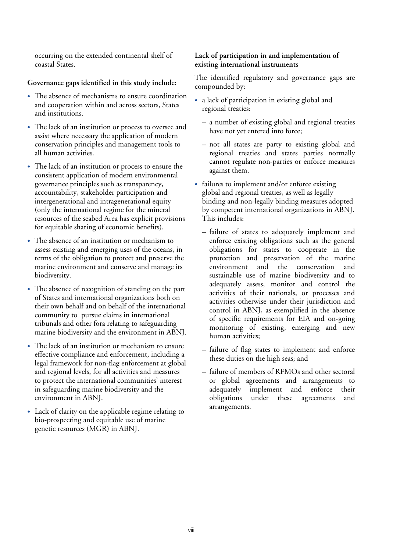occurring on the extended continental shelf of coastal States.

### **Governance gaps identified in this study include:**

- The absence of mechanisms to ensure coordination and cooperation within and across sectors, States and institutions.
- The lack of an institution or process to oversee and assist where necessary the application of modern conservation principles and management tools to all human activities.
- The lack of an institution or process to ensure the consistent application of modern environmental governance principles such as transparency, accountability, stakeholder participation and intergenerational and intragenerational equity (only the international regime for the mineral resources of the seabed Area has explicit provisions for equitable sharing of economic benefits).
- The absence of an institution or mechanism to assess existing and emerging uses of the oceans, in terms of the obligation to protect and preserve the marine environment and conserve and manage its biodiversity.
- The absence of recognition of standing on the part of States and international organizations both on their own behalf and on behalf of the international community to pursue claims in international tribunals and other fora relating to safeguarding marine biodiversity and the environment in ABNJ.
- The lack of an institution or mechanism to ensure effective compliance and enforcement, including a legal framework for non-flag enforcement at global and regional levels, for all activities and measures to protect the international communities' interest in safeguarding marine biodiversity and the environment in ABNJ.
- Lack of clarity on the applicable regime relating to bio-prospecting and equitable use of marine genetic resources (MGR) in ABNJ.

### **Lack of participation in and implementation of existing international instruments**

The identified regulatory and governance gaps are compounded by:

- a lack of participation in existing global and regional treaties:
	- a number of existing global and regional treaties have not yet entered into force;
	- not all states are party to existing global and regional treaties and states parties normally cannot regulate non-parties or enforce measures against them.
- failures to implement and/or enforce existing global and regional treaties, as well as legally binding and non-legally binding measures adopted by competent international organizations in ABNJ. This includes:
	- failure of states to adequately implement and enforce existing obligations such as the general obligations for states to cooperate in the protection and preservation of the marine environment and the conservation and sustainable use of marine biodiversity and to adequately assess, monitor and control the activities of their nationals, or processes and activities otherwise under their jurisdiction and control in ABNJ, as exemplified in the absence of specific requirements for EIA and on-going monitoring of existing, emerging and new human activities;
	- failure of flag states to implement and enforce these duties on the high seas; and
	- failure of members of RFMOs and other sectoral or global agreements and arrangements to adequately implement and enforce their<br>obligations under these agreements and under these agreements and arrangements.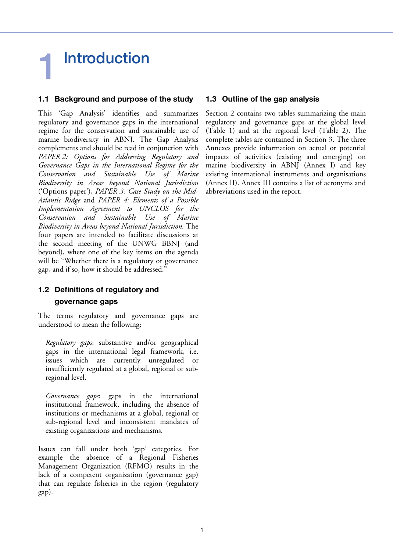## **1 Introduction**

### **1.1 Background and purpose of the study**

This 'Gap Analysis' identifies and summarizes regulatory and governance gaps in the international regime for the conservation and sustainable use of marine biodiversity in ABNJ. The Gap Analysis complements and should be read in conjunction with *PAPER 2: Options for Addressing Regulatory and Governance Gaps in the International Regime for the Conservation and Sustainable Use of Marine Biodiversity in Areas beyond National Jurisdiction*  ('Options paper'), *PAPER 3: Case Study on the Mid-Atlantic Ridge* and *PAPER 4: Elements of a Possible Implementation Agreement to UNCLOS for the Conservation and Sustainable Use of Marine Biodiversity in Areas beyond National Jurisdiction.* The four papers are intended to facilitate discussions at the second meeting of the UNWG BBNJ (and beyond), where one of the key items on the agenda will be "Whether there is a regulatory or governance gap, and if so, how it should be addressed."

### **1.2 Definitions of regulatory and governance gaps**

The terms regulatory and governance gaps are understood to mean the following:

*Regulatory gaps*: substantive and/or geographical gaps in the international legal framework, i.e. issues which are currently unregulated or insufficiently regulated at a global, regional or subregional level.

*Governance gaps*: gaps in the international institutional framework, including the absence of institutions or mechanisms at a global, regional or sub-regional level and inconsistent mandates of existing organizations and mechanisms.

Issues can fall under both 'gap' categories. For example the absence of a Regional Fisheries Management Organization (RFMO) results in the lack of a competent organization (governance gap) that can regulate fisheries in the region (regulatory gap).

### **1.3 Outline of the gap analysis**

Section 2 contains two tables summarizing the main regulatory and governance gaps at the global level (Table 1) and at the regional level (Table 2). The complete tables are contained in Section 3. The three Annexes provide information on actual or potential impacts of activities (existing and emerging) on marine biodiversity in ABNJ (Annex I) and key existing international instruments and organisations (Annex II). Annex III contains a list of acronyms and abbreviations used in the report.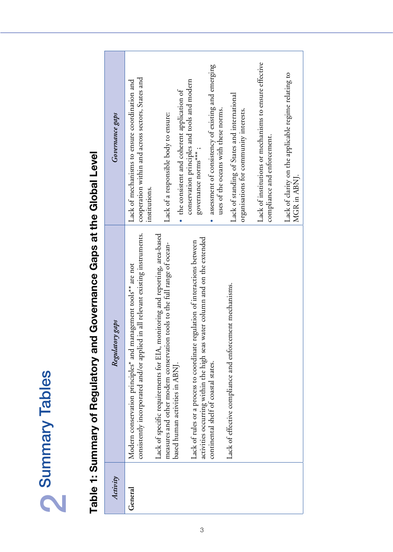| <u>(</u> )<br>$\mathbf{f}$ |
|----------------------------|
| ٢<br><b>RUI</b>            |
| $\overline{\mathbf{C}}$    |
|                            |

# **Table 1: Summary of Regulatory and Governance Gaps at the Global Level**  Table 1: Summary of Regulatory and Governance Gaps at the Global Level

| Governance gaps | Lack of institutions or mechanisms to ensure effective<br>assessment of consistency of existing and emerging<br>Lack of clarity on the applicable regime relating to<br>cooperation within and across sectors, States and<br>conservation principles and tools and modern<br>Lack of mechanisms to ensure coordination and<br>• the consistent and coherent application of<br>Lack of standing of States and international<br>uses of the oceans with these norms.<br>organisations for community interests.<br>Lack of a responsible body to ensure:<br>compliance and enforcement.<br>governance norms***;<br>MGR in ABNJ.<br>institutions. |
|-----------------|-----------------------------------------------------------------------------------------------------------------------------------------------------------------------------------------------------------------------------------------------------------------------------------------------------------------------------------------------------------------------------------------------------------------------------------------------------------------------------------------------------------------------------------------------------------------------------------------------------------------------------------------------|
| Regulatory gaps | in all relevant existing instruments.<br>onitoring and reporting, area-based<br>water column and on the extended<br>Lack of rules or a process to coordinate regulation of interactions between<br>measures and other modern conservation tools to the full range of ocean-<br>Modern conservation principles* and management tools** are not<br>Lack of effective compliance and enforcement mechanisms.<br>consistently incorporated and/or applied<br>Lack of specific requirements for EIA, m<br>activities occurring within the high seas<br>continental shelf of coastal states.<br>based human activities in ABNJ.                     |
| Activity        | General                                                                                                                                                                                                                                                                                                                                                                                                                                                                                                                                                                                                                                       |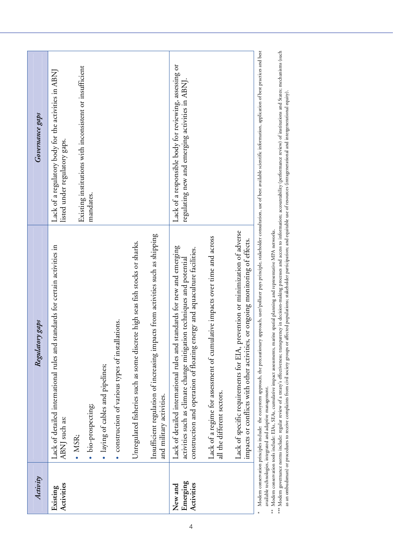| Activity                          | Regulatory gaps                                                                                                                                                                                                               | Governance gaps                                                                                                                                        |
|-----------------------------------|-------------------------------------------------------------------------------------------------------------------------------------------------------------------------------------------------------------------------------|--------------------------------------------------------------------------------------------------------------------------------------------------------|
| Activities<br>Existing            | Lack of detailed international rules and standards for certain activities in<br>ABNJ such as:                                                                                                                                 | Lack of a regulatory body for the activities in ABNJ<br>listed under regulatory gaps.                                                                  |
|                                   | · MSR;                                                                                                                                                                                                                        | Existing institutions with inconsistent or insufficient                                                                                                |
|                                   | · bio-prospecting;                                                                                                                                                                                                            | mandates.                                                                                                                                              |
|                                   | · laying of cables and pipelines;                                                                                                                                                                                             |                                                                                                                                                        |
|                                   | · construction of various types of installations.                                                                                                                                                                             |                                                                                                                                                        |
|                                   | Unregulated fisheries such as some discrete high seas fish stocks or sharks.                                                                                                                                                  |                                                                                                                                                        |
|                                   | Insufficient regulation of increasing impacts from activities such as shipping<br>and military activities.                                                                                                                    |                                                                                                                                                        |
| Emerging<br>Activities<br>New and | Lack of detailed international rules and standards for new and emerging<br>construction and operation of floating energy and aquaculture facilities.<br>activities such as climate change mitigation techniques and potential | Lack of a responsible body for reviewing, assessing or<br>regulating new and emerging activities in ABNJ.                                              |
|                                   | Lack of a regime for assessment of cumulative impacts over time and across<br>all the different sectors.                                                                                                                      |                                                                                                                                                        |
|                                   | Lack of specific requirements for EIA, prevention or minimization of adverse<br>or ongoing monitoring of effects.<br>impacts or conflicts with other activities,                                                              |                                                                                                                                                        |
|                                   | Modern conservation principles include: the ecosystem approach, the precautionary                                                                                                                                             | approach, user/polluter pays principle, stakeholder consultation, use of best available scientific information, application of best practices and best |

available technologies, integrated and adaptive management.<br>\*\* Modern conservation tools include: EIAs, SEAs, cumulative impact assessments, marine spatial planning and representative MPA networks. \*\* Modern conservation tools include: EIAs, SEAs, cumulative impact assessments, marine spatial planning and representative MPA networks. available technologies, integrated and adaptive management.

\*\*\* Modern governance norms include: regular review of a treary's effectiveness; transparency in decision-making processes and access to information; accountability (performance review) of institutions and States; mechanis \*\*\* Modern governance norms include: regular review of a treaty's effectiveness; transparency in decision-making processes and access to information; accountability (performance review) of institutions and States; mechanis as an ombudsman) or procedures to receive complaints from civil society groups or affected populations; stakeholder participation; and equitable use of resources (intragenerational and intergenerational equity).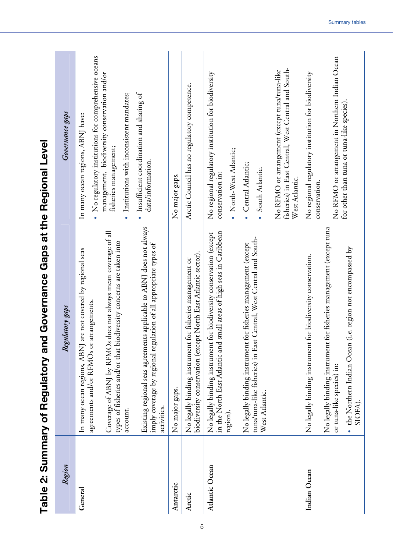| Region         | Regulatory gaps                                                                                                                                                                                                                                                                                                                          | Governance gaps                                                                                                                                                                                                                                                                |
|----------------|------------------------------------------------------------------------------------------------------------------------------------------------------------------------------------------------------------------------------------------------------------------------------------------------------------------------------------------|--------------------------------------------------------------------------------------------------------------------------------------------------------------------------------------------------------------------------------------------------------------------------------|
| General        | applicable to ABNJ does not always<br>Coverage of ABNJ by RFMOs does not always mean coverage of all<br>types of fisheries and/or that biodiversity concerns are taken into<br>In many ocean regions, ABNJ are not covered by regional seas<br>agreements and/or RFMOs or arrangements.<br>Existing regional seas agreements<br>account. | No regulatory institutions for comprehensive oceans<br>management, biodiversity conservation and/or<br>Insufficient coordination and sharing of<br>Institutions with inconsistent mandates;<br>In many ocean regions, ABNJ have:<br>fisheries management;<br>data/information. |
| Antarctic      | imply coverage by regional regulation of all appropriate types of<br>No major gaps.<br>activities.                                                                                                                                                                                                                                       | No major gaps.                                                                                                                                                                                                                                                                 |
| Arctic         | biodiversity conservation (except North East Atlantic sector).<br>No legally binding instrument for fisheries management or                                                                                                                                                                                                              | Arctic Council has no regulatory competence.                                                                                                                                                                                                                                   |
| Atlantic Ocean | in the North East Atlantic and small areas of high seas in Caribbean<br>No legally binding instrument for biodiversity conservation (except<br>region).                                                                                                                                                                                  | No regional regulatory institution for biodiversity<br>North-West Atlantic;<br>conservation in:                                                                                                                                                                                |
|                | tuna/tuna-like fisheries) in East Central, West Central and South-<br>No legally binding instrument for fisheries management (except<br>West Atlantic.                                                                                                                                                                                   | fisheries) in East Central, West Central and South-<br>No RFMO or arrangement (except tuna/tuna-like<br>Central Atlantic;<br>South Atlantic.<br>West Atlantic.                                                                                                                 |
| Indian Ocean   | No legally binding instrument for fisheries management (except tuna<br>• the Northern Indian Ocean (i.e. region not encompassed by<br>No legally binding instrument for biodiversity conservation.<br>or tuna-like species) in:<br>SIOFA).                                                                                               | No RFMO or arrangement in Northern Indian Ocean<br>No regional regulatory institution for biodiversity<br>for other than tuna or tuna-like species).<br>conservation.                                                                                                          |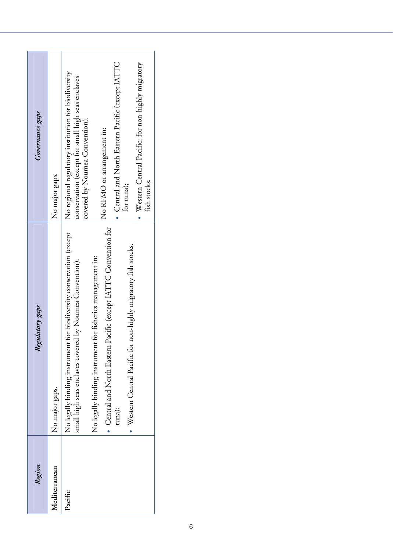| Western Central Pacific: for non-highly migratory<br>No regional regulatory institution for biodiversity<br>conservation (except for small high seas enclaves<br>covered by Noumea Convention).<br>No RFMO or arrangement in:<br>fish stocks.<br>for tuna);<br>Central and North Eastern Pacific (except IATTC Convention for<br>for biodiversity conservation (except<br>Western Central Pacific for non-highly migratory fish stocks.<br>for fisheries management in:<br>small high seas enclaves covered by Noumea Convention).<br>No legally binding instrument<br>No legally binding instrument<br>tuna);<br>Pacific | Region        | Regulatory gaps | Governance gaps                                           |
|---------------------------------------------------------------------------------------------------------------------------------------------------------------------------------------------------------------------------------------------------------------------------------------------------------------------------------------------------------------------------------------------------------------------------------------------------------------------------------------------------------------------------------------------------------------------------------------------------------------------------|---------------|-----------------|-----------------------------------------------------------|
|                                                                                                                                                                                                                                                                                                                                                                                                                                                                                                                                                                                                                           | Mediterranean | No major gaps.  | No major gaps.                                            |
|                                                                                                                                                                                                                                                                                                                                                                                                                                                                                                                                                                                                                           |               |                 |                                                           |
|                                                                                                                                                                                                                                                                                                                                                                                                                                                                                                                                                                                                                           |               |                 |                                                           |
|                                                                                                                                                                                                                                                                                                                                                                                                                                                                                                                                                                                                                           |               |                 | $\bullet$ Central and North Eastern Pacific (except IATTC |
|                                                                                                                                                                                                                                                                                                                                                                                                                                                                                                                                                                                                                           |               |                 |                                                           |
|                                                                                                                                                                                                                                                                                                                                                                                                                                                                                                                                                                                                                           |               |                 |                                                           |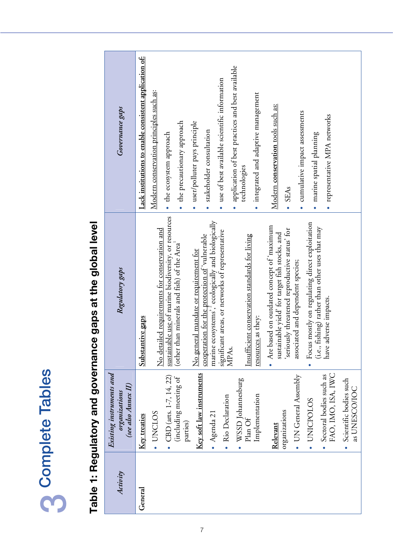| <u>ဇာ</u><br>$\overline{\overline{\mathbf{c}}}$  |
|--------------------------------------------------|
| ؚڕ<br>$\mathbf \zeta$<br>$\frac{1}{1}$<br>。<br>D |
|                                                  |
|                                                  |

## **Table 1: Regulatory and governance gaps at the global level**  Table 1: Regulatory and governance gaps at the global level

| Governance gaps                                                  | Lack institutions to enable consistent application of: | Modern conservation principles such as:       | • the ecosystem approach                             | the precautionary approach                              | · user/polluter pays principle        | stakeholder consultation                                                                           | use of best available scientific information     | application of best practices and best available | technologies                                   | · integrated and adaptive management | Modern conservation tools such as:                                                            | · SEAs                                        | cumulative impact assessments     | marine spatial planning                        | representative MPA networks                                              |                                                      |
|------------------------------------------------------------------|--------------------------------------------------------|-----------------------------------------------|------------------------------------------------------|---------------------------------------------------------|---------------------------------------|----------------------------------------------------------------------------------------------------|--------------------------------------------------|--------------------------------------------------|------------------------------------------------|--------------------------------------|-----------------------------------------------------------------------------------------------|-----------------------------------------------|-----------------------------------|------------------------------------------------|--------------------------------------------------------------------------|------------------------------------------------------|
| Regulatory gaps                                                  | Substantive gaps                                       | No detailed requirements for conservation and | sustainable use of marine biodiversity, or resources | (other than minerals and fish) of the Area <sup>1</sup> | No general mandate or requirement for | marine ecosystems', ecologically and biologically<br>cooperation for the protection of 'vulnerable | significant areas, or networks of representative | MPA <sub>s</sub> .                               | Insufficient conservation standards for living | resources as they:                   | • Are based on outdated concept of 'maximum<br>sustainable yield' for target fish stocks, and | seriously threatened reproductive status' for | associated and dependent species; | Focus mostly on regulating direct exploitation | (i.e., fishing) rather than other uses that may<br>have adverse impacts. |                                                      |
| Existing instruments and<br>(see also Annex II)<br>organizations | Key treaties                                           | . UNCLOS                                      | CBD (arts. 1-7, 14, 22)<br>$\bullet$                 | (including meeting of<br>parties)                       | Key soft law instruments              | $•$ Agenda 21                                                                                      |                                                  | · Rio Declaration                                | WSSD Johannesburg<br>Plan Of                   | Implementation                       | Relevant                                                                                      | organizations                                 | • UN General Assembly             | <b>UNICPOLOS</b>                               | FAO, IMO, ISA, IWC<br>Sectoral bodies such as                            | Scientific bodies such<br>as UNESCO/IOC<br>$\bullet$ |
| Activity                                                         | General                                                |                                               |                                                      |                                                         |                                       |                                                                                                    |                                                  |                                                  |                                                |                                      |                                                                                               |                                               |                                   |                                                |                                                                          |                                                      |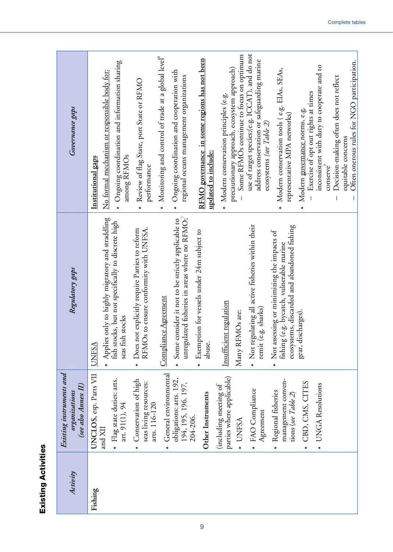| ഗ്ഗ    |  |
|--------|--|
|        |  |
|        |  |
|        |  |
|        |  |
|        |  |
|        |  |
|        |  |
|        |  |
|        |  |
|        |  |
|        |  |
|        |  |
|        |  |
| c<br>ı |  |
|        |  |
|        |  |
|        |  |
|        |  |
|        |  |
|        |  |
|        |  |
|        |  |
|        |  |

| Activity | Existing instruments and<br>organizations                         | Regulatory gaps                                                                                                                                    | Governance gaps                                                                                                           |
|----------|-------------------------------------------------------------------|----------------------------------------------------------------------------------------------------------------------------------------------------|---------------------------------------------------------------------------------------------------------------------------|
|          | (see also Annex II)                                               |                                                                                                                                                    |                                                                                                                           |
| Fishing  | UNCLOS, esp. Parts VII<br>and XII                                 | <b>UNFSA</b>                                                                                                                                       | Institutional gaps                                                                                                        |
|          | · Flag state duties: arts.<br>art. 91(1), 94                      | • Applies only to highly migratory and straddling<br>fish stocks, but not specifically to discrete high<br>stocks<br>seas fish                     | Ongoing coordination and information sharing<br>No formal mechanism or responsible body for:<br>among RFMOs               |
|          | · Conservation of high<br>seas living resources:<br>arts. 116-120 | RFMOs to ensure conformity with UNFSA.<br>Does not explicitly require Parties to reform<br>$\bullet$                                               | Review of flag State, port State or RFMO<br>performance<br>$\bullet$                                                      |
|          | General environmental                                             | Compliance Agreement                                                                                                                               | Monitoring and control of trade at a global level®<br>$\bullet$                                                           |
|          | obligations: arts. 192,<br>194, 195, 196. 197,                    | unregulated fisheries in areas where no RFMO;<br>• Some consider it not to be strictly applicable to                                               | Ongoing coordination and cooperation with<br>regional oceans management organizations<br>$\bullet$                        |
|          | Other Instruments<br>204-206.                                     | Exemption for vessels under 24m subject to<br>abuse.                                                                                               | RFMO governance in some regions has not been<br>updated to include:                                                       |
|          | parties where applicable)<br>(including meeting of                | Insufficient regulation                                                                                                                            | Modern conservation principles (e.g.<br>$\bullet$                                                                         |
|          | · UNFSA                                                           | Many RFMOs are:                                                                                                                                    | Some RFMOs continue to focus on optimum<br>precautionary approach, ecosystem approach)                                    |
|          | · FAO Compliance<br>Agreement                                     | • Not regulating all active fisheries within their<br>remit (e.g. sharks)                                                                          | use of target species;(e.g. ICCAT), and do not<br>address conservation or safeguarding marine<br>ecosystems (see Table 2) |
|          | management conven-<br>· Regional fisheries<br>tions (see Table 2) | ecosystems, discarded and abandoned fishing<br>Not assessing or minimizing the impacts of<br>fishing (e.g. bycatch, vulnerable marine<br>$\bullet$ | Modern conservation tools (e.g. EIAs, SEAs,<br>representative MPA networks)                                               |
|          | · CBD, CMS, CITES                                                 | gear, discharges).                                                                                                                                 | Exercise of opt out rights at times<br>Modern governance norms, e.g.                                                      |
|          | <b>UNGA</b> Resolutions<br>$\bullet$                              |                                                                                                                                                    | inconsistent with duty to cooperate and to<br>conserve <sup>9</sup>                                                       |
|          |                                                                   |                                                                                                                                                    | Decision-making often does not reflect<br>equitable concerns                                                              |
|          |                                                                   |                                                                                                                                                    | Often onerous rules for NGO participation.                                                                                |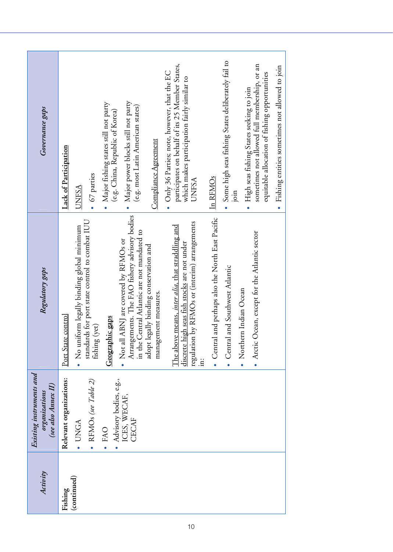| Activity               | Existing instruments and<br>(see also Annex II)<br>organizations                                                                    | Regulatory gaps                                                                                                                                                                                                                                                                                                                                                                                                                                                                                                                                                                                                                                                                                                 | Governance gaps                                                                                                                                                                                                                                                                                                                                                                                                                                                                                                                                                                                                                                                                 |
|------------------------|-------------------------------------------------------------------------------------------------------------------------------------|-----------------------------------------------------------------------------------------------------------------------------------------------------------------------------------------------------------------------------------------------------------------------------------------------------------------------------------------------------------------------------------------------------------------------------------------------------------------------------------------------------------------------------------------------------------------------------------------------------------------------------------------------------------------------------------------------------------------|---------------------------------------------------------------------------------------------------------------------------------------------------------------------------------------------------------------------------------------------------------------------------------------------------------------------------------------------------------------------------------------------------------------------------------------------------------------------------------------------------------------------------------------------------------------------------------------------------------------------------------------------------------------------------------|
| (continued)<br>Fishing | Relevant organizations:<br>Advisory bodies, e.g.,<br>ICES, WECAF,<br>• RFMOs (see Table 2)<br>CECAF<br>· UNGA<br>· FAO<br>$\bullet$ | Arrangements. The FAO fishery advisory bodies<br>in the Central Atlantic are not mandated to<br>and perhaps also the North East Pacific<br>standards for port state control to combat IUU<br>regulation by RFMOs or (interim) arrangements<br>The above means, <i>inter alia</i> , that straddling and<br>No uniform legally binding global minimum<br>• Arctic Ocean, except for the Atlantic sector<br>• Not all ABNJ are covered by RFMOs or<br>discrete high seas fish stocks are not under<br>adopt legally binding conservation and<br>and Southwest Atlantic<br>• Northern Indian Ocean<br>management measures.<br>Port State control<br>Geographic gaps<br>fishing (yet)<br>• Central<br>• Central<br>Ë | Some high seas fishing States deliberately fail to<br>participates on behalf of its 25 Member States,<br>sometimes not allowed full membership, or an<br>Fishing entities sometimes not allowed to join<br>• Only 36 Parties; note, however, that the EC<br>equitable allocation of fishing opportunities<br>which makes participation fairly similar to<br>High seas fishing States seeking to join<br>Major power blocks still not party<br>Major fishing states still not party<br>(e.g. most Latin American states)<br>(e.g. China, Republic of Korea)<br>Compliance Agreement<br>Lack of Participation<br>• 67 parties<br><u>In RFMOs</u><br>UNFSA<br><b>UNFSA</b><br>join |
|                        |                                                                                                                                     |                                                                                                                                                                                                                                                                                                                                                                                                                                                                                                                                                                                                                                                                                                                 |                                                                                                                                                                                                                                                                                                                                                                                                                                                                                                                                                                                                                                                                                 |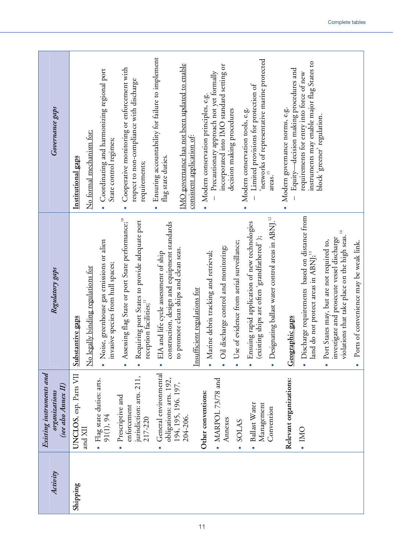| Governance gaps                                                  | Ensuring accountability for failure to implement<br>'networks of representative marine protected<br>instruments may enable major flag States to<br>IMO governance has not been updated to enable<br>incorporated into IMO standard setting or<br>Cooperative monitoring or enforcement with<br>Equity—decision making procedures and<br>Coordinating and harmonizing regional port<br>- Precautionary approach not yet formally<br>requirements for entry into force of new<br>respect to non-compliance with discharge<br>Limited provisions for protection of<br>· Modern conservation principles, e.g.<br>· Modern governance norms, e.g.<br>Modern conservation tools, e.g.<br>decision making procedures<br>block 'greener' regulation.<br>No formal mechanism for:<br>consistent application of:<br>State control regimes;<br>flag state duties.<br>Institutional gaps<br>requirements;<br>areas. <sup>15</sup>                                                                                                                                                                                                  |
|------------------------------------------------------------------|------------------------------------------------------------------------------------------------------------------------------------------------------------------------------------------------------------------------------------------------------------------------------------------------------------------------------------------------------------------------------------------------------------------------------------------------------------------------------------------------------------------------------------------------------------------------------------------------------------------------------------------------------------------------------------------------------------------------------------------------------------------------------------------------------------------------------------------------------------------------------------------------------------------------------------------------------------------------------------------------------------------------------------------------------------------------------------------------------------------------|
| Regulatory gaps                                                  | · Discharge requirements based on distance from<br>· Designating ballast water control areas in ABNJ. <sup>12</sup><br>g flag State or port State performance; <sup>10</sup><br>Requiring port States to provide adequate port<br>Ensuing rapid application of new technologies<br>construction, design and equipment standards<br>14<br>violations that take place on the high seas.<br>(existing ships are often 'grandfathered');<br>investigate and prosecute vessel discharge<br>Port States may, but are not required to,<br>• Noise, greenhouse gas emissions or alien<br>Ports of convenience may be weak link.<br>Use of evidence from aerial surveillance;<br>· Oil discharge control and monitoring;<br>to promote clean ships and clean seas.<br>• EIA and life cycle assessment of ship<br>· Marine debris tracking and retrieval;<br>land do not protect areas in ABNJ; <sup>13</sup><br>invasive species from hull spaces;<br>No legally binding regulations for<br>Insufficient regulations for<br>reception facilities; <sup>11</sup><br>Substantive gaps<br>Geographic gaps<br>Assessin<br>$\bullet$ |
| Existing instruments and<br>(see also Annex II)<br>organizations | General environmental<br>UNCLOS, esp. Parts VII<br>jurisdiction: arts. 211,<br>obligations: arts. 192,<br>$\bullet$ MARPOL 73/78 and<br>Relevant organizations:<br>Flag state duties: arts.<br>91(1), 94<br>194, 195, 196. 197,<br>Other conventions:<br>Prescriptive and<br>Ballast Water<br>Management<br>enforcement<br>Convention<br>204-206.<br>217-220<br>Annexes<br>SOLAS<br>and XII<br>OMI .                                                                                                                                                                                                                                                                                                                                                                                                                                                                                                                                                                                                                                                                                                                   |
| Activity                                                         | Shipping                                                                                                                                                                                                                                                                                                                                                                                                                                                                                                                                                                                                                                                                                                                                                                                                                                                                                                                                                                                                                                                                                                               |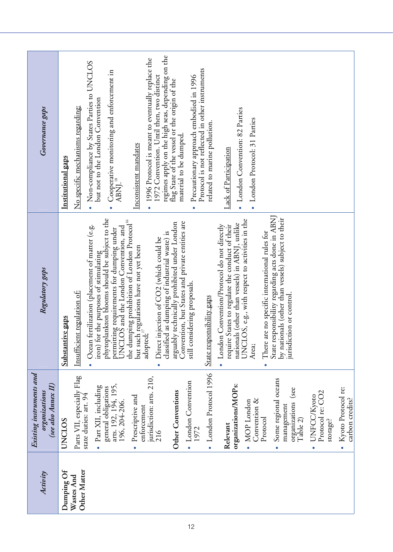| Activity                 | Existing instruments and<br>(see also Annex II)<br>organizations        | Regulatory gaps                                                                                                                                 | Governance gaps                                                                                                                                |
|--------------------------|-------------------------------------------------------------------------|-------------------------------------------------------------------------------------------------------------------------------------------------|------------------------------------------------------------------------------------------------------------------------------------------------|
| Dumping Of<br>Wastes And | Parts VII, especially Flag<br>UNCLOS                                    | <u>Insufficient regulation of:</u><br>Substantive gaps                                                                                          | No specific mechanisms regarding:<br><b>Institutional gaps</b>                                                                                 |
| Other Matter             | · Part XII, including<br>state duties: art. 94                          | Ocean fertilization (placement of matter (e.g.<br>iron) for the purposes of stimulating                                                         | • Non-compliance by States Parties to UNCLOS<br>but not to the London Convention                                                               |
|                          | arts. 192, 194, 195,<br>general obligations<br>196, 204-206.            | phytoplankton blooms should be subject to the<br>permitting requirements for dumping under<br>UNCLOS and the London Convention, and             | Cooperative monitoring and enforcement in<br>ABNI. <sup>18</sup>                                                                               |
|                          | Prescriptive and<br>enforcement<br>$\bullet$                            | the dumping prohibition of London Protocol <sup>16</sup><br>but such regulations have not yet been<br>adopted                                   | 1996 Protocol is meant to eventually replace the<br>Inconsistent mandates                                                                      |
|                          | jurisdiction: arts. 210,<br>216                                         | classified as dumping of industrial waste) is<br>Direct injection of CO2 (which could be                                                        | regimes apply on the high seas, depending on the<br>1972 Convention. Until then, two distinct<br>flag State of the vessel or the origin of the |
|                          | • London Convention<br>Other Conventions                                | Convention, but States and private entities are<br>arguably technically prohibited under London                                                 | material to be dumped.                                                                                                                         |
|                          | 1972                                                                    | still considering proposals.                                                                                                                    | Protocol is not reflected in other instruments<br>Precautionary approach embodied in 1996                                                      |
|                          | • London Protocol 1996                                                  | State responsibility gaps                                                                                                                       | related to marine pollution.                                                                                                                   |
|                          | organizations/MOPs:<br>Relevant                                         | nationals (other than vessels) in ABNJ, unlike<br>London Convention/Protocol do not directly<br>require States to regulate the conduct of their | Lack of Participation                                                                                                                          |
|                          | Convention &<br>$\bullet$ MOP London                                    | UNCLOS, e.g., with respect to activities in the<br>Area;                                                                                        | • London Convention: 82 Parties<br>• London Protocol: 31 Parties                                                                               |
|                          | Protocol                                                                | There are no specific international rules for                                                                                                   |                                                                                                                                                |
|                          | Some regional oceans<br>(see<br>organizations<br>management<br>Table 2) | State responsibility regarding acts done in ABNJ<br>by nationals (other than vessels) subject to their<br>jurisdiction or control               |                                                                                                                                                |
|                          | Protocol re: CO2<br>UNFCC/Kyoto<br>storage?<br>$\bullet$                |                                                                                                                                                 |                                                                                                                                                |
|                          | • Kyoto Protocol re:<br>carbon credits?                                 |                                                                                                                                                 |                                                                                                                                                |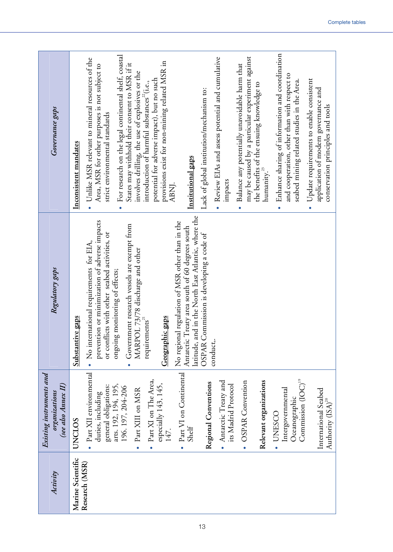| Governance gaps                                                  | Enhance sharing of information and coordination<br>For research on the legal continental shelf, coastal<br>may be caused by a particular experiment against<br>• Review EIAs and assess potential and cumulative<br>Unlike MSR relevant to mineral resources of the<br>provisions exist for non-mining related MSR in<br>States may withhold their consent to MSR if it<br>Balance any potentially unavoidable harm that<br>Area, MSR for other purposes is not subject to<br>involves drilling, the use of explosives or the<br>and cooperation, other than with respect to<br>potential for adverse impact), but no such<br>Update requirements to enable consistent<br>seabed mining related studies in the Area.<br>introduction of harmful substances <sup>22</sup> (i.e.,<br>the benefits of the ensuing knowledge to<br>Lack of global institution/mechanism to:<br>application of modern governance and<br>conservation principles and tools<br>strict environmental standards<br>Inconsistent mandates<br>Institutional gaps<br>humanity. $3$<br>impacts<br>ABNJ.<br>$\bullet$ |
|------------------------------------------------------------------|-----------------------------------------------------------------------------------------------------------------------------------------------------------------------------------------------------------------------------------------------------------------------------------------------------------------------------------------------------------------------------------------------------------------------------------------------------------------------------------------------------------------------------------------------------------------------------------------------------------------------------------------------------------------------------------------------------------------------------------------------------------------------------------------------------------------------------------------------------------------------------------------------------------------------------------------------------------------------------------------------------------------------------------------------------------------------------------------|
| Regulatory gaps                                                  | latitude, and in the North East Atlantic, where the<br>prevention or minimization of adverse impacts<br>No regional regulation of MSR other than in the<br>Government research vessels are exempt from<br>Antarctic Treaty area south of 60 degrees south<br>or conflicts with other seabed activities, or<br>OSPAR Commission is developing a code of<br>• No international requirements for EIA,<br>MARPOL 73/78 discharge and other<br>ongoing monitoring of effects;<br>requirements <sup>21</sup><br>Geographic gaps<br>Substantive gaps<br>conduct,.                                                                                                                                                                                                                                                                                                                                                                                                                                                                                                                              |
| Existing instruments and<br>(see also Annex II)<br>organizations | Part XII environmental<br>• Part VI on Continental<br>Part XI on The Area,<br>Commission (IOC) <sup>19</sup><br>Relevant organizations<br>• Antarctic Treaty and<br><b>OSPAR</b> Convention<br>Regional Conventions<br>especially 143, 145,<br>arts. 192, 194, 195,<br>its Madrid Protocol<br>general obligations:<br>196.197, 204-206<br>Intergovernmental<br>Part XIII on MSR<br>International Seabed<br>duties, including<br>Oceanographic<br>Authority $\rm (ISA)^{\rm 20}$<br><b>UNESCO</b><br>UNCLOS<br>Shelf<br>147.                                                                                                                                                                                                                                                                                                                                                                                                                                                                                                                                                             |
| Activity                                                         | Marine Scientific<br>Research (MSR)                                                                                                                                                                                                                                                                                                                                                                                                                                                                                                                                                                                                                                                                                                                                                                                                                                                                                                                                                                                                                                                     |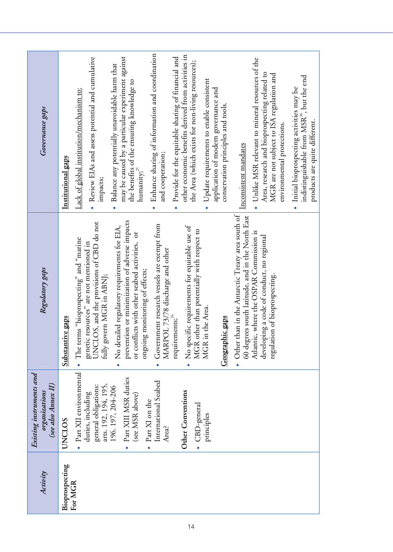| Activity       | Existing instruments and<br>(see also Annex II)<br>organizations  | Regulatory gaps                                                                                                                                | Governance gaps                                                                                                                                                              |
|----------------|-------------------------------------------------------------------|------------------------------------------------------------------------------------------------------------------------------------------------|------------------------------------------------------------------------------------------------------------------------------------------------------------------------------|
| Bioprospecting | <b>UNCLOS</b>                                                     | Substantive gaps                                                                                                                               | Institutional gaps                                                                                                                                                           |
| For MGR        | • Part XII environmental                                          | • The terms "bioprospecting" and "marine                                                                                                       | Lack of global institution/mechanism to:                                                                                                                                     |
|                | general obligations:<br>arts. 192, 194, 195,<br>duties, including | genetic resources" are not mentioned in<br>UNCLOS, and the provisions of CBD do not<br>fully govern MGR in ABNJ;                               | • Review EIAs and assess potential and cumulative<br>impacts;                                                                                                                |
|                | Part XIII MSR duties<br>196.197, 204-206<br>(see MSR above)       | prevention or minimization of adverse impacts<br>No detailed regulatory requirements for EIA,<br>or conflicts with other seabed activities, or | may be caused by a particular experiment against<br>Balance any potentially unavoidable harm that<br>the benefits of the ensuring knowledge to<br>humanity; $\frac{25}{3}$   |
|                | International Seabed<br>Part XI on the<br>Area?                   | Government research vessels are exempt from<br>MARPOL 73/78 discharge and other<br>ongoing monitoring of effects;                              | • Enhance sharing of information and coordination<br>and cooperation;                                                                                                        |
|                | Other Conventions                                                 | No specific requirements for equitable use of<br>requirements; $^{24}$                                                                         | other economic benefits derived from activities in<br>Provide for the equitable sharing of financial and<br>the Area (which exists for non-living resources);                |
|                | • CBD-general<br>principles                                       | MGR other than potentially with respect to<br>MGR in the Area.<br>Geographic gaps                                                              | Update requirements to enable consistent<br>application of modern governance and<br>conservation principles and tools.<br>$\bullet$                                          |
|                |                                                                   | • Other than in the Antarctic Treaty area south of<br>60 degrees south latitude, and in the North East                                         | Inconsistent mandates                                                                                                                                                        |
|                |                                                                   | Atlantic, where the OSPAR Commission is<br>developing a code of conduct, no regional<br>regulation of bioprospecting.                          | • Unlike MSR relevant to mineral resources of the<br>Area, research and bioprospecting related to<br>MGR are not subject to ISA regulation and<br>environmental protections. |
|                |                                                                   |                                                                                                                                                | indistinguishable from MSR <sup>26</sup> , but the end<br>Initial bioprospecting activities may be<br>products are quite different.<br>$\bullet$                             |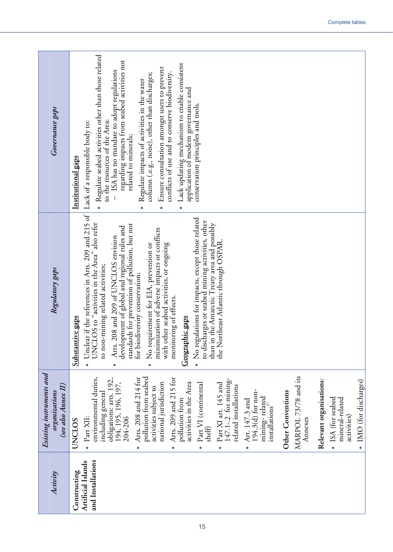| Governance gaps                                                  | Regulate seabed activities other than those related<br>regarding impacts from seabed activities not<br>Lack updating mechanism to enable consistent<br>Ensure consultation amongst users to prevent<br>- ISA has no mandate to adopt regulations<br>conflicts of use and to conserve biodiversity.<br>column (.e.g., noise), other than discharges;<br>Regulate impacts of activities in the water<br>application of modern governance and<br>conservation principles and tools.<br>to the resources of the Area:<br>related to minerals;<br>Institutional gaps<br>$\bullet$<br>$\bullet$<br>$\bullet$                                                                                                                                                               |
|------------------------------------------------------------------|----------------------------------------------------------------------------------------------------------------------------------------------------------------------------------------------------------------------------------------------------------------------------------------------------------------------------------------------------------------------------------------------------------------------------------------------------------------------------------------------------------------------------------------------------------------------------------------------------------------------------------------------------------------------------------------------------------------------------------------------------------------------|
| Regulatory gaps                                                  | Unclear if the references in Arts. 209 and 215 of   Lack of a responsible body to:<br>• No regulations for impacts, except those related<br>to discharges or seabed mining activities, other<br>UNCLOS to "activities in the Area" also refer<br>than in the Antarctic Treaty area and possibly<br>Is for prevention of pollution, but not<br>development of global and regional rules and<br>minimization of adverse impacts or conflicts<br>Arts. 208 and 209 of UNCLOS envision<br>the Northeast Atlantic through OSPAR.<br>No requirement for EIA, prevention or<br>with other seabed activities, or ongoing<br>to non-mining related activities;<br>for biodiversity conservation;<br>monitoring of effects.<br>Geographic gaps<br>Substantive gaps<br>standard |
| Existing instruments and<br>(see also Annex II)<br>organizations | MARPOL 73/78 and its<br>pollution from seabed<br>environmental duties,<br>Arts. 208 and 214 for<br>Arts. 209 and 215 for<br>obligations: arts. 192,<br>147.1-.2 for mining-<br>Relevant organisations:<br>IMO (for discharges)<br>194, 195, 196, 197,<br>activities in the Area<br>Part VI (continental<br>Part XI art. 145 and<br>national jurisdiction<br>related installations<br>activities subject to<br>194.3(d) for non-<br>Other Conventions<br>including general<br>mining-related<br>• ISA (for seabed<br>mineral-related<br>pollution from<br>Art. 147.3 and<br>instalations <sup>27</sup><br>activities)<br>Part XII:<br>204-206<br>Annexes<br>UNCLOS<br>shelf                                                                                           |
| Activity                                                         | and Installations<br>Artificial Islands<br>Constructing                                                                                                                                                                                                                                                                                                                                                                                                                                                                                                                                                                                                                                                                                                              |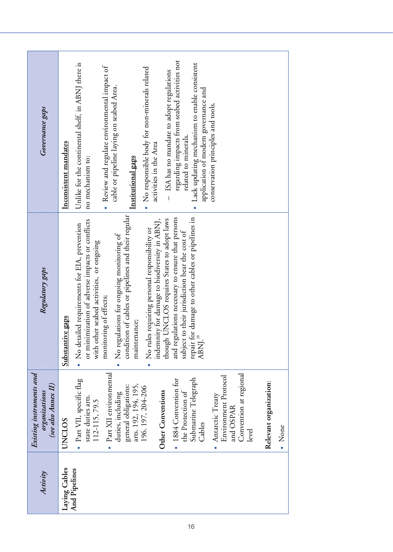| Activity      | Existing instruments and<br>(see also Annex II)<br>organizations  | Regulatory gaps                                                                                                | Governance gaps                                                                         |
|---------------|-------------------------------------------------------------------|----------------------------------------------------------------------------------------------------------------|-----------------------------------------------------------------------------------------|
| Laying Cables | <b>UNCLOS</b>                                                     | Substantive gaps                                                                                               | Inconsistent mandates                                                                   |
| And Pipelines | · Part VII, specific flag<br>state duties arts.                   | or minimization of adverse impacts or conflicts<br>No detailed requirements for EIA, prevention                | Unlike for the continental shelf, in ABNJ there is<br>no mechanism to:                  |
|               | Part XII environmental<br>duties, including<br>112-115, 79.5      | No regulations for ongoing monitoring of<br>with other seabed activities, or ongoing<br>monitoring of effects; | Review and regulate environmental impact of<br>cable or pipeline laying on seabed Area. |
|               | arts. 192, 194, 195,<br>196. 197, 204-206<br>general obligations: | condition of cables or pipelines and their regular<br>maintenance;                                             | Institutional gaps                                                                      |
|               |                                                                   | indemnity for damage to biodiversity in ABNJ,<br>No rules requiring personal responsibility or                 | • No responsible body for non-minerals related<br>activities in the Area                |
|               | Other Conventions                                                 | though UNCLOS requires States to adopt laws                                                                    | - ISA has no mandate to adopt regulations                                               |
|               | 1884 Convention for<br>the Protection of                          | and regulations necessary to ensure that persons<br>subject to their jurisdiction bear the cost of             | regarding impacts from seabed activities not<br>related to minerals.                    |
|               | Submarine Telegraph<br>Cables                                     | repair for damage to other cables or pipelines in<br>ABNJ. <sup>28</sup>                                       | Lack updating mechanism to enable consistent<br>application of modern governance and    |
|               | Environment Protocol<br>Antarctic Treaty<br>$\bullet$             |                                                                                                                | conservation principles and tools.                                                      |
|               | Convention at regional<br>and OSPAR                               |                                                                                                                |                                                                                         |
|               | level                                                             |                                                                                                                |                                                                                         |
|               | Relevant organization:                                            |                                                                                                                |                                                                                         |
|               | • None                                                            |                                                                                                                |                                                                                         |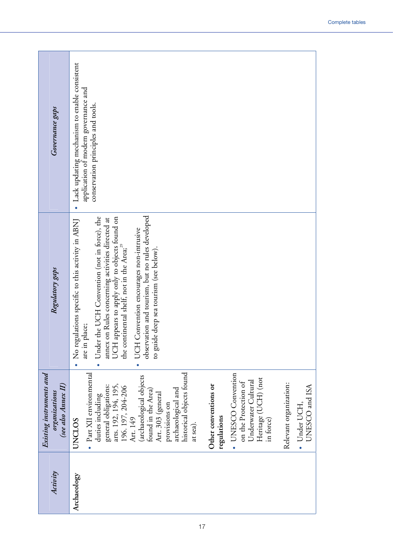| Governance gaps                                                  | · Lack updating mechanism to enable consistent<br>application of modern governance and<br>conservation principles and tools.                                                                                                                                                                                                                                                                                                                                                                                   |
|------------------------------------------------------------------|----------------------------------------------------------------------------------------------------------------------------------------------------------------------------------------------------------------------------------------------------------------------------------------------------------------------------------------------------------------------------------------------------------------------------------------------------------------------------------------------------------------|
| Regulatory gaps                                                  | observation and tourism, but no rules developed<br>Under the UCH Convention (not in force), the<br>UCH appears to apply only to objects found on<br>No regulations specific to this activity in ABNJ<br>annex on Rules concerning activities directed at<br>UCH Convention encourages non-intrusive<br>the continental shelf, not in the Area; <sup>29</sup><br>deep sea tourism (see below).<br>are in place;<br>to guide                                                                                     |
| Existing instruments and<br>(see also Annex II)<br>organizations | historical objects found<br>Part XII environmental<br>· UNESCO Convention<br>(archaeological objects<br>Heritage (UCH) (not<br>Underwater Cultural<br>on the Protection of<br>Relevant organization:<br>arts. 192, 194, 195,<br>Other conventions or<br>general obligations:<br>UNESCO and ISA<br>196. 197, 204-206<br>Art. 149<br>archaeological and<br>found in the Area)<br>Art. 303 (general<br>duties including<br>· Under UCH,<br>provisions on<br>regulations<br>in force)<br><b>UNCLOS</b><br>at sea). |
| Activity                                                         | Archaeology                                                                                                                                                                                                                                                                                                                                                                                                                                                                                                    |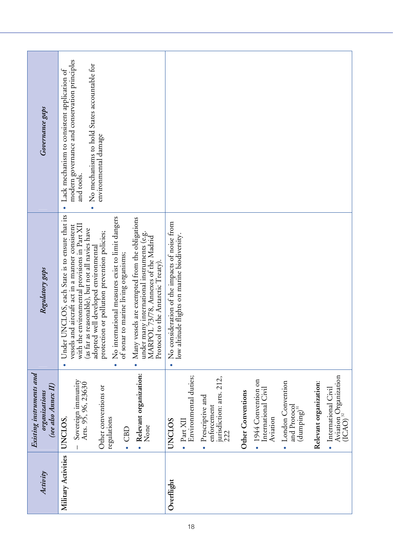| Governance gaps                                                  | modern governance and conservation principles<br>• No mechanisms to hold States accountable for<br>Lack mechanism to consistent application of<br>environmental damage<br>and tools.<br>$\bullet$                                                                                                                                                                                                                                                                                                                                                                                                   |                                                                                                                                                                                                                                                                                                                                                                                |
|------------------------------------------------------------------|-----------------------------------------------------------------------------------------------------------------------------------------------------------------------------------------------------------------------------------------------------------------------------------------------------------------------------------------------------------------------------------------------------------------------------------------------------------------------------------------------------------------------------------------------------------------------------------------------------|--------------------------------------------------------------------------------------------------------------------------------------------------------------------------------------------------------------------------------------------------------------------------------------------------------------------------------------------------------------------------------|
| Regulatory gaps                                                  | Under UNCLOS, each State is to ensure that its<br>No international measures exist to limit dangers<br>Many vessels are exempted from the obligations<br>with the environmental provisions in Part XII<br>vessels and aircraft act in a manner consistent<br>(as far as reasonable), but not all navies have<br>protection or pollution prevention policies;<br>under many international instruments (e.g.<br>MARPOL 73/78, Annexes of the Madrid<br>adopted well developed environmental<br>to marine living organisms;<br>Protocol to the Antarctic Treaty).<br>of sonar<br>$\bullet$<br>$\bullet$ | No consideration of the impacts of noise from<br>low altitude flights on marine biodiversity.<br>$\bullet$                                                                                                                                                                                                                                                                     |
| Existing instruments and<br>(see also Annex II)<br>organizations | Relevant organization:<br>Sovereign immunity<br>Arts. 95, 96, 23630<br>Other conventions or<br>regulations<br>UNCLOS.<br>UNCLOS<br>None<br>CBD                                                                                                                                                                                                                                                                                                                                                                                                                                                      | Environmental duties;<br>Aviation Organization<br>(ICAO) <sup>32</sup><br>jurisdiction: arts. 212,<br>1944 Convention on<br>London Convention<br>Relevant organization:<br>International Civil<br>• International Civil<br>Other Conventions<br>Prescriptive and<br>enforcement<br>and Protocol<br>$(dumping)^{31}$<br>Aviation<br>$\bullet$ Part XII<br>222<br>$\bullet$<br>٠ |
| Activity                                                         | Military Activities                                                                                                                                                                                                                                                                                                                                                                                                                                                                                                                                                                                 | Overflight                                                                                                                                                                                                                                                                                                                                                                     |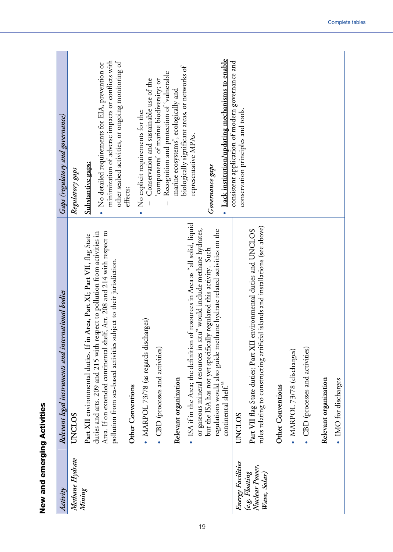| tivitie.         |  |
|------------------|--|
|                  |  |
|                  |  |
|                  |  |
| New and emerging |  |

| Activity                                         | Relevant legal instruments and international bodies                                                                                                                                                                         | <b>Gaps (regulatory and governance)</b>                                                                                                                     |
|--------------------------------------------------|-----------------------------------------------------------------------------------------------------------------------------------------------------------------------------------------------------------------------------|-------------------------------------------------------------------------------------------------------------------------------------------------------------|
| Methane Hydrate                                  | UNCLOS                                                                                                                                                                                                                      | Regulatory gaps                                                                                                                                             |
| Mining                                           | Part XII environmental duties. If in Area, Part XI; Part VII, flag State                                                                                                                                                    | Substantive gaps:                                                                                                                                           |
|                                                  | Area. If on extended continental shelf, Art. 208 and 214 with respect to<br>duties and arts. 209 and 215 with respect to pollution from activities in<br>pollution from sea-based activities subject to their jurisdiction. | minimization of adverse impacts or conflicts with<br>other seabed activities, or ongoing monitoring of<br>• No detailed requirements for EIA, prevention or |
|                                                  | Other Conventions                                                                                                                                                                                                           | effects;                                                                                                                                                    |
|                                                  | • MARPOL 73/78 (as regards discharges)                                                                                                                                                                                      | Conservation and sustainable use of the<br>No explicit requirements for the:                                                                                |
|                                                  | • CBD (processes and activities)                                                                                                                                                                                            | Recognition and protection of 'vulnerable<br>components' of marine biodiversity; or                                                                         |
|                                                  | Relevant organization                                                                                                                                                                                                       | biologically significant areas, or networks of<br>marine ecosystems', ecologically and                                                                      |
|                                                  | of resources in Area as "all solid, liquid<br>or gaseous mineral resources in situ" would include methane hydrates,<br>ISA if in the Area; the definition                                                                   | representative MPAs.                                                                                                                                        |
|                                                  | regulations would also guide methane hydrate related activities on the<br>but the ISA has not yet specifically regulated this activity. Such                                                                                | Governance gaps                                                                                                                                             |
|                                                  | continental shelf. <sup>33</sup>                                                                                                                                                                                            | • Lack institution/updating mechanisms to enable                                                                                                            |
| Energy Facilities                                | <b>UNCLOS</b>                                                                                                                                                                                                               | consistent application of modern governance and<br>conservation principles and tools.                                                                       |
| Nuclear Power,<br>(e.g. Floating<br>Wave, Solar) | rules relating to constructing artificial islands and installations (see above)<br>environmental duties and UNCLOS<br>Part VII flag State duties; Part XII                                                                  |                                                                                                                                                             |
|                                                  | Other Conventions                                                                                                                                                                                                           |                                                                                                                                                             |
|                                                  | • MARPOL 73/78 (discharges)                                                                                                                                                                                                 |                                                                                                                                                             |
|                                                  | • CBD (processes and activities)                                                                                                                                                                                            |                                                                                                                                                             |
|                                                  | Relevant organization                                                                                                                                                                                                       |                                                                                                                                                             |
|                                                  | • IMO for discharges                                                                                                                                                                                                        |                                                                                                                                                             |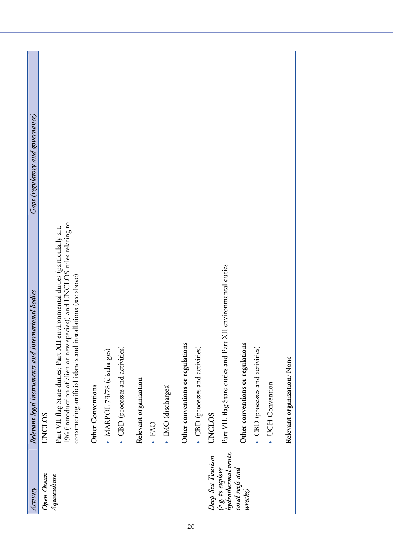| Activity                                 | Relevant legal instruments and international bodies                                                                                                                                                                       | <b>Gaps (regulatory and governance)</b> |
|------------------------------------------|---------------------------------------------------------------------------------------------------------------------------------------------------------------------------------------------------------------------------|-----------------------------------------|
| Open Ocean                               | <b>UNCLOS</b>                                                                                                                                                                                                             |                                         |
| Aquaculture                              | Part VII flag State duties; Part XII environmental duties (particularly art.<br>196 (introduction of alien or new species)) and UNCLOS rules relating to<br>constructing artificial islands and installations (see above) |                                         |
|                                          | Other Conventions                                                                                                                                                                                                         |                                         |
|                                          | • MARPOL 73/78 (discharges)                                                                                                                                                                                               |                                         |
|                                          | • CBD (processes and activities)                                                                                                                                                                                          |                                         |
|                                          | Relevant organization                                                                                                                                                                                                     |                                         |
|                                          | · FAO                                                                                                                                                                                                                     |                                         |
|                                          | · IMO (discharges)                                                                                                                                                                                                        |                                         |
|                                          | Other conventions or regulations                                                                                                                                                                                          |                                         |
|                                          | • CBD (processes and activities)                                                                                                                                                                                          |                                         |
| Deep Sea Tourism                         | UNCLOS                                                                                                                                                                                                                    |                                         |
| hydrothermal vents,<br>(e.g.~to~exphere) | Part VII, flag State duties and Part XII environmental duties                                                                                                                                                             |                                         |
| coral reefs and<br>wrecks)               | Other conventions or regulations                                                                                                                                                                                          |                                         |
|                                          | • CBD (processes and activities)                                                                                                                                                                                          |                                         |
|                                          | · UCH Convention                                                                                                                                                                                                          |                                         |
|                                          | Relevant organization: None                                                                                                                                                                                               |                                         |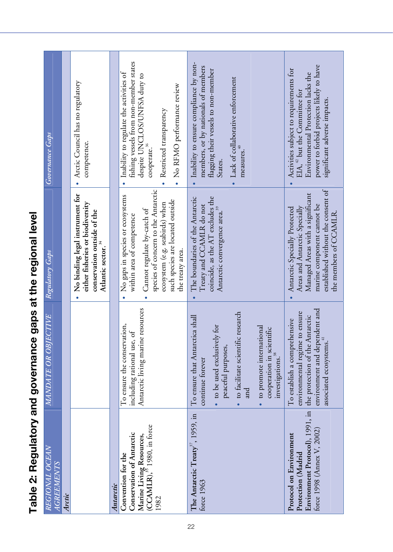| REGIONAL OCEAN<br><b>AGREEMENTS</b>                                                                                           | MANDATE OR OBJECTIVE                                                                                                                                                                                                                                | Regulatory Gaps                                                                                                                                                                                                                              | Governance Gaps                                                                                                                                                                                        |
|-------------------------------------------------------------------------------------------------------------------------------|-----------------------------------------------------------------------------------------------------------------------------------------------------------------------------------------------------------------------------------------------------|----------------------------------------------------------------------------------------------------------------------------------------------------------------------------------------------------------------------------------------------|--------------------------------------------------------------------------------------------------------------------------------------------------------------------------------------------------------|
| Arctic                                                                                                                        |                                                                                                                                                                                                                                                     |                                                                                                                                                                                                                                              |                                                                                                                                                                                                        |
|                                                                                                                               |                                                                                                                                                                                                                                                     | No binding legal instrument for<br>either fisheries or biodiversity<br>conservation outside of the<br>Atlantic sector. <sup>34</sup><br>$\bullet$                                                                                            | · Arctic Council has no regulatory<br>competence.                                                                                                                                                      |
| Antarctic                                                                                                                     |                                                                                                                                                                                                                                                     |                                                                                                                                                                                                                                              |                                                                                                                                                                                                        |
| Marine Living Resources,<br>(CCAMLR), <sup>35</sup> 1980, in force<br>Conservation of Antarctic<br>Convention for the<br>1982 | Antarctic living marine resources<br>To ensure the conservation,<br>ಕ<br>including rational use,                                                                                                                                                    | species of concern to the Antarctic<br>• No gaps in species or ecosystems<br>such species are located outside<br>ecosystem (e.g. seabirds) when<br>Cannot regulate by-catch of<br>within area of competence<br>the treaty area.<br>$\bullet$ | fishing vessels from non-member states<br>Inability to regulate the activities of<br>despite UNCLOS/UNFSA duty to<br>No RFMO performance review<br>Restricted transparency<br>cooperate. <sup>36</sup> |
| The Antarctic Treaty <sup>37</sup> , 1959, in<br>force 1963                                                                   | · to facilitate scientific research<br>To ensure that Antarctica shall<br>• to be used exclusively for<br>· to promote international<br>cooperation in scientific<br>peaceful purposes,<br>investigations. <sup>38</sup><br>continue forever<br>and | The boundaries of the Antarctic<br>coincide, as the AT excludes the<br>Treaty and CCAMLR do not<br>Antarctic convergence area. <sup>39</sup><br>$\bullet$                                                                                    | Inability to ensure compliance by non-<br>members, or by nationals of members<br>flagging their vessels to non-member<br>Lack of collaborative enforcement<br>measures.<br>States.                     |
| Environment Protocol), 1991, in<br>force 1998 (Annex V, 2002)<br>Protocol on Environment<br>Protection (Madrid                | environment and dependent and<br>environmental regime to ensure<br>the protection of the Antarctic<br>To establish a comprehensive<br>associated ecosystems. <sup>41</sup>                                                                          | established without the consent of<br>Managed Areas with a significant<br>marine component cannot be<br>Areas and Antarctic Specially<br>Antarctic Specially Protected<br>the members of CCAMLR.                                             | power to forbid projects likely to have<br>Activities subject to requirements for<br>Environmental Protection lacks the<br>EIA, <sup>42</sup> but the Committee for<br>significant adverse impacts.    |

**Table 2: Regulatory and governance gaps at the regional level** 

Table 2: Regulatory and governance gaps at the regional level

22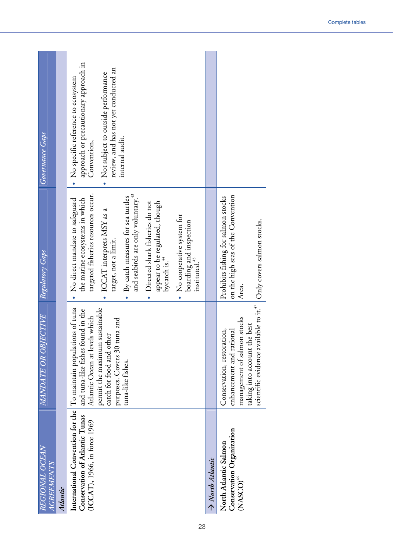| REGIONAL OCEAN<br><i>AGREEMENTS</i>                                                                                                | MANDATE OR OBJECTIVE                                                                                                                                                                                | Regulatory Gaps                                                                                                                                                                                                                                                                                                                                                                                                              | Governance Gaps                                                                                                                                                                                 |
|------------------------------------------------------------------------------------------------------------------------------------|-----------------------------------------------------------------------------------------------------------------------------------------------------------------------------------------------------|------------------------------------------------------------------------------------------------------------------------------------------------------------------------------------------------------------------------------------------------------------------------------------------------------------------------------------------------------------------------------------------------------------------------------|-------------------------------------------------------------------------------------------------------------------------------------------------------------------------------------------------|
| Atlantic                                                                                                                           |                                                                                                                                                                                                     |                                                                                                                                                                                                                                                                                                                                                                                                                              |                                                                                                                                                                                                 |
| International Convention for the To maintain populations of tuna<br>Conservation of Atlantic Tunas<br>(ICCAT), 1966, in force 1969 | permit the maximum sustainable<br>and tuna-like fishes found in the<br>Atlantic Ocean at levels which<br>purposes. Covers 30 tuna and<br>catch for food and other<br>tuna-like fishes.              | targeted fisheries resources occur.<br>By catch measures for sea turtles<br>and seabirds are only voluntary.<br>the marine ecosystems in which<br>No direct mandate to safeguard<br>Directed shark fisheries do not<br>appear to be regulated, though<br>ICCAT interprets MSY as a<br>No cooperative system for<br>boarding and inspection<br>instituted. <sup>45</sup><br>target, not a limit.<br>bycatch is. <sup>44</sup> | approach or precautionary approach in<br>review, and has not yet conducted an<br>• Not subject to outside performance<br>• No specific reference to ecosystem<br>internal audit.<br>Convention, |
| A North Atlantic                                                                                                                   |                                                                                                                                                                                                     |                                                                                                                                                                                                                                                                                                                                                                                                                              |                                                                                                                                                                                                 |
| Conservation Organization<br>North Atlantic Salmon<br>NASSCO) <sup>46</sup>                                                        | scientific evidence available to it. $\hspace{-.08in}^{\hspace{-.08in}47}$<br>management of salmon stocks<br>taking into account the best<br>Conservation, restoration,<br>enhancement and rational | on the high seas of the Convention<br>Prohibits fishing for salmon stocks<br>Only covers salmon stocks.<br>Area.                                                                                                                                                                                                                                                                                                             |                                                                                                                                                                                                 |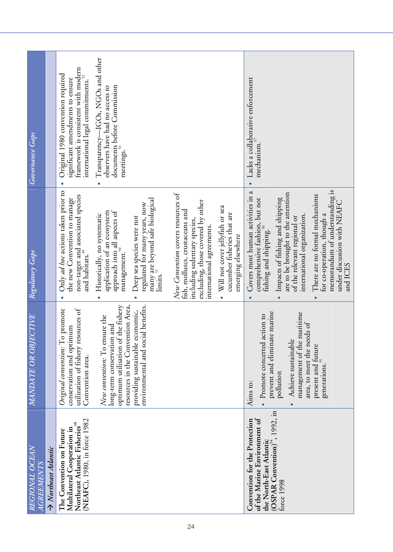| REGIONAL OCEAN<br><b>AGREEMENTS</b>                                                                                                                   | <i><b>MANDATE OR OBJECTIVE</b></i>                                                                                                        | Regulatory Gaps                                                                                                                                                                                                      | Governance Gaps                                                                                                                                          |
|-------------------------------------------------------------------------------------------------------------------------------------------------------|-------------------------------------------------------------------------------------------------------------------------------------------|----------------------------------------------------------------------------------------------------------------------------------------------------------------------------------------------------------------------|----------------------------------------------------------------------------------------------------------------------------------------------------------|
| $\rightarrow$ Northeast Atlantic                                                                                                                      |                                                                                                                                           |                                                                                                                                                                                                                      |                                                                                                                                                          |
| (NEAFC), 1980, in force 1982<br>Northeast Atlantic Fisheries <sup>48</sup><br>Multilateral Cooperation in<br>The Convention on Future                 | Original convention: To promote<br>utilization of fishery resources of<br>conservation and optimum<br>Convention area.                    | Only ad hoc actions taken prior to<br>non-target and associated species<br>the new Convention to manage<br>and habitats. <sup>49</sup>                                                                               | framework is consistent with modern<br>Original 1980 convention required<br>international legal commitments. $^{52}$<br>significant amendments to ensure |
|                                                                                                                                                       | resources in the Convention Area,<br>optimum utilisation of the fishery<br>New convention: To ensure the<br>and<br>long-term conservation | application of an ecosystem<br>approach into all aspects of<br>Historically, no systematic<br>management. $^{\mathrm{50}}$                                                                                           | Transparency-IGOs, NGOs and other<br>documents before Commission<br>meetings. <sup>53</sup><br>observers have had no access to                           |
|                                                                                                                                                       | environmental and social benefits.<br>providing sustainable economic,                                                                     | many are beyond safe biological<br>limits.51<br>regulated for many years, now<br>Deep sea species were not                                                                                                           |                                                                                                                                                          |
|                                                                                                                                                       |                                                                                                                                           | New Convention covers resources of<br>excluding, those covered by other<br>fish, molluscs, crustaceans and<br>including sedentary species,<br>international agreements.                                              |                                                                                                                                                          |
|                                                                                                                                                       |                                                                                                                                           | • Will not cover jellyfish or sea<br>cucumber fisheries that are<br>emerging elsewhere                                                                                                                               |                                                                                                                                                          |
| (OSPAR Convention) <sup>54</sup> , 1992, in<br>of the Marine Environment of<br>Convention for the Protection<br>the North-East Atlantic<br>force 1998 | prevent and eliminate marine<br>• Promote concerted action to<br>Achieve sustainable<br>pollution<br>Aims to:<br>$\bullet$                | $\mathfrak{a}$<br>are to be brought to the attention<br>Covers most human activities in<br>comprehensive fashion, but not<br>Impacts of fishing and shipping<br>of the relevant regional or<br>fishing and shipping. | Lacks a collaborative enforcement<br>mechanism. <sup>57</sup>                                                                                            |
|                                                                                                                                                       | management of the maritime<br>area, to meet the needs of<br>present and future<br>generations. <sup>55</sup>                              | memorandum of understanding is<br>There are no formal mechanisms<br>under discussion with NEAFC<br>for co-operation, though a<br>international organization.<br>and ICES                                             |                                                                                                                                                          |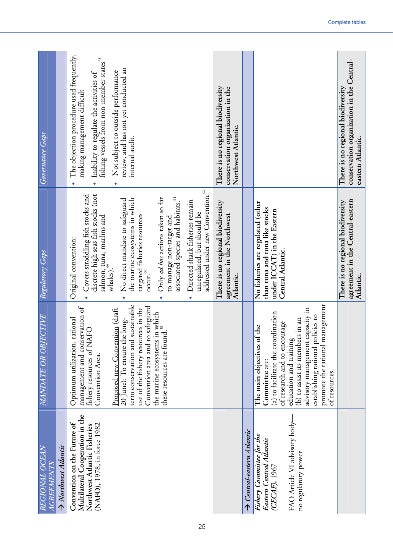| REGIONAL OCEAN<br><b>AGREEMENTS</b>                                                                                            | MANDATE OR OBJECTIVE                                                                                                                                                                                                                                                                                                                                                              | Regulatory Gaps                                                                                                                                                                                                                                                                                                                                                                                                                                                                                                                                                                   | Governance Gaps                                                                                                                                                                                                                                                             |
|--------------------------------------------------------------------------------------------------------------------------------|-----------------------------------------------------------------------------------------------------------------------------------------------------------------------------------------------------------------------------------------------------------------------------------------------------------------------------------------------------------------------------------|-----------------------------------------------------------------------------------------------------------------------------------------------------------------------------------------------------------------------------------------------------------------------------------------------------------------------------------------------------------------------------------------------------------------------------------------------------------------------------------------------------------------------------------------------------------------------------------|-----------------------------------------------------------------------------------------------------------------------------------------------------------------------------------------------------------------------------------------------------------------------------|
| $\rightarrow$ Northwest Atlantic                                                                                               |                                                                                                                                                                                                                                                                                                                                                                                   |                                                                                                                                                                                                                                                                                                                                                                                                                                                                                                                                                                                   |                                                                                                                                                                                                                                                                             |
| Multilateral Cooperation in the<br>Convention on the Future of<br>(NAFO), 1978, in force 1982<br>Northwest Atlantic Fisheries  | term conservation and sustainable<br>Convention area and to safeguard<br>management and conservation of<br>use of the fishery resources in the<br>Proposed new Convention (draft<br>the marine ecosystems in which<br>these resources are found. <sup>38</sup><br>20 June): To ensure the long-<br>Optimum utilization, rational<br>fishery resources of NAFO<br>Convention Area. | addressed under new Convention. <sup>62</sup><br>discrete high seas fish stocks (not<br>Covers straddling fish stocks and<br>Only ad hoc actions taken so far<br>associated species and habitats. <sup>61</sup><br>the marine ecosystems in which<br>No direct mandate to safeguard<br>Directed shark fisheries remain<br>unregulated, but should be<br>targeted fisheries resources<br>salmon, tuna, marlins and<br>whales). <sup>59</sup><br>to manage non-target and<br>Original convention:<br>occur. $\overset{\scriptscriptstyle{60}}{\phantom{\rule{0pt}{0.5pt}}\smash{}}$ | The objection procedure used frequently,<br>fishing vessels from non-member states <sup>63</sup><br>review, and has not yet conducted an<br>Not subject to outside performance<br>Inability to regulate the activities of<br>making management difficult<br>internal audit. |
|                                                                                                                                |                                                                                                                                                                                                                                                                                                                                                                                   | There is no regional biodiversity<br>agreement in the Northwest<br>Atlantic.                                                                                                                                                                                                                                                                                                                                                                                                                                                                                                      | There is no regional biodiversity<br>conservation organization in the<br>Northwest Atlantic.                                                                                                                                                                                |
| $\rightarrow$ Central-eastern Atlantic                                                                                         |                                                                                                                                                                                                                                                                                                                                                                                   |                                                                                                                                                                                                                                                                                                                                                                                                                                                                                                                                                                                   |                                                                                                                                                                                                                                                                             |
| FAO Article VI advisory body-<br>Fishery Committee for the<br>Eastern Central Atlantic<br>(CECAF), 1967<br>no regulatory power | promote the rational management<br>advisory management capacity in<br>(a) to facilitate the coordination<br>establishing rational policies to<br>in an<br>of research and to encourage<br>The main objectives of the<br>(b) to assist its members<br>education and training<br>Committee are:<br>of resources.                                                                    | No fisheries are regulated (other<br>than tuna and tuna like stocks<br>under ICCAT) in the Eastern<br>Central Atlantic.                                                                                                                                                                                                                                                                                                                                                                                                                                                           |                                                                                                                                                                                                                                                                             |
|                                                                                                                                |                                                                                                                                                                                                                                                                                                                                                                                   | agreement in the Central-eastern<br>There is no regional biodiversity<br>Atlantic.                                                                                                                                                                                                                                                                                                                                                                                                                                                                                                | conservation organization in the Central-<br>There is no regional biodiversity<br>eastern Atlantic.                                                                                                                                                                         |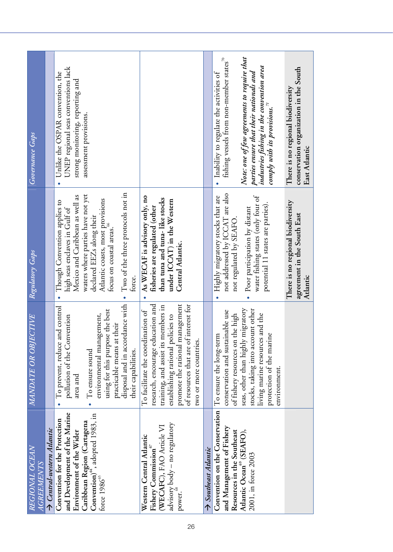| REGIONAL OCEAN<br><i>A GREEMENTS</i>                                                       | MANDATE OR OBJECTIVE                                                                                                                                     | Regulatory Gaps                                                                                                               | Governance Gaps                                                                                                                                                          |
|--------------------------------------------------------------------------------------------|----------------------------------------------------------------------------------------------------------------------------------------------------------|-------------------------------------------------------------------------------------------------------------------------------|--------------------------------------------------------------------------------------------------------------------------------------------------------------------------|
| $\rightarrow$ Central-western Atlantic                                                     |                                                                                                                                                          |                                                                                                                               |                                                                                                                                                                          |
| and Development of the Marine<br>Convention for the Protection<br>Environment of the Wider | To prevent, reduce and control<br>pollution of the Convention<br>area and                                                                                | Mexico and Caribbean as well as<br>Though Convention applies to<br>high seas enclaves in Gulf of<br>$\bullet$                 | UNEP regional seas conventions lack<br>Unlike the OSPAR convention, the<br>strong monitoring, reporting and                                                              |
| Caribbean Region (Cartagena<br>Convention)", adopted 1983, in<br>torce $198665$            | using for this purpose the best<br>gement,<br>practicable means at their<br>environmental mana<br>To ensure sound                                        | waters where parties have not yet<br>Atlantic coasts, most provisions<br>declared EEZs along their<br>focus on coastal areas. | assessment provisions.                                                                                                                                                   |
|                                                                                            | disposal and in accordance with<br>their capabilities.                                                                                                   | Two of the three protocols not in<br>force.                                                                                   |                                                                                                                                                                          |
| Western Central Atlantic<br>Fishery Commission <sup>67</sup>                               | To facilitate the coordination of                                                                                                                        | As WECAF is advisory only, no<br>fisheries are regulated (other<br>$\bullet$                                                  |                                                                                                                                                                          |
| (WECAFC), FAO Article VI                                                                   | research, encourage education and<br>training, and assist its members in                                                                                 | than tuna and tuna-like stocks                                                                                                |                                                                                                                                                                          |
| advisory body – no regulatory<br>power.                                                    | promote the rational management<br>establishing rational policies to                                                                                     | under $ICCAT$ ) in the Western<br>Central Atlantic.                                                                           |                                                                                                                                                                          |
|                                                                                            | of resources that are of interest for<br>two or more countries.                                                                                          |                                                                                                                               |                                                                                                                                                                          |
| $\rightarrow$ Southeast Atlantic                                                           |                                                                                                                                                          |                                                                                                                               |                                                                                                                                                                          |
| Convention on the Conservation<br>and Management of Fishery<br>Resources in the Southeast  | conservation and sustainable use<br>the high<br>To ensure the long-term<br>of fishery resources on                                                       | not addressed by ICCAT are also<br>Highly migratory stocks that are<br>not regulated by SEAFO                                 | fishing vessels from non-member states <sup>70</sup><br>Inability to regulate the activities of                                                                          |
| Atlantic Ocean® (SEAFO),<br>2001, in force 2003                                            | seas, other than highly migratory<br>stocks, taking into account other<br>and the<br>protection of the marine<br>living marine resources<br>environment. | water fishing states (only four of<br>potential 11 states are parties).<br>Poor participation by distant                      | Note: one of few agreements to require that<br>industries fishing in the convention area<br>parties ensure that their nationals and<br>comply with its provisions. $Z^1$ |
|                                                                                            |                                                                                                                                                          | There is no regional biodiversity<br>agreement in the South East<br>Atlantic                                                  | conservation organization in the South<br>There is no regional biodiversity<br>East Atlantic                                                                             |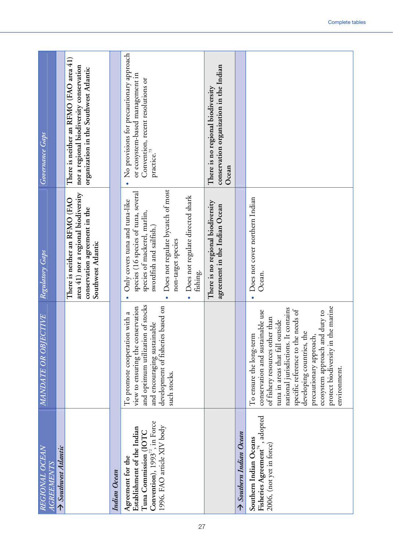| REGIONAL OCEAN<br><b>AGREEMENTS</b>                                                                                                            | MANDATE OR OBJECTIVE                                                                                                                                                                                                                                                                                                                                                   | Regulatory Gaps                                                                                                                                                                                                                                                                      | Governance Gaps                                                                                                                     |
|------------------------------------------------------------------------------------------------------------------------------------------------|------------------------------------------------------------------------------------------------------------------------------------------------------------------------------------------------------------------------------------------------------------------------------------------------------------------------------------------------------------------------|--------------------------------------------------------------------------------------------------------------------------------------------------------------------------------------------------------------------------------------------------------------------------------------|-------------------------------------------------------------------------------------------------------------------------------------|
| $\rightarrow$ Southwest Atlantic                                                                                                               |                                                                                                                                                                                                                                                                                                                                                                        |                                                                                                                                                                                                                                                                                      |                                                                                                                                     |
|                                                                                                                                                |                                                                                                                                                                                                                                                                                                                                                                        | area 41) nor a regional biodiversity<br>There is neither an RFMO (FAO<br>conservation agreement in the<br>Southwest Atlantic                                                                                                                                                         | There is neither an RFMO (FAO area 41)<br>nor a regional biodiversity conservation<br>organization in the Southwest Atlantic        |
| Indian Ocean                                                                                                                                   |                                                                                                                                                                                                                                                                                                                                                                        |                                                                                                                                                                                                                                                                                      |                                                                                                                                     |
| Convention), $1993^{72}$ , in Force<br>1996. FAO article XIV body<br>Establishment of the Indian<br>Tuna Commission (IOTC<br>Agreement for the | and optimum utilization of stocks<br>based on<br>view to ensuring the conservation<br>To promote cooperation with a<br>and encouraging sustainable<br>development of fisheries<br>such stocks.                                                                                                                                                                         | Does not regulate bycatch of most<br>species (16 species of tuna, several<br>Does not regulate directed shark<br>Only covers tuna and tuna-like<br>species of mackerel, marlin,<br>swordfish and sailfish.)<br>non-target species<br>fishing.<br>$\bullet$<br>$\bullet$<br>$\bullet$ | No provisions for precautionary approach<br>or ecosystem-based management in<br>Convention, recent resolutions or<br>practice. $73$ |
|                                                                                                                                                |                                                                                                                                                                                                                                                                                                                                                                        | There is no regional biodiversity<br>agreement in the Indian Ocean                                                                                                                                                                                                                   | conservation organization in the Indian<br>There is no regional biodiversity<br>Ocean                                               |
| Southern Indian Ocean                                                                                                                          |                                                                                                                                                                                                                                                                                                                                                                        |                                                                                                                                                                                                                                                                                      |                                                                                                                                     |
| , adopted<br>Southern Indian Oceans<br>2006, (not yet in force)<br>Fisheries Agreement <sup>74</sup>                                           | le marine<br>national jurisdictions. It contains<br>specific reference to the needs of<br>conservation and sustainable use<br>duty to<br>of fishery resources other than<br>tuna in areas that fall outside<br>developing countries, the<br>To ensure the long-term<br>precautionary approach,<br>ecosystem approach and<br>protect biodiversity in th<br>environment. | Does not cover northern Indian<br>Ocean.<br>$\bullet$                                                                                                                                                                                                                                |                                                                                                                                     |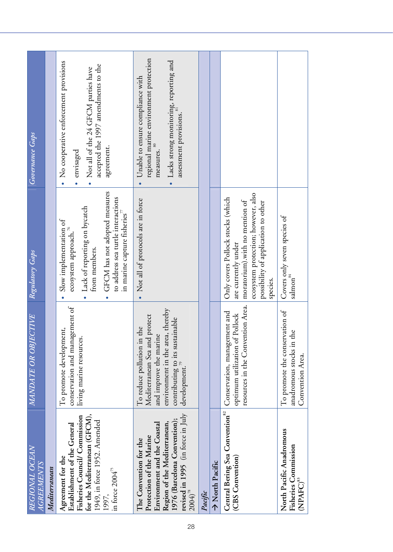| REGIONAL OCEAN<br><b>AGREEMENTS</b>                                                                                                                                                                    | MANDATE OR OBJECTIVE                                                                                                                                                                                          | Regulatory Gaps                                                                                                                                                                                                           | Governance Gaps                                                                                                                                             |
|--------------------------------------------------------------------------------------------------------------------------------------------------------------------------------------------------------|---------------------------------------------------------------------------------------------------------------------------------------------------------------------------------------------------------------|---------------------------------------------------------------------------------------------------------------------------------------------------------------------------------------------------------------------------|-------------------------------------------------------------------------------------------------------------------------------------------------------------|
| Mediterranean                                                                                                                                                                                          |                                                                                                                                                                                                               |                                                                                                                                                                                                                           |                                                                                                                                                             |
| for the Mediterranean (GFCM),<br>Fisheries Council/ Commission<br>1949, in force 1952. Amended<br>Establishment of the General<br>Agreement for the<br>in force $2004^{75}$<br>1997,                   | conservation and management of<br>To promote development,<br>living marine resources.                                                                                                                         | GFCM has not adopted measures<br>to address sea turtle interactions<br>Lack of reporting on bycatch<br>in marine capture fisheries<br>Slow implementation of<br>ecosystem approach. $^{76}$<br>from members.<br>$\bullet$ | • No cooperative enforcement provisions<br>accepted the 1997 amendments to the<br>Not all of the 24 GFCM parties have<br>agreement.<br>envisaged            |
| revised in 1995 (in force in July<br>1976 (Barcelona Convention);<br>Environment and the Coastal<br>Region of the Mediterranean,<br>Protection of the Marine<br>The Convention for the<br>$2004)^{78}$ | environment in the area, thereby<br>contributing to its sustainable<br>development $\overline{p}$<br>protect<br>To reduce pollution in the<br>and improve the marine<br>Mediterranean Sea and<br>development. | Not all of protocols are in force                                                                                                                                                                                         | regional marine environment protection<br>Lacks strong monitoring, reporting and<br>Unable to ensure compliance with<br>assessment provisions.<br>measures. |
| Pacific                                                                                                                                                                                                |                                                                                                                                                                                                               |                                                                                                                                                                                                                           |                                                                                                                                                             |
| → North Pacific                                                                                                                                                                                        |                                                                                                                                                                                                               |                                                                                                                                                                                                                           |                                                                                                                                                             |
| Central Bering Sea Convention <sup>82</sup><br>(CBS Convention)                                                                                                                                        | resources in the Convention Area.<br>Conservation, management and<br>optimum utilization of Pollock                                                                                                           | ecosystem protection; however, also<br>Only covers Pollock stocks (which<br>moratorium).with no mention of<br>possibility of application to other<br>are currently under<br>species.                                      |                                                                                                                                                             |
| North Pacific Anadromous<br>Fisheries Commission<br>(NPAFC) <sup>83</sup>                                                                                                                              | To promote the conservation of<br>anadromous stocks in the<br>Convention Area.                                                                                                                                | Covers only seven species of<br>$\mathrm{salmon}^{\mathrm{s}\mathrm{4}}$                                                                                                                                                  |                                                                                                                                                             |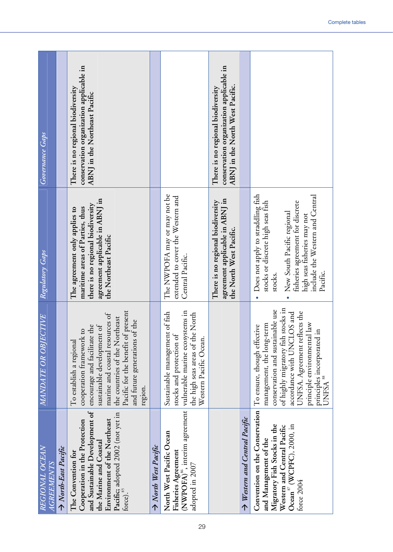| REGIONAL OCEAN<br><b>AGREEMENTS</b>                                                                                                                                                                           | MANDATE OR OBJECTIVE                                                                                                                                                                                                                                                                  | Regulatory Gaps                                                                                                                                                                                                                   | Governance Gaps                                                                                                 |
|---------------------------------------------------------------------------------------------------------------------------------------------------------------------------------------------------------------|---------------------------------------------------------------------------------------------------------------------------------------------------------------------------------------------------------------------------------------------------------------------------------------|-----------------------------------------------------------------------------------------------------------------------------------------------------------------------------------------------------------------------------------|-----------------------------------------------------------------------------------------------------------------|
| A North-East Pacific                                                                                                                                                                                          |                                                                                                                                                                                                                                                                                       |                                                                                                                                                                                                                                   |                                                                                                                 |
| and Sustainable Development of<br>Pacific; adopted 2002 (not yet in<br>force). <sup>85</sup><br>Environment of the Northeast<br>Cooperation in the Protection<br>the Marine and Coastal<br>The Convention for | Pacific for the benefit of present<br>marine and coastal resources of<br>the countries of the Northeast<br>of the<br>sustainable development of<br>encourage and facilitate the<br>cooperation framework to<br>and future generations<br>To establish a regional<br>region.           | agreement applicable in ABNJ in<br>there is no regional biodiversity<br>maritime areas of Parties, thus<br>The agreement only applies to<br>the Northeast Pacific                                                                 | conservation organization applicable in<br>There is no regional biodiversity<br>ABNJ in the Northeast Pacific   |
| Aorth West Pacific                                                                                                                                                                                            |                                                                                                                                                                                                                                                                                       |                                                                                                                                                                                                                                   |                                                                                                                 |
| North West Pacific Ocean<br>adopted in 2007                                                                                                                                                                   | Fisheries Agreement<br>(NWPOFA) <sup>86</sup> , interim agreement vulnerable marine ecosystems in<br>Sustainable management of fish<br>the high seas areas of the North<br>stocks and protection of<br>Western Pacific Ocean.                                                         | The NWPOFA may or may not be<br>extended to cover the Western and<br>Central Pacific.                                                                                                                                             |                                                                                                                 |
|                                                                                                                                                                                                               |                                                                                                                                                                                                                                                                                       | agreement applicable in ABNJ in<br>There is no regional biodiversity<br>the North West Pacific.                                                                                                                                   | conservation organization applicable in<br>ABNJ in the North West Pacific.<br>There is no regional biodiversity |
| $\rightarrow$ Western and Central Pacific                                                                                                                                                                     |                                                                                                                                                                                                                                                                                       |                                                                                                                                                                                                                                   |                                                                                                                 |
| Convention on the Conservation<br>Migratory Fish Stocks in the<br>Ocean <sup>87</sup> (WCPFC), 2000, in<br>Western and Central Pacific<br>and Management of the<br>force 2004                                 | of highly migratory fish stocks in<br>conservation and sustainable use<br>UNFSA. Agreement reflects the<br>accordance with UNCLOS and<br>principle environmental law<br>management, the long-term<br>To ensure, though effective<br>principles incorporated in<br>UNFSA <sup>88</sup> | Does not apply to straddling fish<br>include the Western and Central<br>stocks or discrete high seas fish<br>fisheries agreement for discrete<br>New South Pacific regional<br>high seas fisheries may not<br>Pacific.<br>stocks. |                                                                                                                 |
|                                                                                                                                                                                                               |                                                                                                                                                                                                                                                                                       |                                                                                                                                                                                                                                   |                                                                                                                 |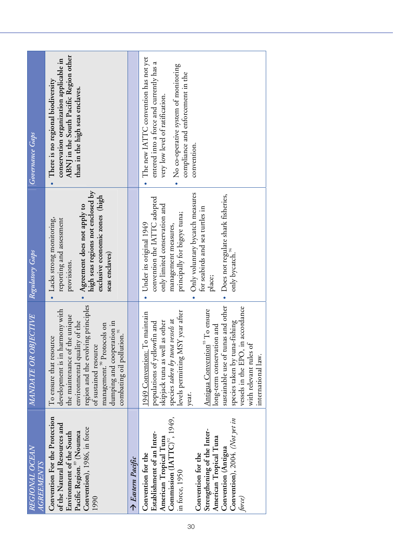| REGIONAL OCEAN<br><b>AGREEMENTS</b>                                                                                                                                                                                                                                                 | MANDATE OR OBJECTIVE                                                                                                                                                                                                                                                                                                                                                                                                    | Regulatory Gaps                                                                                                                                                                                                                                                                                                    | Governance Gaps                                                                                                                                                                                                   |
|-------------------------------------------------------------------------------------------------------------------------------------------------------------------------------------------------------------------------------------------------------------------------------------|-------------------------------------------------------------------------------------------------------------------------------------------------------------------------------------------------------------------------------------------------------------------------------------------------------------------------------------------------------------------------------------------------------------------------|--------------------------------------------------------------------------------------------------------------------------------------------------------------------------------------------------------------------------------------------------------------------------------------------------------------------|-------------------------------------------------------------------------------------------------------------------------------------------------------------------------------------------------------------------|
| Convention For the Protection<br>of the Natural Resources and<br>Convention), 1986, in force<br>Pacific Region. <sup>39</sup> (Noumea<br>Environment of the South<br>1990                                                                                                           | region and the evolving principles<br>development is in harmony with<br>the maintenance of the unique<br>dumping and cooperation in<br>environmental quality of the<br>management. <sup>30</sup> Protocols on<br>combating oil pollution. <sup>91</sup><br>To ensure that resource<br>of sustained resource                                                                                                             | high seas regions not enclosed by<br>exclusive economic zones (high<br>Agreement does not apply to<br>Lacks strong monitoring,<br>reporting and assessment<br>seas enclaves)<br>provisions.                                                                                                                        | ABNJ in the South Pacific Region other<br>conservation organization applicable in<br>There is no regional biodiversity<br>than in the high seas enclaves.                                                         |
| $\rightarrow$ Eastern Pacific                                                                                                                                                                                                                                                       |                                                                                                                                                                                                                                                                                                                                                                                                                         |                                                                                                                                                                                                                                                                                                                    |                                                                                                                                                                                                                   |
| Commission $[ATTC)^{\nu}$ , 1949,<br>Convention), 2004. (Not yet in<br>Strengthening of the Inter-<br>Establishment of an Inter-<br>American Tropical Tuna<br>American Tropical Tuna<br>Convention (Antigua<br>Convention for the<br>Convention for the<br>in force, 1950<br>force) | sustainable use of tunas and other<br>vessels in the EPO, in accordance<br>Antigua Convention <sup>93</sup> To ensure<br>levels permitting MSY year after<br>1949 Convention: To maintain<br>species taken by tuna vessels at<br>species taken by tuna-fishing<br>populations of yellowfin and<br>skipjack tuna as well as other<br>long-term conservation and<br>with relevant rules of<br>international law.<br>year. | Only voluntary bycatch measures<br>Does not regulate shark fisheries,<br>convention the IATTC adopted<br>only limited conservation and<br>for seabirds and sea turtles in<br>principally for bigeye tuna;<br>Under its original 1949<br>management measures,<br>only bycatch. <sup>94</sup><br>place;<br>$\bullet$ | The new IATTC convention has not yet<br>entered into a force and currently has a<br>• No co-operative system of monitoring<br>compliance and enforcement in the<br>very low level of ratification.<br>convention. |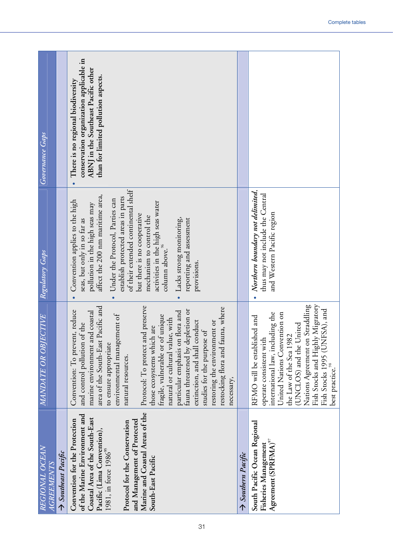| REGIONAL OCEAN<br><b>AGREEMENTS</b>                                                                                                                                                                                                                                                   | MANDATE OR OBJECTIVE                                                                                                                                                                                                                                                                                                                                                                                                                                                                                                                                                                        | Regulatory Gaps                                                                                                                                                                                                                                                                                                                                                                                                                                                                     | Governance Gaps                                                                                                                                            |
|---------------------------------------------------------------------------------------------------------------------------------------------------------------------------------------------------------------------------------------------------------------------------------------|---------------------------------------------------------------------------------------------------------------------------------------------------------------------------------------------------------------------------------------------------------------------------------------------------------------------------------------------------------------------------------------------------------------------------------------------------------------------------------------------------------------------------------------------------------------------------------------------|-------------------------------------------------------------------------------------------------------------------------------------------------------------------------------------------------------------------------------------------------------------------------------------------------------------------------------------------------------------------------------------------------------------------------------------------------------------------------------------|------------------------------------------------------------------------------------------------------------------------------------------------------------|
| $\Rightarrow$ Southeast Pacific                                                                                                                                                                                                                                                       |                                                                                                                                                                                                                                                                                                                                                                                                                                                                                                                                                                                             |                                                                                                                                                                                                                                                                                                                                                                                                                                                                                     |                                                                                                                                                            |
| Marine and Coastal Areas of the<br>of the Marine Environment and<br>Coastal Area of the South-East<br>Convention for the Protection<br>and Management of Protected<br>Protocol for the Conservation<br>Pacific (Lima Convention),<br>1981, in force $1986^{95}$<br>South-East Pacific | area of the South-East Pacific and<br>Protocol: To protect and preserve<br>restocking flora and fauna, where<br>fauna threatened by depletion or<br>Convention: To prevent, reduce<br>particular emphasis on flora and<br>marine environment and coastal<br>environmental management of<br>fragile, vulnerable or of unique<br>natural or cultural value, with<br>extinction, and shall conduct<br>restoring the environment or<br>and control pollution of the<br>are<br>studies for the purpose of<br>those ecosystems which<br>to ensure appropriate<br>natural resources.<br>necessary, | of their extended continental shelf<br>affect the 200 nm maritime area,<br>establish protected areas in parts<br>Under the Protocol, Parties can<br>Convention applies to the high<br>activities in the high seas water<br>pollution in the high seas may<br>but there is no cooperative<br>mechanism to control the<br>Lacks strong monitoring,<br>reporting and assessment<br>seas, but only in so far as<br>column above. <sup>96</sup><br>provisions.<br>$\bullet$<br>$\bullet$ | conservation organization applicable in<br>ABNJ in the Southeast Pacific other<br>than for limited pollution aspects.<br>There is no regional biodiversity |
| $\rightarrow$ Southern Pacific                                                                                                                                                                                                                                                        |                                                                                                                                                                                                                                                                                                                                                                                                                                                                                                                                                                                             |                                                                                                                                                                                                                                                                                                                                                                                                                                                                                     |                                                                                                                                                            |
| South Pacific Ocean Regional<br>Agreement (SPRFMA) <sup>97</sup><br>Fisheries Management                                                                                                                                                                                              | Fish Stocks and Highly Migratory<br>Nations Agreement on Straddling<br>Fish Stocks 1995 (UNFSA), and<br>international law, including the<br>United Nations Convention on<br>RFMO will be established and<br>(UNCLOS) and the United<br>the Law of the Sea 1982<br>operate consistent with<br>best practice. <sup>98</sup>                                                                                                                                                                                                                                                                   | Northern boundary not delimited,<br>thus may not include the Central<br>and Western Pacific region<br>$\bullet$                                                                                                                                                                                                                                                                                                                                                                     |                                                                                                                                                            |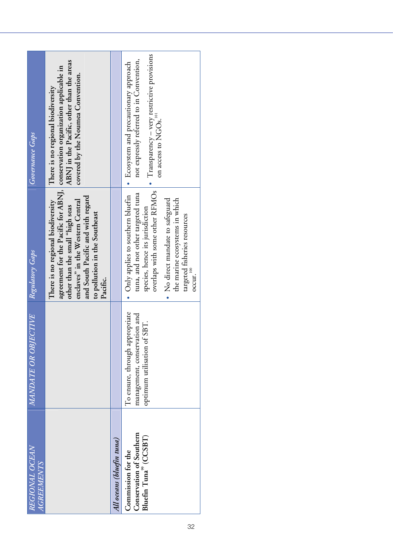| Governance Gaps                     | ABNJ in the Pacific, other than the areas<br>agreement for the Pacific for ABNJ, conservation organization applicable in<br>covered by the Noumea Convention.<br>There is no regional biodiversity |                           | $\bullet$ Transparency – very restrictive provisions<br>not expressly referred to in Convention,<br>• Ecosystem and precautionary approach<br>on access to NGOs. <sup>101</sup>                                                                              |
|-------------------------------------|----------------------------------------------------------------------------------------------------------------------------------------------------------------------------------------------------|---------------------------|--------------------------------------------------------------------------------------------------------------------------------------------------------------------------------------------------------------------------------------------------------------|
| Regulatory Gaps                     | and South Pacific and with regard<br>There is no regional biodiversity<br>enclaves" in the Western Central<br>other than the small "high seas<br>to pollution in the Southeast<br>Pacific.         |                           | overlaps with some other RFMOs<br>tuna, and not other targeted tuna<br>• Only applies to southern bluefin<br>No direct mandate to safeguard<br>the marine ecosystems in which<br>species, hence its jurisdiction<br>targeted fisheries resources<br>$ocu$ r. |
| MANDATE OR OBJECTIVE                |                                                                                                                                                                                                    |                           | To ensure, through appropriate<br>management, conservation and<br>optimum utilisation of SBT.                                                                                                                                                                |
| REGIONAL OCEAN<br><i>AGREEMENTS</i> |                                                                                                                                                                                                    | All oceans (bluefin tuna) | Conservation of Southern<br>Bluefin Tuna <sup>99</sup> (CCSBT)<br>Commission for the                                                                                                                                                                         |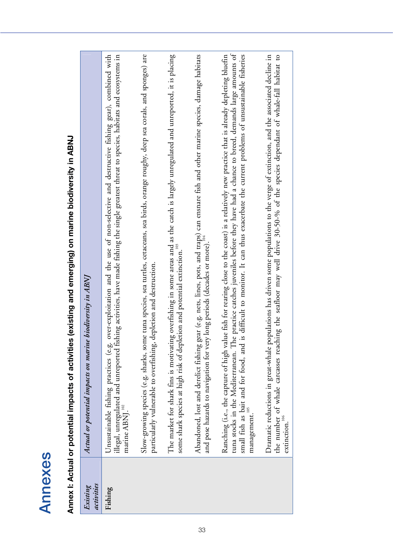| ¢<br>ſ |  |
|--------|--|
| ŗ      |  |
| ŗ      |  |
|        |  |
|        |  |
|        |  |

**Annex I: Actual or potential impacts of activities (existing and emerging) on marine biodiversity in ABNJ**  Annex I: Actual or potential impacts of activities (existing and emerging) on marine biodiversity in ABNJ

| activities<br>Existing | biodiversity in ABNJ<br>Actual or potential impacts on marine                                                                                                                                                                                                                                                                                                                                                                                 |
|------------------------|-----------------------------------------------------------------------------------------------------------------------------------------------------------------------------------------------------------------------------------------------------------------------------------------------------------------------------------------------------------------------------------------------------------------------------------------------|
| Fishing                | over-exploitation and the use of non-selective and destructive fishing gear), combined with<br>illegal, unregulated and unreported fishing activities, have made fishing the single greatest threat to species, habitats and ecosystems in<br>Unsustainable fishing practices (e.g.<br>marine ABNJ. <sup>102</sup>                                                                                                                            |
|                        | ie tuna species, sea turtles, cetaceans, sea birds, orange roughy, deep sea corals, and sponges) are<br>depletion and destruction.<br>Slow-growing species (e.g. sharks, som<br>particularly vulnerable to overfishing,                                                                                                                                                                                                                       |
|                        | The market for shark fins is motivating overfishing in some areas and as the catch is largely unregulated and unreported, it is placing<br>some shark species at high risk of depletion and potential extinction."                                                                                                                                                                                                                            |
|                        | Abandoned, lost and derelict fishing gear (e.g. nets, lines, pots, and traps) can ensnare fish and other marine species, damage habitats<br>and pose hazards to navigation for very long periods (decades or more). <sup>104</sup>                                                                                                                                                                                                            |
|                        | tuna stocks in the Mediterranean. The practice catches juveniles before they have had a chance to breed, demands large amounts of<br>Ranching (i.e., the capture of high value fish for rearing close to the coast) is a relatively new practice that is already depleting bluefin<br>s difficult to monitor. It can thus exacerbate the current problems of unsustainable fisheries<br>small fish as bait and for food, and i<br>management. |
|                        | the number of whale carcasses reaching the seafloor may well drive 30-50-% of the species dependant of whale-fall habitat to<br>Dramatic reductions in great-whale populations has driven some populations to the verge of extinction, and the associated decline in<br>extinction.                                                                                                                                                           |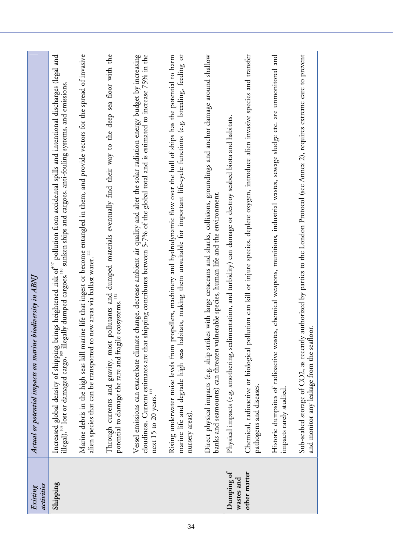| activities<br>Existing   | biodiversity in ABNJ<br>Actual or potential impacts on marine                                                                                                                                                                                                                           |
|--------------------------|-----------------------------------------------------------------------------------------------------------------------------------------------------------------------------------------------------------------------------------------------------------------------------------------|
| Shipping                 | Increased global density of shipping brings heightened risk of $^{\alpha\sigma}$ pollution from accidental spills and intentional discharges (legal and<br>illegal), " lost or damaged cargo, " illegally dumped cargoes, " sunken ships a                                              |
|                          | Marine debris in the high seas kill marine life that ingest or become entangled in them, and provide vectors for the spread of invasive<br>new areas via ballast water. <sup>111</sup><br>alien species that can be transported to                                                      |
|                          | pollutants and dumped materials eventually find their way to the deep sea floor with the ecosystems. <sup>112</sup><br>potential to damage the rare and fragile<br>Through currents and gravity, most                                                                                   |
|                          | Vessel emissions can exacerbate climate change, decrease ambient air quality and alter the solar radiation energy budget by increasing<br>cloudiness. Current estimates are that shipping contributes between 5-7% of the global<br>next 15 to 20 years. $^{\rm 113}$                   |
|                          | marine life and degrade high seas habitats, making them unsuitable for important life-cycle functions (e.g. breeding, feeding or<br>Rising underwater noise levels from propellers, machinery and hydrodynamic flow over the hull of ships has the potential to harm<br>nursery areas). |
|                          | es with large cetaceans and sharks, collisions, groundings and anchor damage around shallow<br>banks and seamounts) can threaten vulnerable species, human life and the environment.<br>Direct physical impacts (e.g. ship strik                                                        |
| Dumping of<br>wastes and | Physical impacts (e.g. smothering, sedimentation, and turbidity) can damage or destroy seabed biota and habitats.                                                                                                                                                                       |
| other matter             | Chemical, radioactive or biological pollution can kill or injure species, deplete oxygen, introduce alien invasive species and transfer<br>pathogens and diseases.                                                                                                                      |
|                          | Historic dumpsites of radioactive wastes, chemical weapons, munitions, industrial wastes, sewage sludge etc. are unmonitored and<br>impacts rarely studied.                                                                                                                             |
|                          | Sub-seabed storage of CO2, as recently authorized by parties to the London Protocol (see Annex 2), requires extreme care to prevent<br>and monitor any leakage from the seafloor.                                                                                                       |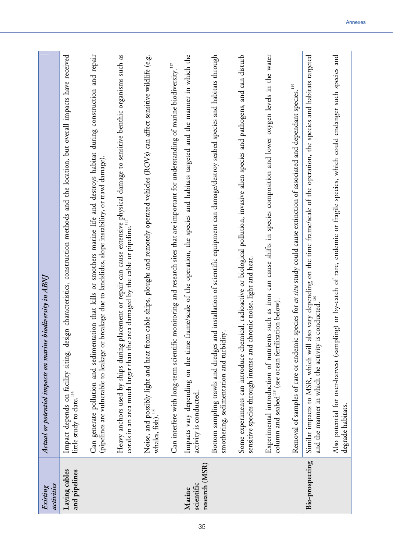| activities<br>Existing                 | Actual or potential impacts on marine biodiversity in ABNJ                                                                                                                                                                        |
|----------------------------------------|-----------------------------------------------------------------------------------------------------------------------------------------------------------------------------------------------------------------------------------|
| Laying cables<br>and pipelines         | Impact depends on facility siting, design characteristics, construction methods and the location, but overall impacts have received<br>little study to date. <sup>114</sup>                                                       |
|                                        | Can generate pollution and sedimentation that kills or smothers marine life and destroys habitat during construction and repair<br>(pipelines are vulnerable to leakage or breakage due to landslides, slope instability, or traw |
|                                        | Heavy anchors used by ships during placement or repair can cause extensive physical damage to sensitive benthic organisms such as<br>corals in an area much larger than the area damaged by the cable or pipeline."               |
|                                        | Noise, and possibly light and heat from cable ships, ploughs and remotely operated vehicles (ROVs) can affect sensitive wildlife (e.g.<br>whales, fish). <sup>116</sup>                                                           |
|                                        | monitoring and research sites that are important for understanding of marine biodiversity. <sup>117</sup><br>Can interfere with long-term scientific                                                                              |
| research (MSR)<br>scientific<br>Marine | frame/scale of the operation, the species and habitats targeted and the manner in which the<br>Impacts vary depending on the time<br>activity is conducted.                                                                       |
|                                        | Bottom sampling trawls and dredges and installation of scientific equipment can damage/destroy seabed species and habitats through<br>smothering, sedimentation and turbidity                                                     |
|                                        | Some experiments can introduce chemical, radioactive or biological pollution, invasive alien species and pathogens, and can disturb<br>sensitive species through intense and chronic noise, light and heat                        |
|                                        | Experimental introduction of nutrients such as iron can cause shifts in species composition and lower oxygen levels in the water<br>column and seabed <sup>118</sup> (see ocean fertilization below)                              |
|                                        | species for ex situ study could cause extinction of associated and dependant species. <sup>119</sup><br>Removal of samples of rare or endemic                                                                                     |
| Bio-prospecting                        | Similar impacts to MSR, which will also vary depending on the time frame/scale of the operation, the species and habitats targeted<br>and the manner in which the activity is conducted. <sup>120</sup>                           |
|                                        | Also potential for over-harvest (sampling) or by-catch of rare, endemic or fragile species, which could endanger such species and<br>degrade habitats.                                                                            |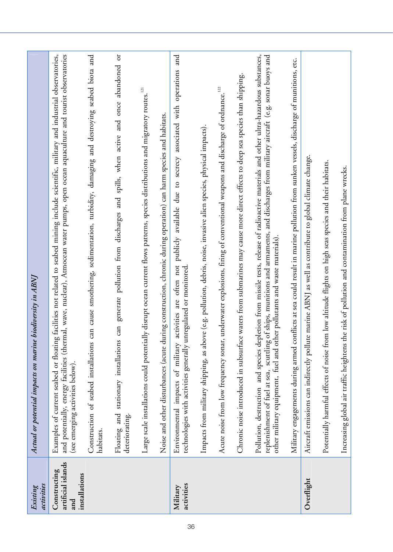| activities<br>Existing                                     | biodiversity in ABNJ<br>Actual or potential impacts on marine                                                                                                                                                                                                                                                                                                      |
|------------------------------------------------------------|--------------------------------------------------------------------------------------------------------------------------------------------------------------------------------------------------------------------------------------------------------------------------------------------------------------------------------------------------------------------|
| artificial islands<br>Constructing<br>installations<br>and | and potentially, energy facilities (thermal, wave, nuclear), Atmocean water pumps, open ocean aquaculture and tourist observatories<br>Examples of current seabed or floating facilities not related to seabed mining include scientific, military and industrial observatories,<br>(see emerging activities below).                                               |
|                                                            | can cause smothering, sedimentation, turbidity, damaging and destroying seabed biota and<br>Construction of seabed installations<br>habitats.                                                                                                                                                                                                                      |
|                                                            | ð<br>generate pollution from discharges and spills, when active and once abandoned<br>can<br>Floating and stationary installations<br>deteriorating.                                                                                                                                                                                                               |
|                                                            | 121<br>Large scale installations could potentially disrupt ocean current flows patterns, species distributions and migratory routes.                                                                                                                                                                                                                               |
|                                                            | Noise and other disturbances (acute during construction, chronic during operation) can harm species and habitats.                                                                                                                                                                                                                                                  |
| activities<br>Military                                     | activities are often not publicly available due to secrecy associated with operations and<br>technologies with activities generally unregulated or monitored<br>Environmental impacts of military                                                                                                                                                                  |
|                                                            | Impacts from military shipping, as above (e.g. pollution, debris, noise, invasive alien species, physical impacts).                                                                                                                                                                                                                                                |
|                                                            | underwater explosions, firing of conventional weapons and discharge of ordnance.<br>Acute noise from low frequency sonar,                                                                                                                                                                                                                                          |
|                                                            | Chronic noise introduced in subsurface waters from submarines may cause more direct effects to deep sea species than shipping.                                                                                                                                                                                                                                     |
|                                                            | Pollution, destruction and species depletion from missile tests, release of radioactive materials and other ultra-hazardous substances,<br>replenishment of fuel at sea, scuttling of ships, munitions and armaments, and discharges from military aircraft (e.g. sonar buoys and<br>er pollutants and waste materials).<br>other military equipment, fuel and oth |
|                                                            | Military engagements during armed conflicts at sea could result in marine pollution from sunken vessels, discharge of munitions, etc.                                                                                                                                                                                                                              |
| Overflight                                                 | Aircraft emissions can indirectly pollute marine ABNJ as well as contribute to global climate change.                                                                                                                                                                                                                                                              |
|                                                            | Potentially harmful effects of noise from low altitude flights on high seas species and their habitats.                                                                                                                                                                                                                                                            |
|                                                            | Increasing global air traffic heightens the risk of pollution and contamination from plane wrecks.                                                                                                                                                                                                                                                                 |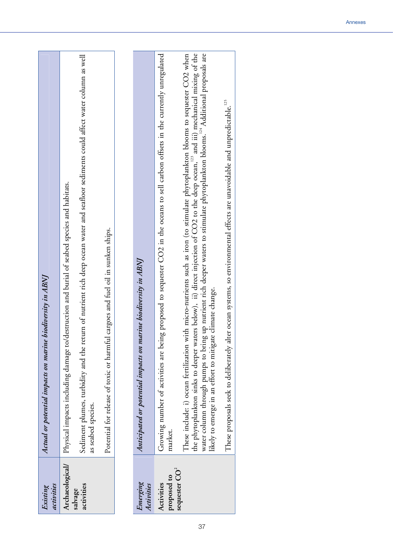| activities<br>Existing    | Actual or potential impacts on marine biodiversity in ABNJ                                                                                                                                                                                                                                                                                                                                                                                                                                               |
|---------------------------|----------------------------------------------------------------------------------------------------------------------------------------------------------------------------------------------------------------------------------------------------------------------------------------------------------------------------------------------------------------------------------------------------------------------------------------------------------------------------------------------------------|
| Archaeological/           | Physical impacts including damage to/destruction and burial of seabed species and habitats.                                                                                                                                                                                                                                                                                                                                                                                                              |
| activities<br>salvage     | Sediment plumes, turbidity and the return of nutrient rich deep ocean water and seafloor sediments could affect water column as well<br>as seabed species.                                                                                                                                                                                                                                                                                                                                               |
|                           | Potential for release of toxic or harmful cargoes and fuel oil in sunken ships.                                                                                                                                                                                                                                                                                                                                                                                                                          |
|                           |                                                                                                                                                                                                                                                                                                                                                                                                                                                                                                          |
| Emerging<br>Activities    | Anticipated or potential impacts on marine biodiversity in ABNJ                                                                                                                                                                                                                                                                                                                                                                                                                                          |
| proposed to<br>Activities | Growing number of activities are being proposed to sequester CO2 in the oceans to sell carbon offsets in the currently unregulated<br>market.                                                                                                                                                                                                                                                                                                                                                            |
| sequester $CO2$           | the phytoplankton sinks to deeper waters below), ii) direct injection of CO2 to the deep ocean, <sup>123</sup> and iii) mechanical mixing of the<br>up nutrient rich deeper waters to stimulate phytoplankton blooms. <sup>124</sup> Additional proposals are<br>These include: i) ocean fertilization with micro-nutrients such as iron (to stimulate phytoplankton blooms to sequester CO2 when<br>climate change.<br>water column through pumps to bring<br>likely to emerge in an effort to mitigate |
|                           | These proposals seek to deliberately alter ocean systems, so environmental effects are unavoidable and unpredictable. <sup>125</sup>                                                                                                                                                                                                                                                                                                                                                                     |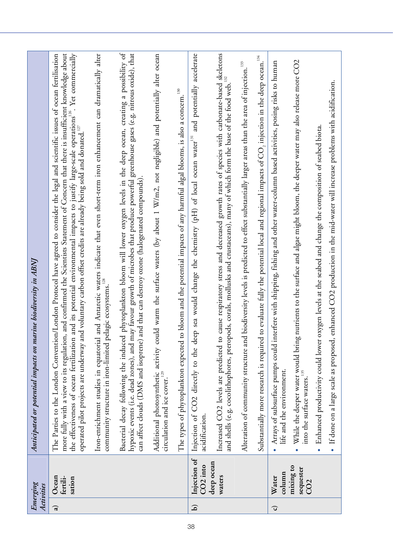|               | Emerging<br>Activities                    | Anticipated or potential impacts on marine biodiversity in ABNJ                                                                                                                                                                                                                                                                                                                                                                                                                                                                                                             |
|---------------|-------------------------------------------|-----------------------------------------------------------------------------------------------------------------------------------------------------------------------------------------------------------------------------------------------------------------------------------------------------------------------------------------------------------------------------------------------------------------------------------------------------------------------------------------------------------------------------------------------------------------------------|
| $\widehat{a}$ | Ocean<br>fertili-<br>sation               | more fully with a view to its regulation, and confirmed the Scientists Statement of Concern that there is insufficient knowledge about<br>n/London Protocol have agreed to consider the legal and scientific issues of ocean fertilisation<br>and its potential environmental impacts to justify large-scale operations <sup>126</sup> . Yet commercially<br>operated pilot projects are underway and voluntary carbon offset credits are already being sold and donated. <sup>127</sup><br>The Parties to the London Conventio<br>the effectiveness of ocean fertilization |
|               |                                           | and Antarctic waters indicate that even short-term iron enhancement can dramatically alter relagic ecosystems. <sup>128</sup><br>Iron-enrichment studies in equatorial<br>community structure in iron-limited p                                                                                                                                                                                                                                                                                                                                                             |
|               |                                           | Bacterial decay following the induced phytoplankton bloom will lower oxygen levels in the deep ocean, creating a possibility of<br>hypoxic events (i.e. dead zones), and may favour growth of microbes that produce powerful greenhouse gases (e.g. nitrous oxide), that<br>and that can destroy ozone (halogenated compounds).<br>can affect clouds (DMS and isoprene)                                                                                                                                                                                                     |
|               |                                           | Additional photosynthetic activity could warm the surface waters (by about 1 W/m2, not negligible) and potentially alter ocean<br>circulation and ice cover. <sup>129</sup>                                                                                                                                                                                                                                                                                                                                                                                                 |
|               |                                           | The types of phytoplankton expected to bloom and the potential impacts of any harmful algal blooms, is also a concern. <sup>130</sup>                                                                                                                                                                                                                                                                                                                                                                                                                                       |
| $\mathbf{D}$  | Injection of<br>CO <sub>2</sub> into      | Injection of CO2 directly to the deep sea would change the chemistry (pH) of local ocean water <sup>131</sup> and potentially accelerate<br>acidification.                                                                                                                                                                                                                                                                                                                                                                                                                  |
|               | deep ocean<br>waters                      | cause respiratory stress and decreased growth rates of species with carbonate-based skeletons<br>and shells (e.g. cocolithophores, pteropods, corals, mollusks and crustaceans), many of which form the base of the food web.<br>Increased CO2 levels are predicted to                                                                                                                                                                                                                                                                                                      |
|               |                                           | Alteration of community structure and biodiversity levels is predicted to effect substantially larger areas than the area of injection. <sup>133</sup>                                                                                                                                                                                                                                                                                                                                                                                                                      |
|               |                                           | to evaluate fully the potential local and regional impacts of $\mathrm{CO}_2$ injection in the deep ocean. <sup>134</sup><br>Substantially more research is required                                                                                                                                                                                                                                                                                                                                                                                                        |
| G             | column<br>Water                           | Arrays of subsurface pumps could interfere with shipping, fishing and other water-column based activities, posing risks to human<br>life and the environment.<br>$\bullet$                                                                                                                                                                                                                                                                                                                                                                                                  |
|               | mixing to<br>sequester<br>CO <sub>2</sub> | nutrients to the surface and algae might bloom, the deeper water may also release more CO2<br>While the deeper water would bring<br>into the surface waters. <sup>135</sup>                                                                                                                                                                                                                                                                                                                                                                                                 |
|               |                                           | oxygen levels at the seabed and change the composition of seabed biota.<br>Enhanced productivity could lower<br>$\bullet$                                                                                                                                                                                                                                                                                                                                                                                                                                                   |
|               |                                           | enhanced CO2 production in the mid-water will increase problems with acidification.<br>If done on a large scale as proposed,                                                                                                                                                                                                                                                                                                                                                                                                                                                |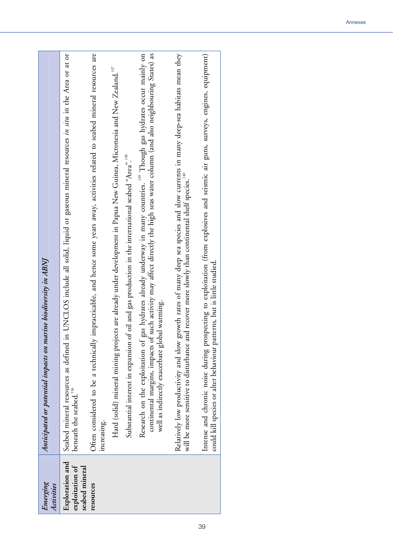| Emerging<br>Activities                               | Anticipated or potential impacts on marine biodiversity in ABNJ                                                                                                                                                                                                                                                           |
|------------------------------------------------------|---------------------------------------------------------------------------------------------------------------------------------------------------------------------------------------------------------------------------------------------------------------------------------------------------------------------------|
| Exploration and<br>exploitation of<br>seabed mineral | UNCLOS include all solid, liquid or gaseous mineral resources in situ in the Area or at or<br>Seabed mineral resources as defined in<br>beneath the seabed. <sup>136</sup>                                                                                                                                                |
| increasing.<br>resources                             | impracticable, and hence some years away, activities related to seabed mineral resources are<br>Often considered to be a technically                                                                                                                                                                                      |
|                                                      | Hard (solid) mineral mining projects are already under development in Papua New Guinea, Micronesia and New Zealand. <sup>137</sup>                                                                                                                                                                                        |
|                                                      | Substantial interest in expansion of oil and gas production in the international seabed "Area". <sup>138</sup>                                                                                                                                                                                                            |
|                                                      | continental margins, impacts of such activity may affect directly the high seas water column (and also neighbouring States) as<br>gas hydrates already underway in many countries. <sup>139</sup> Though gas hydrates occur mainly on<br>well as indirectly exacerbate global warming.<br>Research on the exploitation of |
|                                                      | Relatively low productivity and slow growth rates of many deep sea species and slow currents in many deep-sea habitats mean they<br>will be more sensitive to disturbance and recover more slowly than continental shelf species. <sup>140</sup>                                                                          |
|                                                      | Intense and chronic noise during prospecting to exploitation (from explosives and seismic air guns, surveys, engines, equipment)<br>could kill species or alter behaviour patterns, but is little studied.                                                                                                                |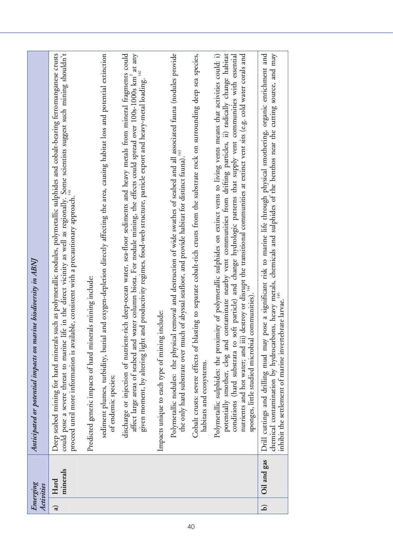|               | Emerging<br>Activities | Anticipated or potential impacts on marine biodiversity in ABNJ                                                                                                                                                                                                                                                                                                                                                                                                                                                                                                                              |
|---------------|------------------------|----------------------------------------------------------------------------------------------------------------------------------------------------------------------------------------------------------------------------------------------------------------------------------------------------------------------------------------------------------------------------------------------------------------------------------------------------------------------------------------------------------------------------------------------------------------------------------------------|
| $\widehat{a}$ | minerals<br>Hard       | could pose a severe threat to marine life in the direct vicinity as well as regionally. Some scientists suggest such mining shouldn't<br>proceed until more information is available, consistent with a precautionary approach. <sup></sup><br>such as polymetallic nodules, polymetallic sulphides and cobalt-bearing ferromanganese crusts<br>Deep seabed mining for hard minerals                                                                                                                                                                                                         |
|               |                        | and oxygen-depletion directly affecting the area, causing habitat loss and potential extinction<br>Predicted generic impacts of hard minerals mining include:<br>sediment plumes, turbidity, buria<br>of endemic species;                                                                                                                                                                                                                                                                                                                                                                    |
|               |                        | FIRM weep-occur was seen to the critical spread over 100s-1000s km <sup>2</sup> at any water column biota. For nodule mining, the effects could spread over 100s-1000s km <sup>2</sup> at any<br>discharge or injection of nutrient-rich deep-ocean water, sea-floor sediments and heavy metals from mineral fragments could<br>and productivity regimes, food-web structure, particle export and heavy-metal loading.<br>given moment, by altering light<br>affect large areas of seabed and                                                                                                |
|               |                        | Impacts unique to each type of mining include:                                                                                                                                                                                                                                                                                                                                                                                                                                                                                                                                               |
|               |                        | Polymetallic nodules: the physical removal and destruction of wide swathes of seabed and all associated fauna (nodules provide<br>the only hard substrate over much of abyssal seafloor, and provide habitat for distinct fauna).                                                                                                                                                                                                                                                                                                                                                            |
|               |                        | Cobalt crusts: severe effects of blasting to separate cobalt-rich crusts from the substrate rock on surrounding deep sea species,<br>habitats and ecosystems.                                                                                                                                                                                                                                                                                                                                                                                                                                |
|               |                        | contaminate nearby vent communities from drifting particles, ii) radically change habitat<br>) destroy or disrupt the transitional communities at extinct vent sits (e.g. cold water corals and<br>Polymetallic sulphides: the proximity of polymetallic sulphides on extinct vents to living vents means that activities could: i)<br>soft particle) and change hydrologic patterns that supply vent communities with essential<br>communities)<br>nutrients and hot water; and iii)<br>sponges, little studied microbial<br>potentially smother, clog and<br>conditions (hard substrata to |
| $\mathbf{D}$  | Oil and gas            | chemical contamination by hydrocarbons, heavy metals, chemicals and sulphides of the benthos near the cutting source, and may<br>inhibit the settlement of marine invertebrate larvae. <sup>145</sup><br>pose a significant risk to marine life through physical smothering, organic enrichment and<br>Drill cuttings and drilling mud may                                                                                                                                                                                                                                                   |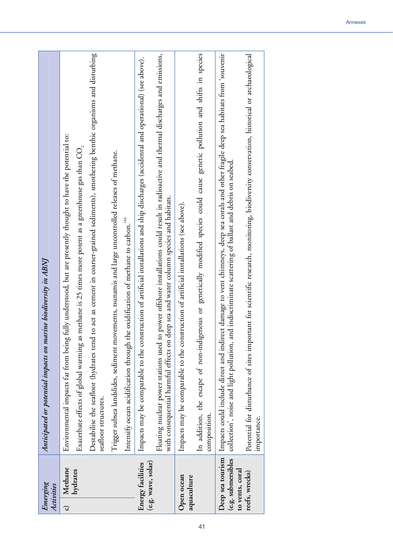|                | Emerging<br>Activities                  | Anticipated or potential impacts on marine biodiversity in ABNJ                                                                                                                                                                                                  |
|----------------|-----------------------------------------|------------------------------------------------------------------------------------------------------------------------------------------------------------------------------------------------------------------------------------------------------------------|
| $\overline{c}$ | Methane                                 | fully understood, but are presently thought to have the potential to:<br>Environmental impacts far from being                                                                                                                                                    |
|                | hydrates                                | Exacerbate effects of global warming as methane is 25 times more potent as a greenhouse gas than $\mathrm{CO}_2$                                                                                                                                                 |
|                |                                         | to act as cement in coarser-grained sediments), smothering benthic organisms and disturbing<br>Destabilise the seafloor (hydrates tend<br>seatloor structures.                                                                                                   |
|                |                                         | Trigger subsea landslides, sediment movements, tsunamis and large uncontrolled releases of methane.                                                                                                                                                              |
|                |                                         | Intensify ocean acidification through the oxidification of methane to carbon. <sup>146</sup>                                                                                                                                                                     |
|                | (e.g. wave, solar)<br>Energy facilities | struction of artificial installations and ship discharges (accidental and operational) (see above).<br>Impacts may be comparable to the con                                                                                                                      |
|                |                                         | Floating nuclear power stations used to power offshore installations could result in radioactive and thermal discharges and emissions,<br>deep sea and water column species and habitats.<br>with consequential harmful effects on                               |
|                | Open ocean<br>aquaculture               | Impacts may be comparable to the construction of artificial installations (see above).                                                                                                                                                                           |
|                |                                         | In addition, the escape of non-indigenous or genetically modified species could cause genetic pollution and shifts in species<br>composition.                                                                                                                    |
|                | (e.g. submersibles                      | Deep sea tourism Impacts could include direct and indirect damage to vent chimneys, deep sea corals and other fragile deep sea habitats from 'souvenir<br>collection', noise and light pollution, and indiscriminate scattering of ballast and debris on seabed. |
|                | to vents, coral<br>reefs, wrecks)       | Potential for disturbance of sites important for scientific research, monitoring, biodiversity conservation, historical or archaeological<br>importance.                                                                                                         |
|                |                                         |                                                                                                                                                                                                                                                                  |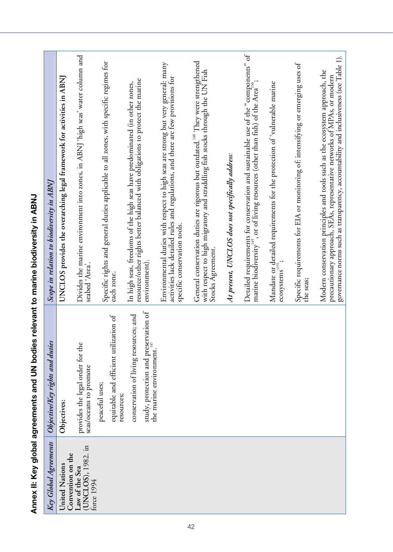| Key Global Agreements                              | ObjectivelKey rights and duties                                                                                      | Scope in relation to biodiversity in ABNJ                                                                                                                                                                                                          |
|----------------------------------------------------|----------------------------------------------------------------------------------------------------------------------|----------------------------------------------------------------------------------------------------------------------------------------------------------------------------------------------------------------------------------------------------|
| Convention on the<br>United Nations                | Objectives:                                                                                                          | UNCLOS provides the overarching legal framework for activities in ABNJ                                                                                                                                                                             |
| (UNCLOS), 1982. in<br>Law of the Sea<br>force 1994 | provides the legal order for the<br>seas/oceans to promote                                                           | Divides the marine environment into zones, in ABNJ 'high seas' water column and<br>seabed 'Area'.                                                                                                                                                  |
|                                                    | equitable and efficient utilization of<br>peaceful uses;<br>resources;                                               | Specific rights and general duties applicable to all zones, with specific regimes for<br>each zone.                                                                                                                                                |
|                                                    | study, protection and preservation of<br>ces; and<br>conservation of living resour<br>147<br>the marine environment. | resource/other rights better balanced with obligations to protect the marine<br>In high seas, freedoms of the high seas have predominated (in other zones,<br>environment).                                                                        |
|                                                    |                                                                                                                      | Environmental duties with respect to high seas are strong but very general: many<br>activities lack detailed rules and regulations, and there are few provisions for<br>specific conservation tools.                                               |
|                                                    |                                                                                                                      | General conservation duties are rigorous but outdated. <sup>148</sup> They were strengthened<br>with respect to high migratory and straddling fish stocks through the UN Fish<br>Stocks Agreement.                                                 |
|                                                    |                                                                                                                      | At present, UNCLOS does not specifically address:                                                                                                                                                                                                  |
|                                                    |                                                                                                                      | Detailed requirements for conservation and sustainable use of the "components" of marine biodiversity", or of living resources (other than fish) of the Area <sup>13</sup> ;                                                                       |
|                                                    |                                                                                                                      | Mandate or detailed requirements for the protection of 'vulnerable marine<br>ecosystems <sup>3151</sup> ;                                                                                                                                          |
|                                                    |                                                                                                                      | Specific requirements for EIA or monitoring of: intensifying or emerging uses of<br>the seas;                                                                                                                                                      |
|                                                    |                                                                                                                      | governance norms such as transparency, accountability and inclusiveness (see Table 1).<br>Modern conservation principles and tools such as the ecosystem approach, the<br>precautionary approach, SEAs, representative networks of MPAs, or modern |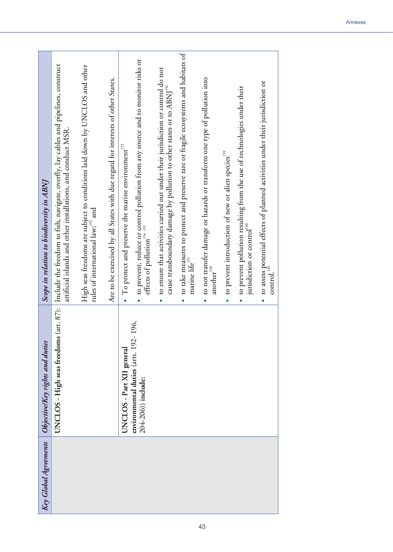| Key Global Agreements | ObjectivelKey rights and duties                                | Scope in relation to biodiversity in ABNJ                                                                                                                                          |
|-----------------------|----------------------------------------------------------------|------------------------------------------------------------------------------------------------------------------------------------------------------------------------------------|
|                       | UNCLOS - High seas freedoms                                    | (art. 87):   Include the freedom to fish, navigate, overfly, lay cables and pipelines, construct<br>artificial islands and other installations, and conduct MSR.                   |
|                       |                                                                | High seas freedoms are subject to conditions laid down by UNCLOS and other<br>rules of international law; and                                                                      |
|                       |                                                                | Are to be exercised by all States with due regard for interests of other States.                                                                                                   |
|                       | UNCLOS - Part XII general                                      | To protect and preserve the marine environment <sup>153</sup>                                                                                                                      |
|                       | 196,<br>environmental duties (arts. 192-<br>204-206)) include: | to prevent, reduce or control pollution from any source and to monitor risks or<br>effects of pollution 154 155                                                                    |
|                       |                                                                | to ensure that activities carried out under their jurisdiction or control do not<br>cause transboundary damage by pollution to other states or to ABNJ <sup>156</sup><br>$\bullet$ |
|                       |                                                                | to take measures to protect and preserve rare or fragile ecosystems and habitats of<br>marine life <sup>157</sup>                                                                  |
|                       |                                                                | to not transfer damage or hazards or transform one type of pollution into<br>another $^{\rm 158}$                                                                                  |
|                       |                                                                | to prevent introduction of new or alien species <sup>159</sup>                                                                                                                     |
|                       |                                                                | to prevent pollution resulting from the use of technologies under their<br>jurisdiction or control <sup>160</sup>                                                                  |
|                       |                                                                | to assess potential effects of planned activities under their jurisdiction or<br>$\text{control.}^{\text{161}}$                                                                    |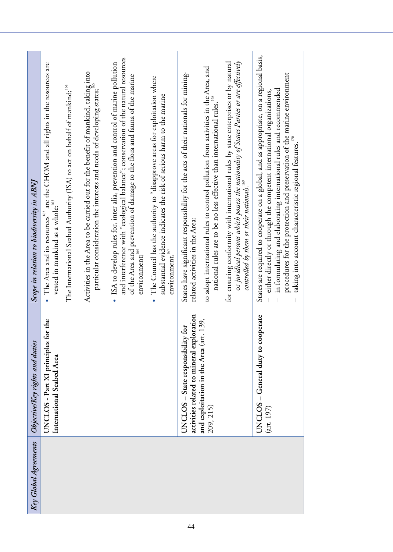| Key Global Agreements | ObjectivelKey rights and duties                                                | Scope in relation to biodiversity in ABNJ                                                                                                                                                                                                                                                                      |
|-----------------------|--------------------------------------------------------------------------------|----------------------------------------------------------------------------------------------------------------------------------------------------------------------------------------------------------------------------------------------------------------------------------------------------------------|
|                       | for the<br>UNCLOS - Part XI principles<br>International Seabed Area            | • The Area and its resources $^{162}$ are the CHOM and all rights in the resources are<br>vested in mankind as a whole: <sup>163</sup>                                                                                                                                                                         |
|                       |                                                                                | The International Seabed Authority (ISA) to act on behalf of mankind; <sup>164</sup>                                                                                                                                                                                                                           |
|                       |                                                                                | Activities in the Area to be carried out for the benefit of mankind, taking into<br>particular consideration the interests and needs of developing states;                                                                                                                                                     |
|                       |                                                                                | and interference with "ecological balance"; conservation of the natural resources<br>ISA to develop rules for, inter alia, prevention and control of marine pollution<br>of the Area and prevention of damage to the flora and fauna of the marine<br>$\mathop{\mathrm{environment}}\nolimits;\mathop{^{166}}$ |
|                       |                                                                                | The Council has the authority to "disapprove areas for exploitation where<br>substantial evidence indicates the risk of serious harm to the marine<br>environment. $^{167}$                                                                                                                                    |
|                       | activities related to mineral exploration<br>UNCLOS - State responsibility for | States have significant responsibility for the acts of their nationals for mining-<br>related activities in the Area:                                                                                                                                                                                          |
|                       | and exploitation in the Area (art. 139,<br>209, 215)                           | to adopt international rules to control pollution from activities in the Area, and<br>national rules are to be no less effective than international rules.                                                                                                                                                     |
|                       |                                                                                | or juridical persons which possess the nationality of States Parties or are effectively<br>for ensuring conformity with international rules by state enterprises or by natural<br>controlled by them or their nationals. <sup>169</sup>                                                                        |
|                       | UNCLOS - General duty to cooperate<br>$(\arct. 197)$                           | States are required to cooperate on a global, and as appropriate, on a regional basis,<br>in formulating and elaborating international rules and recommended<br>either directly or through the competent international organizations,                                                                          |
|                       |                                                                                | procedures for the protection and preservation of the marine environment<br>taking into account characteristic regional features. $\frac{170}{120}$                                                                                                                                                            |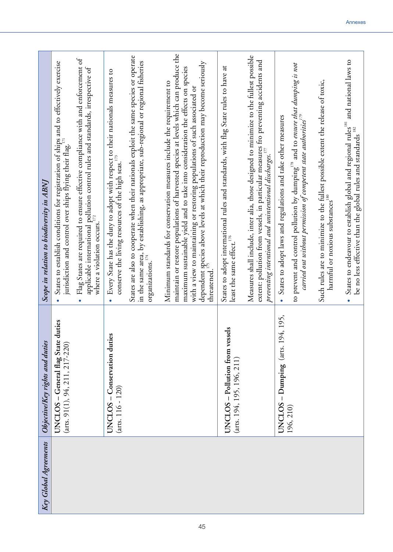| Key Global Agreements | Objective/Key rights and duties                                           | Scope in relation to biodiversity in ABNI                                                                                                                                                                                                                                                                                                                                                                                                    |
|-----------------------|---------------------------------------------------------------------------|----------------------------------------------------------------------------------------------------------------------------------------------------------------------------------------------------------------------------------------------------------------------------------------------------------------------------------------------------------------------------------------------------------------------------------------------|
|                       | duties<br>UNCLOS - General flag State<br>$(ars. 91(1), 94, 211, 217-220)$ | Flag States are required to ensure effective compliance with and enforcement of<br>States to establish conditions for registration of ships and to effectively exercise<br>applicable international pollution control rules and standards, irrespective of<br>jurisdiction and control over ships flying their flag.<br>where a violation occurs. $\sum_{1/2}$                                                                               |
|                       | Š<br>UNCLOS – Conservation dutie<br>$(arts. 116 - 120)$                   | States are also to cooperate when their nationals exploit the same species or operate<br>in the same area, by establishing, as appropriate, sub-regional or regional fisheries<br>Every State has the duty to adopt with respect to their nationals measures to<br>conserve the living resources of the high seas. $173$<br>organizations. <sup>174</sup>                                                                                    |
|                       |                                                                           | maintain or restore populations of harvested species at levels which can produce the<br>dependent species above levels at which their reproduction may become seriously threatened. <sup>175</sup><br>maximum sustainable yield and to take into consideration the effects on species<br>Minimum standards for conservation measures include the requirement to<br>with a view to maintaining or restoring populations of such associated or |
|                       | UNCLOS - Pollution from vessels<br>(arts. 194, 195, 196, 211)             | States to adopt international rules and standards, with flag State rules to have at<br>least the same effect. $^{176}$                                                                                                                                                                                                                                                                                                                       |
|                       |                                                                           | Measures shall include, inter alia, those designed to minimize to the fullest possible<br>extent: pollution from vessels, in particular measures fro preventing accidents and<br>preventing intentional and unintentional discharges. $^{\scriptscriptstyle{17}}$                                                                                                                                                                            |
|                       | UNCLOS - Dumping (arts. 194, 195,<br>196, 210)                            | to prevent and control pollution by dumping <sup>178</sup> and to ensure that dumping is not<br>carried out without permission of competent state authorities $^{\!\!(\gamma\!)}$<br>States to adopt laws and regulations and take other measures                                                                                                                                                                                            |
|                       |                                                                           | Such rules are to minimize to the fullest possible extent the release of toxic,<br>harmful or noxious substances <sup>180</sup>                                                                                                                                                                                                                                                                                                              |
|                       |                                                                           | States to endeavour to establish global and regional rules <sup>181</sup> and national laws to<br>be no less effective than the global rules and standards 182                                                                                                                                                                                                                                                                               |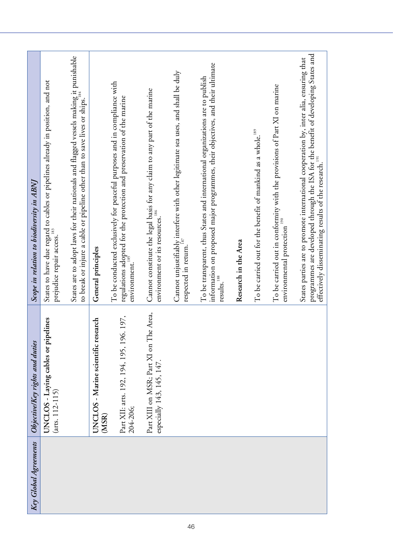| Key Global Agreements | ObjectivelKey rights and duties                                     | Scope in relation to biodiversity in ABNJ                                                                                                                                                                                                       |
|-----------------------|---------------------------------------------------------------------|-------------------------------------------------------------------------------------------------------------------------------------------------------------------------------------------------------------------------------------------------|
|                       | UNCLOS - Laying cables or pipelines<br>$(arts. 112-115)$            | States to have due regard to cables or pipelines already in position, and not<br>prejudice repair access.                                                                                                                                       |
|                       |                                                                     | States are to adopt laws for their nationals and flagged vessels making it punishable<br>to break or injure a cable or pipeline other than to save lives or ships.                                                                              |
|                       | UNCLOS - Marine scientific research<br>(MSR)                        | General principles                                                                                                                                                                                                                              |
|                       | Part XII: arts. 192, 194, 195, 196. 197,<br>204-206;                | To be conducted exclusively for peaceful purposes and in compliance with<br>regulations adopted for the protection and preservation of the marine<br>environment. <sup>185</sup>                                                                |
|                       | Part XIII on MSR; Part XI on The Area,<br>especially 143, 145, 147. | Cannot constitute the legal basis for any claim to any part of the marine<br>environment or its resources.                                                                                                                                      |
|                       |                                                                     | Cannot unjustifiably interfere with other legitimate sea uses, and shall be duly<br>respected in return.                                                                                                                                        |
|                       |                                                                     | information on proposed major programmes, their objectives, and their ultimate<br>To be transparent, thus States and international organizations are to publish<br>results.                                                                     |
|                       |                                                                     | Research in the Area                                                                                                                                                                                                                            |
|                       |                                                                     | To be carried out for the benefit of mankind as a whole. <sup>189</sup>                                                                                                                                                                         |
|                       |                                                                     | To be carried out in conformity with the provisions of Part XI on marine<br>environmental protection                                                                                                                                            |
|                       |                                                                     | programmes are developed through the ISA for the benefit of developing States and<br>States parties are to promote international cooperation by, inter alia, ensuring that<br>effectively disseminating results of the research. <sup>191</sup> |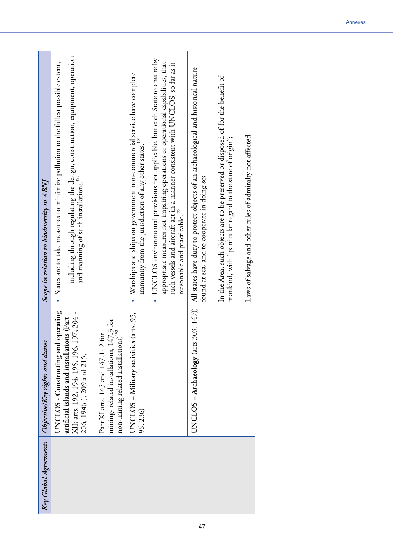| Key Global Agreements | ObjectivelKey rights and duties                                                                                                                                | Scope in relation to biodiversity in ABNI                                                                                                                                                                                                                                                      |
|-----------------------|----------------------------------------------------------------------------------------------------------------------------------------------------------------|------------------------------------------------------------------------------------------------------------------------------------------------------------------------------------------------------------------------------------------------------------------------------------------------|
|                       | operating<br>XII: arts. 192, 194, 195, 196, 197, 204 -<br>artificial islands and installations (Part<br>UNCLOS - Constructing and<br>206, 194(d), 209 and 215, | including through regulating the design, construction, equipment, operation<br>· States are to take measures to minimize pollution to the fullest possible extent,<br>and manning of such installations. <sup>193</sup>                                                                        |
|                       | mining- related installations, $147.3$ for<br>non-mining related installations) <sup>192</sup><br>Part XI arts. 145 and 147.1-.2 for                           |                                                                                                                                                                                                                                                                                                |
|                       | (arts. 95,<br>UNCLOS - Military activities<br>96, 236)                                                                                                         | Warships and ships on government non-commercial service have complete<br>immunity from the jurisdiction of any other states.                                                                                                                                                                   |
|                       |                                                                                                                                                                | UNCLOS environmental provisions not applicable, but each State to ensure by<br>appropriate measures not impairing operations or operational capabilities, that<br>such vessels and aircraft act in a manner consistent with UNCLOS, so far as is<br>reasonable and practicable. <sup>195</sup> |
|                       | UNCLOS – Archaeology (arts 303, 149))                                                                                                                          | All states have duty to protect objects of an archaeological and historical nature<br>found at sea, and to cooperate in doing so;                                                                                                                                                              |
|                       |                                                                                                                                                                | In the Area, such objects are to be preserved or disposed of for the benefit of<br>mankind, with "particular regard to the state of origin";                                                                                                                                                   |
|                       |                                                                                                                                                                | Laws of salvage and other rules of admiralty not affected.                                                                                                                                                                                                                                     |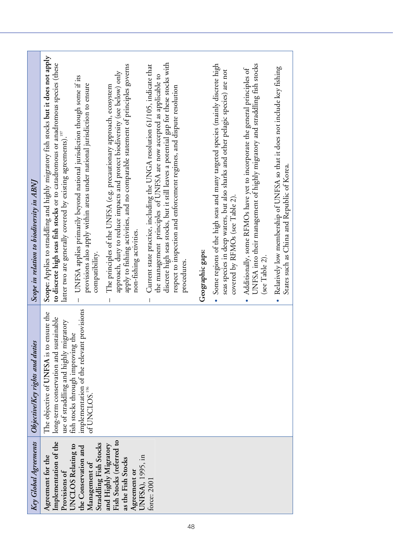| Key Global Agreements                                                                                      | ObjectivelKey rights and duties                                                                                             | Scope in relation to biodiversity in ABNJ                                                                                                                                                                                                                                                                                           |
|------------------------------------------------------------------------------------------------------------|-----------------------------------------------------------------------------------------------------------------------------|-------------------------------------------------------------------------------------------------------------------------------------------------------------------------------------------------------------------------------------------------------------------------------------------------------------------------------------|
| Implementation of the<br>Agreement for the<br>Provisions of                                                | The objective of UNFSA is to ensure the<br>long-term conservation and sustainable<br>use of straddling and highly migratory | Scope: Applies to straddling and highly migratory fish stocks but it does not apply<br>to discrete high seas fish stocks or to catadromous or anadromous species (these<br>latter two are generally covered by existing agreements). <sup>197</sup>                                                                                 |
| Straddling Fish Stocks<br>UNCLOS Relating to<br>the Conservation and<br>Management of                      | implementation of the relevant provisions<br>of UNCLOS. <sup>196</sup><br>fish stocks through improving the                 | UNFSA applies primarily beyond national jurisdiction though some if its<br>provisions also apply within areas under national jurisdiction to ensure<br>compatibility.                                                                                                                                                               |
| Fish Stocks (referred to<br>and Highly Migratory<br>UNFSA), 1995, in<br>as the Fish Stocks<br>Agreement or |                                                                                                                             | apply to fishing activities, and no comparable statement of principles governs<br>approach, duty to reduce impacts and protect biodiversity (see below) only<br>The principles of the UNFSA (e.g. precautionary approach, ecosystem<br>non-fishing activities.                                                                      |
| force: 2001                                                                                                |                                                                                                                             | discrete high seas stocks, but it still leaves a potential gap for these stocks with<br>Current state practice, including the UNGA resolution 61/105, indicate that<br>the management principles of UNFSA are now accepted as applicable to<br>respect to inspection and enforcement regimes, and dispute resolution<br>procedures. |
|                                                                                                            |                                                                                                                             | Geographic gaps:                                                                                                                                                                                                                                                                                                                    |
|                                                                                                            |                                                                                                                             | Some regions of the high seas and many targeted species (mainly discrete high<br>seas species in deep waters, but also sharks and other pelagic species) are not<br>covered by RFMOs (see Table 2).                                                                                                                                 |
|                                                                                                            |                                                                                                                             | UNFSA into their management of highly migratory and straddling fish stocks<br>Additionally, some RFMOs have yet to incorporate the general principles of<br>(see Table 2).                                                                                                                                                          |
|                                                                                                            |                                                                                                                             | Relatively low membership of UNFSA so that it does not include key fishing<br>States such as China and Republic of Korea.                                                                                                                                                                                                           |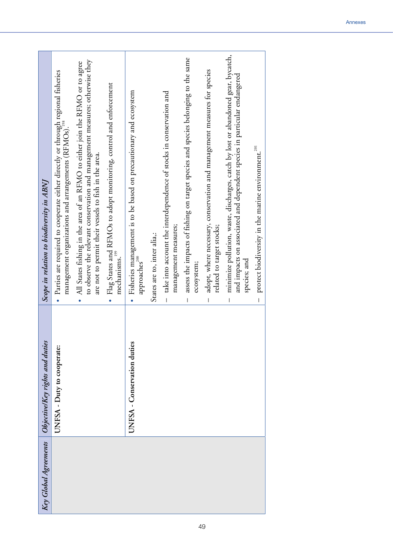| Key Global Agreements | Objective/Key rights and duties | Scope in relation to biodiversity in ABNJ                                                                                                                                                                                          |
|-----------------------|---------------------------------|------------------------------------------------------------------------------------------------------------------------------------------------------------------------------------------------------------------------------------|
|                       | UNFSA - Duty to cooperate:      | • Parties are required to cooperate either directly or through regional fisheries<br>management organizations and arrangements (RFMOs)."                                                                                           |
|                       |                                 | to observe the relevant conservation and management measures; otherwise they<br>All States fishing in the area of an RFMO to either join the RFMO or to agree<br>are not to permit their vessels to fish in the area.<br>$\bullet$ |
|                       |                                 | Flag States and RFMOs to adopt monitoring, control and enforcement<br>mechanisms.<br>$\bullet$                                                                                                                                     |
|                       | UNFSA - Conservation duties     | Fisheries management is to be based on precautionary and ecosystem<br>$\operatorname{approaches}^{\text{200}}$<br>$\bullet$                                                                                                        |
|                       |                                 | States are to, inter alia,:                                                                                                                                                                                                        |
|                       |                                 | take into account the interdependence of stocks in conservation and<br>management measures;<br>$\overline{\phantom{a}}$                                                                                                            |
|                       |                                 | assess the impacts of fishing on target species and species belonging to the same<br>ecosystem;<br>T                                                                                                                               |
|                       |                                 | adopt, where necessary, conservation and management measures for species<br>related to target stocks;                                                                                                                              |
|                       |                                 | minimize pollution, waste, discharges, catch by lost or abandoned gear, bycatch,<br>and impacts on associated and dependent species in particular endangered<br>species; and                                                       |
|                       |                                 | protect biodiversity in the marine environment. <sup>201</sup><br>$\overline{1}$                                                                                                                                                   |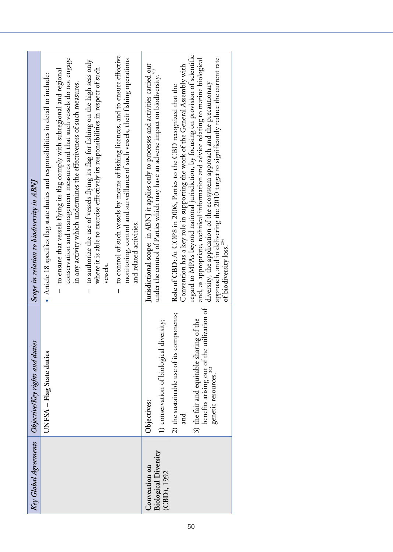| Key Global Agreements                      | Objective Key rights and duties                                                                                   | Scope in relation to biodiversity in ABNJ                                                                                                                                                                                                                                                                                                                                 |
|--------------------------------------------|-------------------------------------------------------------------------------------------------------------------|---------------------------------------------------------------------------------------------------------------------------------------------------------------------------------------------------------------------------------------------------------------------------------------------------------------------------------------------------------------------------|
|                                            | UNFSA - Flag State duties                                                                                         | • Article 18 specifies flag state duties and responsibilities in detail to include:                                                                                                                                                                                                                                                                                       |
|                                            |                                                                                                                   | conservation and management measures and that such vessels do not engage<br>to ensure that vessels flying its flag comply with subregional and regional<br>in any activity which undermines the effectiveness of such measures.                                                                                                                                           |
|                                            |                                                                                                                   | to authorize the use of vessels flying its flag for fishing on the high seas only<br>where it is able to exercise effectively its responsibilities in respect of such<br>vessels.<br>I.                                                                                                                                                                                   |
|                                            |                                                                                                                   | to control of such vessels by means of fishing licences, and to ensure effective<br>monitoring, control and surveillance of such vessels, their fishing operations<br>and related activities.                                                                                                                                                                             |
| Convention on                              | Objectives:                                                                                                       | Jurisdictional scope: in ABNJ it applies only to processes and activities carried out                                                                                                                                                                                                                                                                                     |
| <b>Biological Diversity</b><br>(CBD), 1992 | 1) conservation of biological diversity;                                                                          | under the control of Parties which may have an adverse impact on biodiversity. <sup>203</sup>                                                                                                                                                                                                                                                                             |
|                                            | 2) the sustainable use of its components;<br>and                                                                  | Convention has a key role in supporting the work of the General Assembly with<br>Role of CBD: At COP8 in 2006, Parties to the CBD recognized that the                                                                                                                                                                                                                     |
|                                            | benefits arising out of the utilization of<br>t of the<br>3) the fair and equitable sharing<br>genetic resources. | regard to MPAs beyond national jurisdiction, by focusing on provision of scientific<br>approach, and in delivering the 2010 target to significantly reduce the current rate<br>and, as appropriate, technical information and advice relating to marine biological<br>diversity, the application of the ecosystem approach and the precautionary<br>of biodiversity loss. |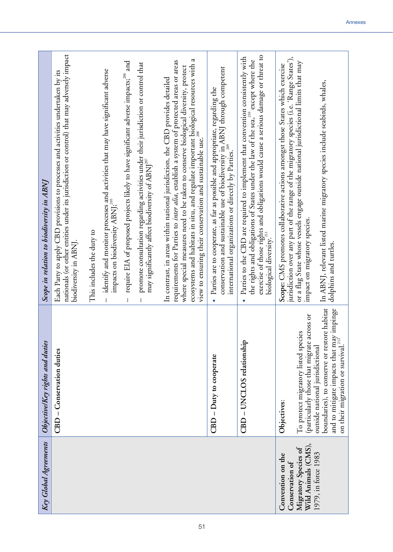| Key Global Agreements                       | Objective/Key rights and duties                                                                                                                                               | Scope in relation to biodiversity in ABNJ                                                                                                                                                                                                                                                                   |
|---------------------------------------------|-------------------------------------------------------------------------------------------------------------------------------------------------------------------------------|-------------------------------------------------------------------------------------------------------------------------------------------------------------------------------------------------------------------------------------------------------------------------------------------------------------|
|                                             | CBD - Conservation duties                                                                                                                                                     | nationals (or other entities under its jurisdiction or control) that may adversely impact<br>Each Party to apply CBD provisions to processes and activities undertaken by its<br>biodiversity in ABNJ.                                                                                                      |
|                                             |                                                                                                                                                                               | This includes the duty to                                                                                                                                                                                                                                                                                   |
|                                             |                                                                                                                                                                               | identify and monitor processes and activities that may have significant adverse<br>impacts on biodiversity ABNJ; <sup>205</sup>                                                                                                                                                                             |
|                                             |                                                                                                                                                                               | require EIA of proposed projects likely to have significant adverse impacts; <sup>206</sup> and                                                                                                                                                                                                             |
|                                             |                                                                                                                                                                               | promote consultation regarding activities under their jurisdiction or control that<br>may significantly affect biodiversity of ABNJ <sup>207</sup>                                                                                                                                                          |
|                                             |                                                                                                                                                                               | requirements for Parties to inter alia, establish a system of protected areas or areas<br>In contrast, in areas within national jurisdiction, the CBD provides detailed                                                                                                                                     |
|                                             |                                                                                                                                                                               | d<br>ecosystems and habitats in situ, and regulate important biological resources with<br>where special measures need to be taken to conserve biological diversity, protect<br>view to ensuring their conservation and sustainable use. <sup>208</sup>                                                      |
|                                             | CBD - Duty to cooperate                                                                                                                                                       | conservation and sustainable use of biodiversity in ABNJ through competent<br>Parties are to cooperate, as far as possible and appropriate, regarding the<br>international organizations or directly by Parties. <sup>209</sup>                                                                             |
|                                             | CBD - UNCLOS relationship                                                                                                                                                     | exercise of those rights and obligations would cause a serious damage or threat to biological diversity. <sup>211</sup><br>Parties to the CBD are required to implement that convention consistently with<br>the rights and obligations of States under the law of the sea, <sup>210</sup> except where the |
| Convention on the<br>Conservation of        | Objectives:                                                                                                                                                                   | jurisdiction over any part of the range of the migratory species (i.e. 'Range States'),<br>Scope: CMS promotes collaborative actions amongst those States which exercise                                                                                                                                    |
| Wild Animals (CMS),<br>Migratory Species of | (particularly those that migrate across or<br>To protect migratory listed species                                                                                             | or a flag State whose vessels engage outside national jurisdictional limits that may<br>impact on migratory species.                                                                                                                                                                                        |
| 1979, in force 1983                         | boundaries), to conserve or restore habitat<br>and to mitigate impacts that may impinge<br>on their migration or survival. <sup>212'</sup><br>outside national jurisdictional | In ABNJ, relevant listed marine migratory species include seabirds, whales,<br>dolphins and turtles.                                                                                                                                                                                                        |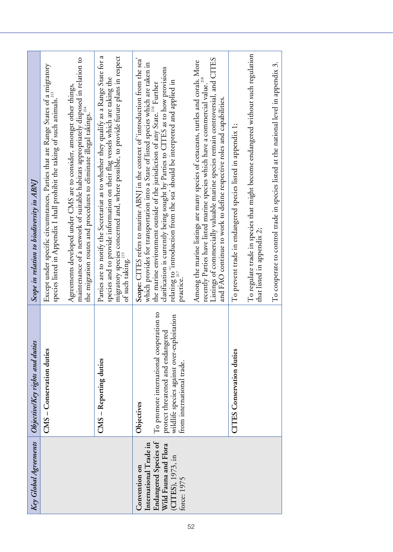| Key Global Agreements                                                             | Objective/Key rights and duties                                                                                                                         | Scope in relation to biodiversity in ABNJ                                                                                                                                                                                                                                          |
|-----------------------------------------------------------------------------------|---------------------------------------------------------------------------------------------------------------------------------------------------------|------------------------------------------------------------------------------------------------------------------------------------------------------------------------------------------------------------------------------------------------------------------------------------|
|                                                                                   | CMS - Conservation duties                                                                                                                               | Except under specific circumstances, Parties that are Range States of a migratory<br>species listed in Appendix I shall prohibit the taking of such animals. <sup>213</sup>                                                                                                        |
|                                                                                   |                                                                                                                                                         | maintenance of a network of suitable habitats appropriately disposed in relation to<br>Agreements developed under CMS are to consider, amongst other things,<br>the migration routes and procedures to eliminate illegal takings.                                                  |
|                                                                                   | CMS - Reporting duties                                                                                                                                  | Parties are to notify the Secretariat as to whether they qualify as a Range State for a<br>migratory species concerned and, where possible, to provide future plans in respect<br>species and to provide information on their flag vessels which are taking the<br>of such taking. |
| International Trade in<br>Convention on                                           | Objectives                                                                                                                                              | Scope: CITES refers to marine ABNJ in the context of 'introduction from the sea'<br>which provides for transportation into a State of listed species which are taken in                                                                                                            |
| Endangered Species of<br>Wild Fauna and Flora<br>(CITES), 1973, in<br>force: 1975 | To promote international cooperation to<br>wildlife species against over-exploitation<br>protect threatened and endangered<br>from international trade. | clarification is currently being sought by Parties to CITES as to how provisions<br>relating to 'introduction from the sea' should be interpreted and applied in<br>the marine environment outside of the jurisdiction of any State. <sup>216</sup> Further<br>practice.           |
|                                                                                   |                                                                                                                                                         | Listings of commercially valuable marine species remain controversial, and CITES<br>Among the marine listings are many species of cetaceans, turtles and corals. More<br>recently Parties have listed marine species which have a commercial value.                                |
|                                                                                   |                                                                                                                                                         | and FAO continue to work to define respective roles and capabilities.                                                                                                                                                                                                              |
|                                                                                   | <b>CITES</b> Conservation duties                                                                                                                        | To prevent trade in endangered species listed in appendix 1;                                                                                                                                                                                                                       |
|                                                                                   |                                                                                                                                                         | To regulate trade in species that might become endangered without such regulation<br>that listed in appendix 2;                                                                                                                                                                    |
|                                                                                   |                                                                                                                                                         | To cooperate to control trade in species listed at the national level in appendix 3.                                                                                                                                                                                               |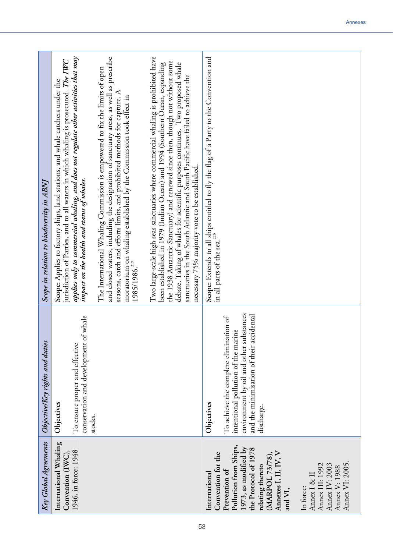| Key Global Agreements                                                                                                                                                                                                                                                                                         | ObjectivelKey rights and duties                                                                                                                                                                  | Scope in relation to biodiversity in ABNJ                                                                                                                                                                                                                                                                                                                                                                                                                               |
|---------------------------------------------------------------------------------------------------------------------------------------------------------------------------------------------------------------------------------------------------------------------------------------------------------------|--------------------------------------------------------------------------------------------------------------------------------------------------------------------------------------------------|-------------------------------------------------------------------------------------------------------------------------------------------------------------------------------------------------------------------------------------------------------------------------------------------------------------------------------------------------------------------------------------------------------------------------------------------------------------------------|
| International Whaling<br>1946, in force: 1948<br>Convention (IWC),                                                                                                                                                                                                                                            | whale<br>conservation and development of<br>To ensure proper and effective<br>Objectives                                                                                                         | applies only to commercial whaling, and does not regulate other activities that may<br>jurisdiction of Parties, and to all waters in which whaling is prosecuted. The IWC<br>Scope: Applies to factory ships, land stations, and whale catchers under the<br>impact on the health and status of whales.                                                                                                                                                                 |
|                                                                                                                                                                                                                                                                                                               | stocks.                                                                                                                                                                                          | and closed waters, including the designation of sanctuary areas, as well as prescribe<br>The International Whaling Commission is empowered to fix the limits of open<br>seasons, catch and efforts limits, and prohibited methods for capture. A<br>moratorium on whaling established by the Commission took effect in<br>1985/1986. <sup>219</sup>                                                                                                                     |
|                                                                                                                                                                                                                                                                                                               |                                                                                                                                                                                                  | Two large-scale high seas sanctuaries where commercial whaling is prohibited have<br>the 1938 Antarctic Sanctuary) and renewed since then, though not without some<br>been established in 1979 (Indian Ocean) and 1994 (Southern Ocean, expanding<br>debate. Taking of whales for scientific purposes continues. Two proposed whale<br>sanctuaries in the South Atlantic and South Pacific have failed to achieve the<br>necessary 75% majority vote to be established. |
| Pollution from Ships,<br>1973, as modified by<br>the Protocol of 1978<br>Annexes I, II, IV, V<br>Convention for the<br>(MARPOL 73/78),<br>Annex VI: 2005.<br>Annex III: 1992<br>Annex IV: 2003<br>relating thereto<br>Annex V: 1988<br>Prevention of<br>International<br>Annex I & II<br>In force:<br>and VI, | environment by oil and other substances<br>and the minimisation of their accidental<br>To achieve the complete elimination of<br>intentional pollution of the marine<br>Objectives<br>discharge. | Scope: Extends to all ships entitled to fly the flag of a Party to the Convention and<br>in all parts of the sea. <sup>220</sup>                                                                                                                                                                                                                                                                                                                                        |
|                                                                                                                                                                                                                                                                                                               |                                                                                                                                                                                                  |                                                                                                                                                                                                                                                                                                                                                                                                                                                                         |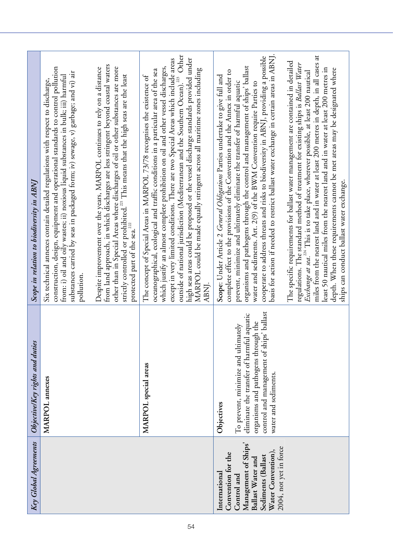| Key Global Agreements                                                                                                                                                 | ObjectivelKey rights and duties                                                                                                                                                                           | Scope in relation to biodiversity in ABNJ                                                                                                                                                                                                                                                                                                                                                                                                                                                                                                                                                                                                                                      |
|-----------------------------------------------------------------------------------------------------------------------------------------------------------------------|-----------------------------------------------------------------------------------------------------------------------------------------------------------------------------------------------------------|--------------------------------------------------------------------------------------------------------------------------------------------------------------------------------------------------------------------------------------------------------------------------------------------------------------------------------------------------------------------------------------------------------------------------------------------------------------------------------------------------------------------------------------------------------------------------------------------------------------------------------------------------------------------------------|
|                                                                                                                                                                       | MARPOL annexes                                                                                                                                                                                            | construction, design, equipment and operational standards to control pollution<br>substances carried by seas in packaged form; iv) sewage, v) garbage; and vi) air<br>from: i) oil and oily wastes; ii) noxious liquid substances in bulk; iii) harmful<br>Six technical annexes contain detailed regulations with respect to discharge,<br>pollution.                                                                                                                                                                                                                                                                                                                         |
|                                                                                                                                                                       |                                                                                                                                                                                                           | from land approach, in which discharges are less stringent beyond coastal waters<br>other than in Special Areas where discharges of oil or other substances are more strictly controlled or prohibited. <sup>221</sup> This means that the high seas are the least<br>Despite improvement over the years, MARPOL continues to rely on a distance<br>protected part of the sea. $^{222}$                                                                                                                                                                                                                                                                                        |
|                                                                                                                                                                       | MARPOL special areas                                                                                                                                                                                      | Other<br>high seas areas could be proposed or the vessel discharge standards provided under<br>except in very limited conditions. There are two Special Areas which include areas<br>which justify an almost complete prohibition on oil and other vessel discharges,<br>MARPOL could be made equally stringent across all maritime zones including<br>oceanographical, ecological and traffic conditions in a particular area of the sea<br>The concept of Special Areas in MARPOL 73/78 recognises the existence of<br>outside of national jurisdiction (Mediterranean and the Southern Ocean). <sup>223</sup><br>ABNI.                                                      |
| Management of Ships'<br>2004, not yet in force<br>Water Convention),<br>Convention for the<br>Sediments (Ballast<br>Ballast Water and<br>International<br>Control and | control and management of ships' ballast<br>eliminate the transfer of harmful aquatic<br>organisms and pathogens through the<br>To prevent, minimize and ultimately<br>water and sediments.<br>Objectives | basis for action if needed to restrict ballast water exchange in certain areas in ABNJ.<br>cooperate to address threats and risks to biodiversity in ABNJ, providing a possible<br>The specific requirements for ballast water management are contained in detailed<br>organisms and pathogens through the control and management of ships' ballast<br>complete effect to the provisions of the Convention and the Annex in order to<br>Scope: Under Article 2 General Obligations Parties undertake to give full and<br>prevent, minimize and ultimately eliminate the transfer of harmful aquatic<br>water and sediments. Art. 2(9) of the BWM Convention require Parties to |
|                                                                                                                                                                       |                                                                                                                                                                                                           | miles from the nearest land and in water at least 200 metres in depth, in all cases at<br>regulations. The standard method of treatment for existing ships is Ballast Water<br>least 50 nautical miles from the nearest land and in water at least 200 metres in<br>depth. When these requirements cannot be met areas may be designated where<br>Exchange at sea. <sup>224</sup> This is to take place, wherever possible, at least 200 nautical<br>ships can conduct ballast water exchange.                                                                                                                                                                                 |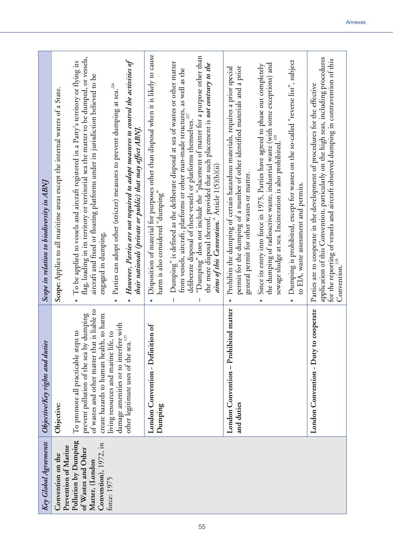| Key Global Agreements                                                                   | Objective/Key rights and duties                                                                                                                                           | Scope in relation to biodiversity in ABNJ                                                                                                                                                                                                                                                                                                                                                                                                                            |
|-----------------------------------------------------------------------------------------|---------------------------------------------------------------------------------------------------------------------------------------------------------------------------|----------------------------------------------------------------------------------------------------------------------------------------------------------------------------------------------------------------------------------------------------------------------------------------------------------------------------------------------------------------------------------------------------------------------------------------------------------------------|
| Prevention of Marine<br>Convention on the                                               | Objective:                                                                                                                                                                | Scope: Applies to all maritime areas except the internal waters of a State.                                                                                                                                                                                                                                                                                                                                                                                          |
| Pollution by Dumping<br>Convention), 1972, in<br>of Wastes and Other<br>Matter, (London | of wastes and other matter that is liable to<br>prevent pollution of the sea by dumping<br>create hazards to human health, to harm<br>To promote all practicable steps to | flag, loading in its territory or territorial sea the matter to be dumped, or vessels,<br>To be applied to vessels and aircraft registered in a Party's territory or flying its<br>aircraft and fixed or floating platforms under its jurisdiction believed to be<br>engaged in dumping.<br>$\bullet$                                                                                                                                                                |
| force: 1975                                                                             | damage amenities or to interfere with<br>$\overline{c}$<br>living resources and marine life,                                                                              | 226<br>Parties can adopt other (stricter) measures to prevent dumping at sea.<br>$\bullet$                                                                                                                                                                                                                                                                                                                                                                           |
|                                                                                         | other legitimate uses of the sea. <sup>225</sup>                                                                                                                          | However, Parties are not required to adopt measures to control the activities of<br>their nationals (private or public) that may affect ABNJ.                                                                                                                                                                                                                                                                                                                        |
|                                                                                         | $\ln \text{of}$<br>London Convention - Definitio<br>Dumping                                                                                                               | Disposition of material for purposes other than disposal when it is likely to cause<br>harm is also considered "dumping"<br>$\bullet$                                                                                                                                                                                                                                                                                                                                |
|                                                                                         |                                                                                                                                                                           | "Dumping" does not include the "placement of matter for a purpose other than<br>Dumping" is defined as the deliberate disposal at sea of wastes or other matter<br>the mere disposal thereof, provided that such placement is not contrury to the<br>from vessels, aircraft, platforms or other man-made structures, as well as the<br>deliberate disposal of these vessels or platforms themselves. <sup>227</sup><br>aims of this Convention." Article 1(5)(b)(ii) |
|                                                                                         | London Convention - Prohibited matter<br>and duties                                                                                                                       | permit for the dumping of a number of other identified materials and a prior<br>Prohibits the dumping of certain hazardous materials, requires a prior special<br>general permit for other wastes or matter.<br>$\bullet$                                                                                                                                                                                                                                            |
|                                                                                         |                                                                                                                                                                           | the dumping of radioactive waste, industrial waste (with some exceptions) and<br>Since its entry into force in 1975, Parties have agreed to phase out completely<br>sewage sludge at sea. Incineration is also prohibited. <sup>228</sup>                                                                                                                                                                                                                            |
|                                                                                         |                                                                                                                                                                           | Dumping is prohibited, except for wastes on the so-called "reverse list", subject<br>to EIA, waste assessment and permits.                                                                                                                                                                                                                                                                                                                                           |
|                                                                                         | London Convention - Duty to cooperate                                                                                                                                     | application of this Convention, particularly on the high seas, including procedures<br>for the reporting of vessels and aircraft observed dumping in contravention of this Convention. <sup>229</sup><br>Parties are to cooperate in the development of procedures for the effective                                                                                                                                                                                 |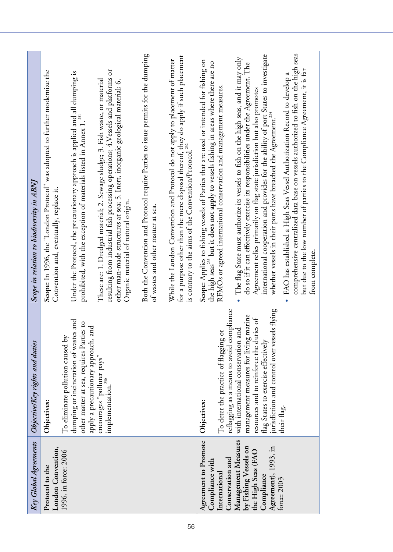| Key Global Agreements                                                            | Objective/Key rights and duties                                                                                                                                 | Scope in relation to biodiversity in ABNJ                                                                                                                                                                                                                                                                                                     |
|----------------------------------------------------------------------------------|-----------------------------------------------------------------------------------------------------------------------------------------------------------------|-----------------------------------------------------------------------------------------------------------------------------------------------------------------------------------------------------------------------------------------------------------------------------------------------------------------------------------------------|
| London Convention,<br>Protocol to the                                            | Objectives:                                                                                                                                                     | Scope: In 1996, the "London Protocol" was adopted to further modernize the<br>Convention and, eventually, replace it.                                                                                                                                                                                                                         |
| 1996, in force: 2006                                                             | dumping or incineration of wastes and<br>other matter at sea, requires Parties to<br>and<br>To eliminate pollution caused by<br>apply a precautionary approach, | Under the Protocol, the precautionary approach is applied and all dumping is<br>prohibited, with the exception of materials listed in Annex 1. <sup>231</sup>                                                                                                                                                                                 |
|                                                                                  | encourages "polluter pays"<br>implementation. <sup>230</sup>                                                                                                    | resulting from industrial fish processing operations; 4. Vessels and platforms or<br>These are: 1. Dredged material; 2. Sewage sludge; 3. Fish waste, or material<br>other man-made structures at sea; 5. Inert, inorganic geological material; 6.<br>Organic material of natural origin.                                                     |
|                                                                                  |                                                                                                                                                                 | Both the Convention and Protocol require Parties to issue permits for the dumping<br>of wastes and other matter at sea.                                                                                                                                                                                                                       |
|                                                                                  |                                                                                                                                                                 | for a purpose other than the mere disposal thereof, they do apply if such placement<br>While the London Convention and Protocol do not apply to placement of matter<br>is contrary to the aims of the Convention/Protocol. <sup>232</sup>                                                                                                     |
| Agreement to Promote<br>Conservation and<br>Compliance with<br>International     | reflagging as a means to avoid compliance<br>To deter the practice of flagging or<br>Objectives:                                                                | Scope: Applies to fishing vessels of Parties that are used or intended for fishing on<br>the high seas <sup>233</sup> but it does not apply to vessels fishing in areas where there are no<br>RFMOs or agreed international conservation and management measures.                                                                             |
| Management Measures<br>by Fishing Vessels on<br>the High Seas (FAO<br>Compliance | management measures for living marine<br>resources and to reinforce the duties of<br>with international conservation and<br>flag States to exercise effectively | international cooperation and provides for the ability of port States to investigate<br>The flag State must authorize its vessels to fish on the high seas, and it may only<br>do so if it can effectively exercise its responsibilities under the Agreement. The<br>Agreement relies primarily on flag state jurisdiction but also promotes  |
| Agreement), 1993, in<br>force: 2003                                              | jurisdiction and control over vessels flying<br>their flag.                                                                                                     | comprehensive centralized data base on vessels authorized to fish on the high seas<br>but due to the low number of parties to the Compliance Agreement, it is far<br>FAO has established a High Seas Vessel Authorization Record to develop a<br>whether vessels in their ports have breached the Agreement. <sup>234</sup><br>from complete. |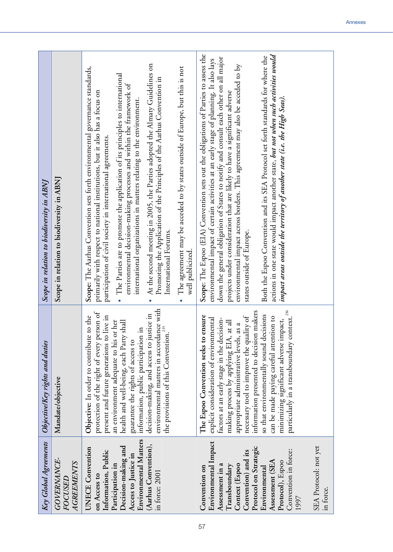| Key Global Agreements                                                                                                                                                                                                                                                                                                                                                                                                                                                             | Objective/Key rights and duties                                                                                                                                                                                                                                                                                                                                                                                                                                                                                                                                                                                                                                                                                                                                                                                                                                                                                                                                         | Scope in relation to biodiversity in ABNI                                                                                                                                                                                                                                                                                                                                                                                                                                                                                                                                                                                                                                                                                                                                                                                                                                                                                                                                                                                                                                                                                                                                                                                                                                                                                                                                                                                                                                    |
|-----------------------------------------------------------------------------------------------------------------------------------------------------------------------------------------------------------------------------------------------------------------------------------------------------------------------------------------------------------------------------------------------------------------------------------------------------------------------------------|-------------------------------------------------------------------------------------------------------------------------------------------------------------------------------------------------------------------------------------------------------------------------------------------------------------------------------------------------------------------------------------------------------------------------------------------------------------------------------------------------------------------------------------------------------------------------------------------------------------------------------------------------------------------------------------------------------------------------------------------------------------------------------------------------------------------------------------------------------------------------------------------------------------------------------------------------------------------------|------------------------------------------------------------------------------------------------------------------------------------------------------------------------------------------------------------------------------------------------------------------------------------------------------------------------------------------------------------------------------------------------------------------------------------------------------------------------------------------------------------------------------------------------------------------------------------------------------------------------------------------------------------------------------------------------------------------------------------------------------------------------------------------------------------------------------------------------------------------------------------------------------------------------------------------------------------------------------------------------------------------------------------------------------------------------------------------------------------------------------------------------------------------------------------------------------------------------------------------------------------------------------------------------------------------------------------------------------------------------------------------------------------------------------------------------------------------------------|
| <b>GOVERNANCE-</b><br><b>AGREEMENTS</b><br><i>FOCUSED</i>                                                                                                                                                                                                                                                                                                                                                                                                                         | Mandate/objective                                                                                                                                                                                                                                                                                                                                                                                                                                                                                                                                                                                                                                                                                                                                                                                                                                                                                                                                                       | Scope in relation to biodiversity in ABNJ                                                                                                                                                                                                                                                                                                                                                                                                                                                                                                                                                                                                                                                                                                                                                                                                                                                                                                                                                                                                                                                                                                                                                                                                                                                                                                                                                                                                                                    |
| Environmental Matters<br>Environmental Impact<br>(Aarhus Convention),<br>SEA Protocol: not yet<br>Decision-making and<br>Protocol on Strategic<br><b>UNECE</b> Convention<br>Convention in force:<br>Information, Public<br>Convention) and its<br>Access to Justice in<br>Assessment (SEA<br>Protocol), Espoo<br>Assessment in a<br>Context (Espoo<br>Participation in<br>Transboundary<br>Convention on<br>Environmental<br>in force: 2001<br>on Access to<br>in force.<br>1997 | environmental matters in accordance with<br>particularly in a transboundary context. <sup>256</sup><br>information presented to decision makers<br>protection of the right of every person of<br>decision-making, and access to justice in<br>so that environmentally sound decisions<br>ensure<br>Objective: In order to contribute to the<br>present and future generations to live in<br>necessary tool to improve the quality of<br>tion to<br>explicit consideration of environmental<br>factors at an early stage in the decision-<br>minimizing significant adverse impact,<br>an environment adequate to his or her<br>making process by applying EIA, at all<br>health and well-being, each Party shall<br>, as a<br>the provisions of this Convention. <sup>255</sup><br>information, public participation in<br>The Espoo Convention seeks to<br>appropriate administrative levels,<br>can be made paying careful atten<br>guarantee the rights of access to | Scope: The Espoo (EIA) Convention sets out the obligations of Parties to assess the<br>actions in one state would impact another state, but not when such activities would<br>Both the Espoo Convention and its SEA Protocol set forth standards for where the<br>down the general obligation of States to notify and consult each other on all major<br>environmental impact of certain activities at an early stage of planning. It also lays<br>At the second meeting in 2005, the Parties adopted the Almaty Guidelines on<br>environmental impact across borders. This agreement may also be acceded to by<br>Scope: The Aarhus Convention sets forth environmental governance standards,<br>The agreement may be acceded to by states outside of Europe, but this is not<br>· The Parties are to promote the application of its principles to international<br>Promoting the Application of the Principles of the Aarhus Convention in<br>environmental decision-making processes and within the framework of<br>primarily with respect to national institutions, but it also has a focus on<br>projects under consideration that are likely to have a significant adverse<br>impact areas outside the territory of another state (i.e. the High Seas).<br>international organizations in matters relating to the environment.<br>participation of civil society in international agreements.<br>states outside of Europe.<br>International Forums.<br>well publicized |
|                                                                                                                                                                                                                                                                                                                                                                                                                                                                                   |                                                                                                                                                                                                                                                                                                                                                                                                                                                                                                                                                                                                                                                                                                                                                                                                                                                                                                                                                                         |                                                                                                                                                                                                                                                                                                                                                                                                                                                                                                                                                                                                                                                                                                                                                                                                                                                                                                                                                                                                                                                                                                                                                                                                                                                                                                                                                                                                                                                                              |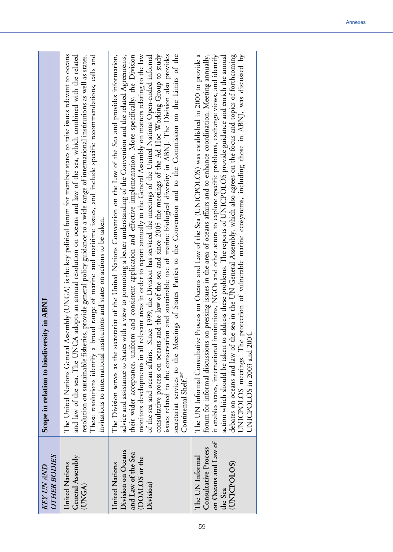| <b>OTHER BODIES</b><br><b>KEY UN AND</b>                                                  | Scope in relation to biodiversity in ABNJ                                                                                                                                                                                                                                                                                                                                                                                                                                                                                                                                                                                                                                                                                                                                                                                                                                                                                                                                                                                                                               |
|-------------------------------------------------------------------------------------------|-------------------------------------------------------------------------------------------------------------------------------------------------------------------------------------------------------------------------------------------------------------------------------------------------------------------------------------------------------------------------------------------------------------------------------------------------------------------------------------------------------------------------------------------------------------------------------------------------------------------------------------------------------------------------------------------------------------------------------------------------------------------------------------------------------------------------------------------------------------------------------------------------------------------------------------------------------------------------------------------------------------------------------------------------------------------------|
| General Assembly<br>United Nations<br>(UNGA)                                              | The United Nations General Assembly (UNGA) is the key political forum for member states to raise issues relevant to oceans<br>and law of the sea. The UNGA adopts an annual resolution on oceans and law of the sea, which combined with the related<br>These resolutions identify a broad range of marine and maritime issues, and include specific recommendations, calls and<br>resolution on sustainable fisheries, provide general policy guidance to a wide range of international institutions as well as states.<br>invitations to international institutions and states on actions to be taken.                                                                                                                                                                                                                                                                                                                                                                                                                                                                |
| Division on Oceans<br>and Law of the Sea<br>(DOALOS or the<br>United Nations<br>Division) | The Division serves as the secretariat of the United Nations Convention on the Law of the Sea and provides information,<br>advice and assistance to States with a view to promoting a better understanding of the Convention and the related Agreements,<br>their wider acceptance, uniform and consistent application and effective implementation. More specifically, the Division<br>consultative process on oceans and the law of the sea and since 2005 the meetings of the Ad Hoc Working Group to study<br>monitors developments in all relevant areas in order to report annually to the General Assembly on matters relating to the law<br>secretariat services to the Meetings of States Parties to the Convention and to the Commission on the Limits of the<br>of the sea and ocean affairs. Since 1999, the Division has serviced the meetings of the United Nations Open-ended informal<br>issues related to the conservation and sustainable use of marine biological diversity in ABNJ. The Division also provides<br>Continental Shelf. <sup>237</sup> |
| on Oceans and Law of<br>Consultative Process<br>The UN Informal<br>(UNICPOLOS)<br>the Sea | it enables states, international institutions, NGOs and other actors to explore specific problems, exchange views, and identify<br>The UN Informal Consultative Process on Oceans and Law of the Sea (UNICPOLOS) was established in 2000 to provide a<br>forum for informal discussions on pressing issues in the area of oceans affairs and to enhance coordination. Meeting annually,<br>debates on oceans and law of the sea in the UN General Assembly, which also agrees on the focus and topics of forthcoming<br>protection of vulnerable marine ecosystems, including those in ABNJ, was discussed by<br>action which should be taken to address these problems. The reports of UNICPOLOS provide guidance and enrich the annual<br>UNICPOLOS in 2003 and 2004.<br>UNICPOLOS meetings. The                                                                                                                                                                                                                                                                      |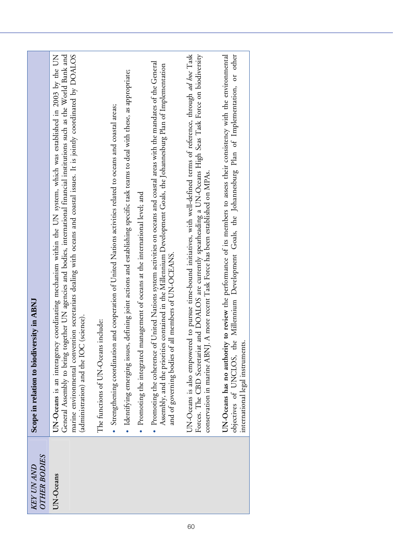| <b>OTHER BODIES</b><br><b>KEY UN AND</b> | Scope in relation to biodiversity in ABNJ                                                                                                                                                                                                                                                                                                                                                                                |
|------------------------------------------|--------------------------------------------------------------------------------------------------------------------------------------------------------------------------------------------------------------------------------------------------------------------------------------------------------------------------------------------------------------------------------------------------------------------------|
| UN-Oceans                                | marine environmental convention secretariats dealing with oceans and coastal issues. It is jointly coordinated by DOALOS<br>coordinating mechanism within the UN system, which was established in 2003 by the UN<br>General Assembly to bring together UN agencies and bodies, international financial institutions such as the World Bank and<br>(administration) and the IOC (science).<br>UN-Oceans is an interagency |
|                                          | The functions of UN-Oceans include:                                                                                                                                                                                                                                                                                                                                                                                      |
|                                          | · Strengthening coordination and cooperation of United Nations activities related to oceans and coastal areas;                                                                                                                                                                                                                                                                                                           |
|                                          | · Identifying emerging issues, defining joint actions and establishing specific task teams to deal with these, as appropriate;                                                                                                                                                                                                                                                                                           |
|                                          | • Promoting the integrated management of oceans at the international level; and                                                                                                                                                                                                                                                                                                                                          |
|                                          | • Promoting the coherence of United Nations system activities on oceans and coastal areas with the mandates of the General<br>Assembly, and the priorities contained in the Millennium Development Goals, the Johannesburg Plan of Implementation<br>members of UN-OCEANS.<br>and of governing bodies of all                                                                                                             |
|                                          | to pursue time-bound initiatives, with well-defined terms of reference, through ad hoc Task<br>Forces. The CBD Secretariat and DOALOS are currently spearheading a UN-Oceans High Seas Task Force on biodiversity<br>conservation in marine ABNJ. A more recent Task Force has been established on MPAs.<br>UN-Oceans is also empowered                                                                                  |
|                                          | to review the performance of its members to assess their consistency with the environmental<br>Millennium Development Goals, the Johannesburg Plan of Implementation, or other<br>UN-Oceans has no authority<br>objectives of UNCLOS, the<br>international legal instruments.                                                                                                                                            |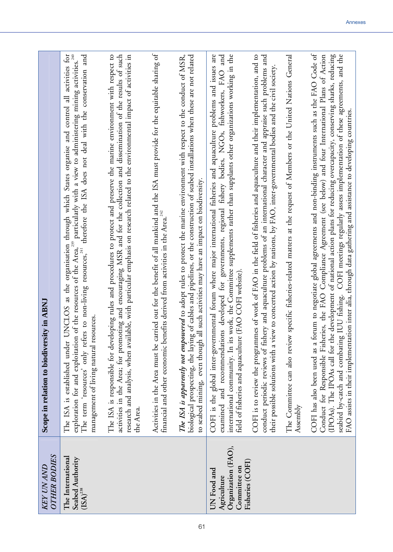| <b>OTHER BODIES</b><br><b>KEY UN AND</b>                                              | Scope in relation to biodiversity in ABNJ                                                                                                                                                                                                                                                                                                                                                                                                                                                                                                                                                                              |
|---------------------------------------------------------------------------------------|------------------------------------------------------------------------------------------------------------------------------------------------------------------------------------------------------------------------------------------------------------------------------------------------------------------------------------------------------------------------------------------------------------------------------------------------------------------------------------------------------------------------------------------------------------------------------------------------------------------------|
| The International<br>Seabed Authority<br>$\mathbf{(ISA)}^{238}$                       | UNCLOS as the organisation through which States organise and control all activities for<br>exploration for and exploitation of the resources of the Area, <sup>239</sup> particularly with a view to administering mining activities. <sup>240</sup><br>The term 'resources' only refers to non-living resources, <sup>241</sup> therefore the ISA does n<br>management of living natural resources<br>The ISA is established under                                                                                                                                                                                    |
|                                                                                       | The ISA is responsible for developing rules and procedures to protect and preserve the marine environment with respect to<br>activities in the Area; for promoting and encouraging MSR and for the collection and dissemination of the results of such<br>research and analysis, when available, with particular emphasis on research related to the environmental impact of activities in<br>the Area.                                                                                                                                                                                                                |
|                                                                                       | Activities in the Area must be carried out for the benefit of all mankind and the ISA must provide for the equitable sharing of<br>financial and other economic benefits derived from activities in the Area. <sup>242</sup>                                                                                                                                                                                                                                                                                                                                                                                           |
|                                                                                       | The ISA is apparently not empowered to adopt rules to protect the marine environment with respect to the conduct of MSR,<br>biological prospecting, the laying of cables and pipelines, or the construction of seabed installations when these are not related<br>all such activities may have an impact on biodiversity.<br>to seabed mining, even though                                                                                                                                                                                                                                                             |
| Organization (FAO),<br>Fisheries (COFI)<br>Committee on<br>UN Food and<br>Agriculture | COFI is the global inter-governmental forum where major international fisheries and aquaculture problems and issues are<br>work, the Committee supplements rather than supplants other organizations working in the<br>examined and recommendations developed for governments, regional fishery bodies, NGOs, fishworkers, FAO and<br>(FAO COFI website)<br>international community. In its<br>field of fisheries and aquaculture                                                                                                                                                                                      |
|                                                                                       | COFI is to review the programmes of work of FAO in the field of fisheries and aquaculture and their implementation, and to<br>conduct periodic reviews of fishery and aquaculture problems of an international character and appraise such problems and<br>their possible solutions with a view to concerted action by nations, by FAO, inter-governmental bodies and the civil society.                                                                                                                                                                                                                               |
|                                                                                       | specific fisheries-related matters at the request of Members or the United Nations General<br>The Committee can also review<br>Assembly                                                                                                                                                                                                                                                                                                                                                                                                                                                                                |
|                                                                                       | COFI has also been used as a forum to negotiate global agreements and non-binding instruments such as the FAO Code of<br>seabird by-catch and combating IUU fishing. COFI meetings regularly assess implementation of these agreements, and the<br>Conduct for Responsible Fisheries, the FAO Compliance Agreement (see below) and four International Plans of Action<br>(IPOAs). The IPOAs call for the development of national action plans for reducing overcapacity, conserving sharks, reducing<br>FAO assists in their implementation inter alia, through data gathering and assistance to developing countries. |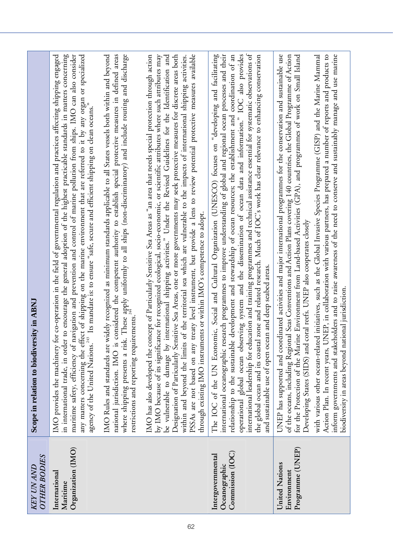| <b>OTHER BODIES</b><br><b>KEY UN AND</b>               | Scope in relation to biodiversity in ABNJ                                                                                                                                                                                                                                                                                                                                                                                                                                                                                                                                                                                                                                                                                                                                                                                                                                                                 |
|--------------------------------------------------------|-----------------------------------------------------------------------------------------------------------------------------------------------------------------------------------------------------------------------------------------------------------------------------------------------------------------------------------------------------------------------------------------------------------------------------------------------------------------------------------------------------------------------------------------------------------------------------------------------------------------------------------------------------------------------------------------------------------------------------------------------------------------------------------------------------------------------------------------------------------------------------------------------------------|
| Organization (IMO)<br>International<br>Maritime        | maritime safety, efficiency of navigation and prevention and control of marine pollution from ships. IMO can also consider<br>IMO provides the machinery for co-operation in the field of governmental regulation and practices affecting shipping engaged<br>to encourage the general adoption of the highest practicable standards in matters concerning<br>any matters concerning the effect of shipping on the marine environment that are referred to it by any organ or specialized<br>agency of the United Nations. <sup>243</sup> Its mandate is: to ensure "safe, secure and efficient shipping on clean oceans."<br>in international trade, in order                                                                                                                                                                                                                                            |
|                                                        | These apply uniformly to all ships (non-discriminatory) and include routing and discharge<br>national jurisdiction. IMO is considered the competent authority to establish special protective measures in defined areas<br>IMO Rules and standards are widely recognized as minimum standards applicable to all States vessels both within and beyond<br>ements<br>where shipping presents a risk.<br>restrictions and reporting requir                                                                                                                                                                                                                                                                                                                                                                                                                                                                   |
|                                                        | IMO has also developed the concept of Particularly Sensitive Sea Areas as "an area that needs special protection through action<br>PSSAs are not based on any treaty level instrument, but provide a lens to review potential protective measures available<br>by IMO because of its significance for recognized ecological, socio-economic, or scientific attributes where such attributes may<br>Designation of Particularly Sensitive Sea Areas, one or more governments may seek protective measures for discrete areas both<br>be vulnerable to damage by international shipping activities." Under the Revised Guidelines for the Identification and<br>of the territorial sea which are vulnerable to the impacts of international shipping activities.<br>through existing IMO instruments or within IMO's competence to adopt.<br>within and beyond the limits                                   |
| Commission (IOC)<br>Intergovernmental<br>Oceanographic | international leadership for education and training programmes and technical assistance essential for systematic observations of<br>international oceanographic research programmes to improve understanding of global and regional ocean processes and their<br>operational global ocean observing system and the dissemination of ocean data and information." IOC also provides<br>The IOC of the UN Economic, Social and Cultural Organization (UNESCO) focuses on "developing and facilitating<br>development and stewardship of ocean resources; the establishment and coordination of an<br>the global ocean and its coastal zone and related research. Much of IOC's work has clear relevance to enhancing conservation<br>and sustainable use of open ocean and deep seabed areas.<br>relationship to the sustainable                                                                            |
| Programme (UNEP)<br>United Nations<br>Environment      | UNEP has supported and coordinated activities and major international programmes for the conservation and sustainable use<br>inform governments and stakeholders and to raise awareness of the need to conserve and sustainably manage and use marine<br>with various other ocean-related initiatives, such as the Global Invasive Species Programme (GISP) and the Marine Mammal<br>Action Plan. In recent years, UNEP, in collaboration with various partners, has prepared a number of reports and products to<br>for the Protection of the Marine Environment from Land-based Activities (GPA), and programmes of work on Small Island<br>of the oceans, including Regional Seas Conventions and Action Plans covering 140 countries, the Global Programme of Action<br>Developing States (SIDS) and coral reefs. UNEP also cooperates closely<br>biodiversity in areas beyond national jurisdiction. |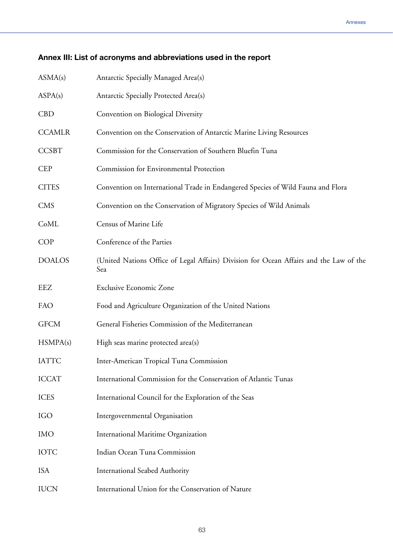## **Annex III: List of acronyms and abbreviations used in the report**

| ASMA(s)       | Antarctic Specially Managed Area(s)                                                           |
|---------------|-----------------------------------------------------------------------------------------------|
| ASPA(s)       | Antarctic Specially Protected Area(s)                                                         |
| <b>CBD</b>    | Convention on Biological Diversity                                                            |
| <b>CCAMLR</b> | Convention on the Conservation of Antarctic Marine Living Resources                           |
| <b>CCSBT</b>  | Commission for the Conservation of Southern Bluefin Tuna                                      |
| <b>CEP</b>    | Commission for Environmental Protection                                                       |
| <b>CITES</b>  | Convention on International Trade in Endangered Species of Wild Fauna and Flora               |
| <b>CMS</b>    | Convention on the Conservation of Migratory Species of Wild Animals                           |
| CoML          | Census of Marine Life                                                                         |
| <b>COP</b>    | Conference of the Parties                                                                     |
| <b>DOALOS</b> | (United Nations Office of Legal Affairs) Division for Ocean Affairs and the Law of the<br>Sea |
| EEZ           | <b>Exclusive Economic Zone</b>                                                                |
| FAO           | Food and Agriculture Organization of the United Nations                                       |
| <b>GFCM</b>   | General Fisheries Commission of the Mediterranean                                             |
| HSMPA(s)      | High seas marine protected area(s)                                                            |
| <b>IATTC</b>  | Inter-American Tropical Tuna Commission                                                       |
| <b>ICCAT</b>  | International Commission for the Conservation of Atlantic Tunas                               |
| <b>ICES</b>   | International Council for the Exploration of the Seas                                         |
| <b>IGO</b>    | Intergovernmental Organisation                                                                |
| <b>IMO</b>    | International Maritime Organization                                                           |
| <b>IOTC</b>   | Indian Ocean Tuna Commission                                                                  |
| <b>ISA</b>    |                                                                                               |
|               | <b>International Seabed Authority</b>                                                         |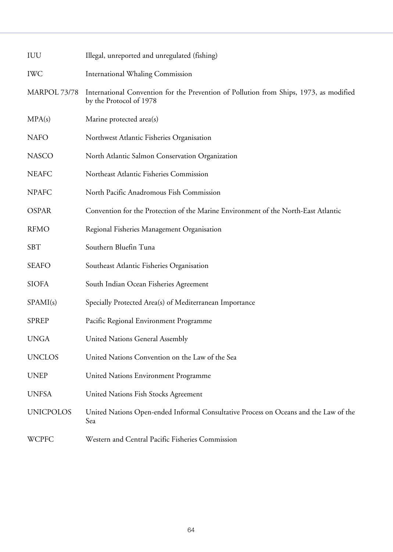| IUU              | Illegal, unreported and unregulated (fishing)                                                                     |
|------------------|-------------------------------------------------------------------------------------------------------------------|
| <b>IWC</b>       | <b>International Whaling Commission</b>                                                                           |
| MARPOL 73/78     | International Convention for the Prevention of Pollution from Ships, 1973, as modified<br>by the Protocol of 1978 |
| MPA(s)           | Marine protected area(s)                                                                                          |
| <b>NAFO</b>      | Northwest Atlantic Fisheries Organisation                                                                         |
| <b>NASCO</b>     | North Atlantic Salmon Conservation Organization                                                                   |
| <b>NEAFC</b>     | Northeast Atlantic Fisheries Commission                                                                           |
| <b>NPAFC</b>     | North Pacific Anadromous Fish Commission                                                                          |
| <b>OSPAR</b>     | Convention for the Protection of the Marine Environment of the North-East Atlantic                                |
| <b>RFMO</b>      | Regional Fisheries Management Organisation                                                                        |
| <b>SBT</b>       | Southern Bluefin Tuna                                                                                             |
| <b>SEAFO</b>     | Southeast Atlantic Fisheries Organisation                                                                         |
| <b>SIOFA</b>     | South Indian Ocean Fisheries Agreement                                                                            |
| SPAMI(s)         | Specially Protected Area(s) of Mediterranean Importance                                                           |
| <b>SPREP</b>     | Pacific Regional Environment Programme                                                                            |
| <b>UNGA</b>      | <b>United Nations General Assembly</b>                                                                            |
| <b>UNCLOS</b>    | United Nations Convention on the Law of the Sea                                                                   |
| <b>UNEP</b>      | United Nations Environment Programme                                                                              |
| <b>UNFSA</b>     | United Nations Fish Stocks Agreement                                                                              |
| <b>UNICPOLOS</b> | United Nations Open-ended Informal Consultative Process on Oceans and the Law of the<br>Sea                       |
| <b>WCPFC</b>     | Western and Central Pacific Fisheries Commission                                                                  |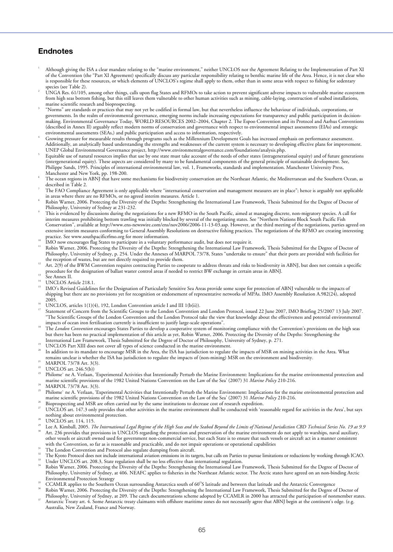## **Endnotes**

- 1 Although giving the ISA a clear mandate relating to the "marine environment," neither UNCLOS nor the Agreement Relating to the Implementation of Part XI of the Convention (the "Part XI Agreement) specifically discuss any particular responsibility relating to benthic marine life of the Area. Hence, it is not clear who is responsible for these resources, or which elements of UNCLOS's regime shall apply to them, other than in some areas with respect to fishing for sedentary species (see Table 2).
- UNGA Res. 61/105, among other things, calls upon flag States and RFMOs to take action to prevent significant adverse impacts to vulnerable marine ecosystem from high seas bottom fishing, but this still leaves them vulnerable to other human activities such as mining, cable-laying, construction of seabed installations, marine scientific research and bioprospecting. 3
- "Norms" are standards or practices that may not yet be codified in formal law, but that nevertheless influence the behaviour of individuals, corporations, or governments. In the realm of environmental governance, emerging norms include increasing expectations for transparency and public participation in decisionmaking. Environmental Governance Today, WORLD RESOURCES 2002–2004, Chapter 2. The Espoo Convention and its Protocol and Aarhus Conventions (described in Annex II) arguably reflect modern norms of conservation and governance with respect to environmental impact assessments (EIAs) and strategic environmental assessments (SEAs,) and public participation and access to information, respectively. <sup>4</sup>
- Growing pressure for measurable results through programs such as the Millennium Development Goals has increased emphasis on performance assessment. Additionally, an analytically based understanding the strengths and weaknesses of the current system is necessary to developing effective plans for improvement. UNEP Global Environmental Governance project, http://www.environmentalgovernance.com/foundations/analysis.php. 5
- Equitable use of natural resources implies that use by one state must take account of the needs of other states (intragenerational equity) and of future generations (intergenerational equity). These aspects are considered by many to be fundamental components of the general principle of sustainable development. See, Philippe Sands, 1995. Principles of international environmental law, vol. 1, Frameworks, standards and implementation. Manchester University Press,
- Manchester and New York, pp. 198-200.<br>6 The ocean regions in ABNJ that have some mechanisms for biodiversity conservation are the Northeast Atlantic, the Mediterranean and the Southern Ocean, as  $described$  in  $\tilde{T}$ able 2.
- The FAO Compliance Agreement is only applicable where "international conservation and management measures are in place"; hence is arguably not applicable in areas where there are no RFMOs, or no agreed interim measures. Article 1.
- Robin Warner, 2006. Protecting the Diversity of the Depths: Strengthening the International Law Framework, Thesis Submitted for the Degree of Doctor of Philosophy, University of Sydney at 231-232.
- This is evidenced by discussions during the negotiations for a new RFMO in the South Pacific, aimed at managing discrete, non-migratory species. A call for interim measures prohibiting bottom trawling was initially blocked by several of the negotiating states. See "Northern Nations Block South Pacific Fish Conservation", available at http://www.ens-newswire.com/ens/nov2006/2006-11-13-03.asp. However, at the third meeting of the negotiations, parties agreed on extensive interim measures conforming to General Assembly Resolutions on destructive fishing practices. The negotiations of the RFMO are creating interesting
- 
- IMO now encourages flag States to participate in a voluntary performance audit, but does not require it.<br>IMO now encourages flag States to participate in a voluntary performance audit, but does not require it.<br>IN Robin War Philosophy, University of Sydney, p. 254. Under the Annexes of MARPOL 73/78, States "undertake to ensure" that their ports are provided with facilities for the reception of wastes, but are not directly required to provide
- Art. 2(9) of the BWM Convention requires contracting Parties to cooperate to address threats and risks to biodiversity in ABNJ, but does not contain a specific procedure for the designation of ballast waster control areas if needed to restrict BW exchange in certain areas in ABNJ.<br><sup>13</sup> See Annex II.
- 
- <sup>14</sup> UNCLOS Article 218.1.
- 15 IMO's Revised Guidelines for the Designation of Particularly Sensitive Sea Areas provide some scope for protection of ABNJ vulnerable to the impacts of shipping but there are no provisions yet for recognition or endorsement of representative networks of MPAs. IMO Assembly Resolution A.982(24), adopted 2005
- 
- <sup>16</sup> UNCLOS, articles 1(1)(4), 192, London Convention article I and III 1(b(ii)).<br><sup>17</sup> Statement of Concern from the Scientific Groups to the London Convention and London Protocol, issued 22 June 2007, IMO Briefing 25/200 "The Scientific Groups of the London Convention and the London Protocol take the view that knowledge about the effectiveness and potential environmental<br>impacts of ocean iron fertilisation currently is insufficient to just
- The London Convention encourages States Parties to develop a cooperative system of monitoring compliance with the Convention's provisions on the high seas but there has been no practical implementation of this article as yet, Robin Warner, 2006. Protecting the Diversity of the Depths: Strengthening the International Law Framework, Thesis Submitted for the Degree of Doctor of
- 
- UNCLOS Part XIII does not cover all types of science conducted in the marine environment.<br>In addition to its mandate to encourage MSR in the Area, the ISA has jurisdiction to regulate the impacts of MSR on mining activitie
- remains unclear is whether the ISA has jurisdiction to regulate the impacts of (non-mining) MSR on the environment and biodiversity.<br>
<sup>21</sup> MARPOL 73/78 Art. 3(3).
- 
- <sup>22</sup> UNCLOS art. 246.5(b))
- 23 Philome` ne A. Verlaan, 'Experimental Activities that Intentionally Perturb the Marine Environment: Implications for the marine environmental protection and marine scientific provisions of the 1982 United Nations Convention on the Law of the Sea' (2007) 31 *Marine Policy* 210-216.<br>MARPOL 73/78 Art. 3(3).
- 
- 25 Philome` ne A. Verlaan, 'Experimental Activities that Intentionally Perturb the Marine Environment: Implications for the marine environmental protection and marine scientific provisions of the 1982 United Nations Convention on the Law of the Sea' (2007) 31 *Marine Policy* 210-216.<br>Bioprospecting and MSR are often carried out by the same institutions to decrease cost of researc
- 
- nothing about environmental protection.<br><sup>28</sup> UNCLOS art. 114, 115.
- 
- Lee A. Kimball, 2005. *The International Legal Regime of the High Seas and the Seabed Beyond the Limits of National Jurisdiction CBD Technical Series No. 19 at 9.9* Art. 236 provides that provisions in UNCLOS regarding the protection and preservation of the marine environment do not apply to warships, naval auxiliary, other vessels or aircraft owned used for government non-commercial service, but each State is to ensure that such vessels or aircraft act in a manner consistent with the Convention, so far as is reasonable and practicable,
- 
- <sup>31</sup> The London Convention and Protocol also regulate dumping from aircraft.<br><sup>32</sup> The Kyoto Protocol does not include international aviation emissions in its targets, but calls on Parties to pursue limitations or reduction
- Philosophy, University of Sydney, at 406. NEAFC applies to fisheries in the Northeast Atlantic sector. The Arctic states have agreed on an non-binding Arctic
- CCAMLR applies to the Southern Ocean surrounding Antarctica south of 60°S latitude and between that latitude and the Antarctic Convergence
- Robin Warner, 2006. Protecting the Diversity of the Depths: Strengthening the International Law Framework, Thesis Submitted for the Degree of Doctor of<br>Philosophy, University of Sydney, at 209. The catch documentations sch
- Antarctic Treaty art. 4. Some Antarctic treaty claimants with offshore maritime zones do not necessarily agree that ABNJ begin at the continent's edge. (e.g. Australia, New Zealand, France and Norway.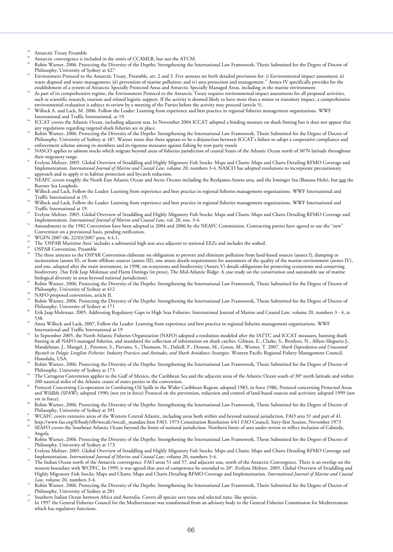- Antarctic Treaty Preamble<br>Antarctic convergence is included in the remit of CCAMLR, but not the ATCM.
- Robin Warner, 2006. Protecting the Diversity of the Depths: Strengthening the International Law Framework, Thesis Submitted for the Degree of Doctor of<br>Philosophy, University of Sydney at 427
- Environment Protocol to the Antarctic Treaty, Preamble, art. 2 and 3. Five annexes set forth detailed provisions for: i) Environmental impact assessment; ii) waste disposal and waste management; iii) prevention of marine pollution; and iv) area protection and management.<sup>41</sup> Annex IV specifically provides for the<br>establishment of a system of Antarctic Specially Protected Areas
- As part of its comprehensive regime, the Environment Protocol to the Antarctic Treaty requires environmental impact assessments for all proposed activities, such as scientific research, tourism and related logistic support. If the activity is deemed likely to have more than a minor or transitory impact, a comprehensive<br>environmental evaluation is subject to review by a meeting
- Willock A. and Lack, M. 2006. Follow the Leader: Learning from experience and best practice in regional fisheries management organizations. WWF
- International and Traffic International, at 19.<br>ICCAT covers the Atlantic Ocean, including adjacent seas. In November 2004 ICCAT adopted a binding measure on shark finning but it does not appear that<br>any regulations regard
- Robin Warner, 2006. Protecting the Diversity of the Depths: Strengthening the International Law Framework, Thesis Submitted for the Degree of Doctor of Philosophy, University of Sydney at 187. Warner notes that there appears to be a disjunction between ICCAT's failure to adopt a cooperative compliance and
- enforcement scheme among its members and its rigorous measures against fishing by non-party vessels<br>NASCO applies to salmon stocks which migrate beyond areas of fisheries jurisdiction of coastal States of the Atlantic Ocea
- their migratory range.<br>Evelyne Meltzer. 2005. Global Overview of Straddling and Highly Migratory Fish Stocks: Maps and Charts: Maps and Charts Detailing RFMO Coverage and Implementation. *International Journal of Marine and Coastal Law*, volume 20, numbers 3-4. NASCO has adopted resolutions to incorporate precautionary<br>approach and to apply it to habitat protection and bycatch reduction.
- NEAFC covers roughly the North East Atlantic Ocean and Arctic Oceans including the Reykjanes-Azores area, and the Irminger Sea (Banana Hole), but <u>not</u> the<br>Barents Sea Loophole.
- Willock and Lack, Follow the Leader: Learning from experience and best practice in regional fisheries management organizations. WWF International and<br>Traffic International at 19
- Willock and Lack, Follow the Leader: Learning from experience and best practice in regional fisheries management organizations. WWF International and<br>Traffic International at 19.
- Evelyne Meltzer. 2005. Global Overview of Straddling and Highly Migratory Fish Stocks: Maps and Charts: Maps and Charts Detailing RFMO Coverage and<br>Implementation. International Journal of Marine and Coastal Law, vol. 20,
- Amendments to the 1982 Convention have been adopted in 2004 and 2006 by the NEAFC Commission. Contracting parties have agreed to use the "new"
- 
- Convention on a provisional basis, pending ratification.<br>
<sup>53</sup> WGFN 2007-06, 22/03/2007 para. 4.4.1,<br>
<sup>54</sup> The 'OSPAR Maritime Area' includes a substantial high seas area adjacent to national EEZs and includes the seabed.<br>
- 
- The three annexes to the OSPAR Convention elaborate on obligations to prevent and eliminate pollution from land-based sources (annex I), dumping or incineration (annex II), or from offshore sources (annex III), one annex details requirements for assessment of the quality of the marine environment (annex IV), and one, adopted after the main instrument, in 1998, on ecosystems and biodiversity (Annex V) details obligations for protecting ecosystems and conserving biodiversity. (See Erik Jaap Molenaar and Harm Dotinga (in press), The Mid-Atlantic Ridge: A case study on the conservation and sustainable use of marine biological diversity in areas beyond national jurisdiction).
- Robin Warner, 2006. Protecting the Diversity of the Depths: Strengthening the International Law Framework, Thesis Submitted for the Degree of Doctor of
- Philosophy, University of Sydney at 412 NAFO proposed convention, article II.
- Robin Warner, 2006. Protecting the Diversity of the Depths: Strengthening the International Law Framework, Thesis Submitted for the Degree of Doctor of Philosophy, University of Sydney at 171
- Erik Jaap Molenaar, 2005. Addressing Regulatory Gaps in High Seas Fisheries. International Journal of Marine and Coastal Law, volume 20, numbers 3 4, at
- 538.<br>Anna Willock and Lack, 2007, Follow the Leader: Learning from experience and best practice in regional fisheries management organizations. WWF<br>International and Traffic International at 19
- In September 2005, the North Atlantic Fisheries Organization (NAFO) adopted a resolution modeled after the IATTC and ICCAT measures, banning shark finning in all NAFO-managed fisheries, and mandated the collection of information on shark catches. Gilman, E., Clarke, S., Brothers, N., Alfaro-Shigueto-J., Mandelman, J., Mangel, J., Petersen, S., Piovano, S., Thomson, N., Dalzell, P., Donoso, M., Goren, M., Werner, T. 2007. *Shark Depredation and Unwanted Bycatch in Pelagic Longline Fisheries: Industry Practices and Attitudes, and Shark Avoidance Strategies*. Western Pacific Regional Fishery Management Council,
- Honolulu, USA.<br>Robin Warner, 2006. Protecting the Diversity of the Depths: Strengthening the International Law Framework, Thesis Submitted for the Degree of Doctor of<br>Philosophy, University of Sydney at 173
- The Cartagena Convention applies to the Gulf of Mexico, the Caribbean Sea and the adjacent areas of the Atlantic Ocean south of 30° north latitude and within 200 nautical miles of the Atlantic coasts of states parties to t
- Protocol Concerning Co-operation in Combating Oil Spills in the Wider Caribbean Region; adopted 1983, in force 1986, Protocol concerning Protected Areas and Wildlife (SPAW); adopted 1990; (not yet in force) Protocol on the prevention, reduction and control of land-based sources and activities; adopted 1999 (not ver in force).
- Robin Warner, 2006. Protecting the Diversity of the Depths: Strengthening the International Law Framework, Thesis Submitted for the Degree of Doctor of<br>Philosophy, University of Sydney at 391
- 
- WCAFC covers extensive areas of the Western Central Atlantic, including areas both within and beyond national jurisdiction. FAO area 31 and part of 41.<br>http://www.fao.org/fi/body/rfb/wecafc/wecafc\_mandate.htm FAO, 1973 Con
- 
- Angola<br>Robin Warner, 2006. Protecting the Diversity of the Depths: Strengthening the International Law Framework, Thesis Submitted for the Degree of Doctor of<br>Philosophy, University of Sydney at 173
- Evelyne Meltzer. 2005. Global Overview of Straddling and Highly Migratory Fish Stocks: Maps and Charts: Maps and Charts Detailing RFMO Coverage and Implementation. International Journal of Marine and Coastal Law, volume 20
- <sup>72</sup> The Indian Ocean north of the Antarctic convergence. FAO areas 51 and 57, and adjacent seas, north of the Antarctic Convergence. There is an overlap on the western boundary with WCPFC. In 1999, it was agreed that area of competence be extended to 20°. Evelyne Meltzer. 2005. Global Overview of Straddling and Highly Migratory Fish Stocks: Maps and Charts: Maps and Charts Detailing RFMO Coverage and Implementation. *International Journal of Marine and Coastal*
- Robin Warner, 2006. Protecting the Diversity of the Depths: Strengthening the International Law Framework, Thesis Submitted for the Degree of Doctor of
- 
- Philosophy, University of Sydney at 201<br>Southern Indian Ocean between Africa and Australia. Covers all species save tuna and selected tuna- like species.<br>In 1997 the General Fisheries Council for the Mediterranean was tran which has regulatory functions.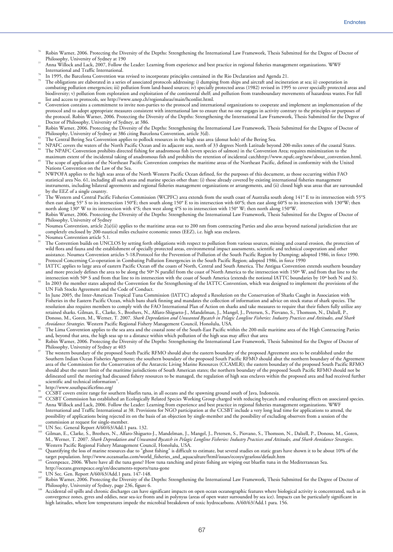- Robin Warner, 2006. Protecting the Diversity of the Depths: Strengthening the International Law Framework, Thesis Submitted for the Degree of Doctor of<br>Philosophy, University of Sydney at 190
- Anna Willock and Lack, 2007, Follow the Leader: Learning from experience and best practice in regional fisheries management organizations. WWF<br>International and Traffic International.
- 
- In 1995, the Barcelona Convention was revised to incorporate principles contained in the Rio Declaration and Agenda 21.<br>The obligations are elaborated in a series of associated protocols addressing: i) dumping from ships a combating pollution emergencies; iii) pollution from land-based sources; iv) specially protected areas (1982) revised in 1995 to cover specially protected areas and biodiversity; v) pollution from exploration and exploitation of the continental shelf; and pollution from transboundary movements of hazardous wastes. For full list and access to protocols, see http://www.unep.ch/regionals
- Convention contains a commitment to invite non-parties to the protocol and international organizations to cooperate and implement an implementation of the protocol and to adopt appropriate measures consistent with international law to ensure that no one engages in activity contrary to the principles or purposes of the protocol. Robin Warner, 2006. Protecting the Diversity of the Depths: Strengthening the International Law Framework, Thesis Submitted for the Degree of
- Robin Warner, 2006. Protecting the Diversity of the Depths: Strengthening the International Law Framework, Thesis Submitted for the Degree of Doctor of Philosophy, University of Sydney at 386 citing Barcelona Convention, a
- 
- The Central Bering Sea Convention applies to pollock resources in the high seas area (donut hole) of the Bering Sea.<br>NPAFC covers the waters of the North Pacific Ocean and its adjacent seas, north of 33 degrees North Latit
- The scope of application of the Northeast Pacific Convention comprises the maritime areas of the Northeast Pacific, defined in conformity with the United
- Nations Convention on the Law of the Sea.<br>NWPOFA applies to the high seas areas of the North Western Pacific Ocean defined, for the purposes of this document, as those occurring within FAO statistical area No. 61, including all such areas and marine species other than: (i) those already covered by existing international fisheries management instruments, including bilateral agreements and regional fisheries management organizations or arrangements, and (ii) closed high seas areas that are surrounded
- The Western and Central Pacific Fisheries Commission (WCPFC) area extends from the south coast of Australia south along 141° E to its intersection with 55°S then east along 55° S to its intersection 150°E; then south along 150° E to its intersection with 60°S; then east along 60°S to its intersection with 130°W; then north along 130°W to its intersection with 4°S; then west al
- Robin Warner, 2006. Protecting the Diversity of the Depths: Strengthening the International Law Framework, Thesis Submitted for the Degree of Doctor of Philosophy, University of Sydney
- Noumea Convention, article 2(a)(ii) applies to the maritime areas out to 200 nm from contracting Parties and also areas beyond national jurisdiction that are completely enclosed by 200-nautical miles exclusive economic zones (EEZ), i.e. high seas enclaves.<br>Noumea Convention article 5.1.
- 
- The Convention builds on UNCLOS by setting forth obligations with respect to pollution from various sources, mining and coastal erosion, the protection of wild flora and fauna and the establishment of specially protected areas, environmental impact assessments, scientific and technical cooperation and other assistance. Noumea Convention articles 5-18.Protocol for the Prevention of Pollution of the South Pacific Region by Dumping; adopted 1986, in force 1990.
- Protocol Concerning Co-operation in Combating Pollution Emergencies in the South Pacific Region; adopted 1986, in force 1990<br>IATTC applies to large area of eastern Pacific Ocean off the coasts of North, Central and South A and more precisely defines the area to be along the 50° N parallel from the coast of North America to the intersection with 150° W, and from that line to the intersection with 50° S and from that line to its intersection
- In 2003 the member states adopted the Convention for the Strengthening of the IATTC Convention, which was designed to implement the provisions of the UN Fish Stocks Agreement and the Code of Conduct.
- In June 2005, the Inter-American Tropical Tuna Commission (IATTC) adopted a Resolution on the Conservation of Sharks Caught in Association with Fisheries in the Eastern Pacific Ocean, which bans shark finning and mandates the collection of information and advice on stock status of shark species. The resolution also requires members to comply with the FAO International Plan of Action on sharks and take measures to require that their fishers fully utilize any retained sharks. Gilman, E., Clarke, S., Brothers, N., Alfaro-Shigueto-J., Mandelman, J., Mangel, J., Petersen, S., Piovano, S., Thomson, N., Dalzell, P., Donoso, M., Goren, M., Werner, T. 2007. *Shark Depredation and Unwanted Bycatch in Pelagic Longline Fisheries: Industry Practices and Attitudes, and Shark*
- The Lima Convention applies to the sea area and the coastal zone of the South-East Pacific within the 200-mile maritime area of the High Contracting Parties and, beyond that area, the high seas up to a distance within whic
- Robin Warner, 2006. Protecting the Diversity of the Depths: Strengthening the International Law Framework, Thesis Submitted for the Degree of Doctor of
- Philosophy, University of Sydney at 403<br>The western boundary of the proposed South Pacific RFMO should abut the eastern boundary of the proposed Agreement area to be established under the Southern Indian Ocean Fisheries Agreement; the southern boundary of the proposed South Pacific RFMO should abut the northern boundary of the Agreement area of the Commission for the Conservation of the Antarctic Living Marine Resources (CCAMLR); the eastern boundary of the proposed South Pacific RFMO should abut the outer limit of the maritime jurisdictions of South American states; the northern boundary of the proposed South Pacific RFMO should not be delineated until the meeting had discussed fishery resources to be managed, the regulation of high seas enclaves within the proposed area and had received further scientific and technical information".
- 
- http://www.southpacificrfmo.org/<br>CCSBT covers entire range for southern bluefin tuna, in all oceans and the spawning ground south of Java, Indonesia.
- <sup>100</sup> CCSBT Commission has established an Ecologically Related Species Working Group charged with reducing bycatch and evaluating effects on associated species.<br><sup>101</sup> Anna Willock and Lack, 2006. Follow the Leader: Learnin
- International and Traffic International at 38. Provisions for NGO participation at the CCSBT include a very long lead time for applications to attend, the possibility of applications being rejected its on the basis of an objection by single-member and the possibility of excluding observers from a session of the
- 
- commission at request for single-member.<br><sup>102</sup> UN Sec. General Report A/60/63/Add.1 para. 132.<br><sup>103</sup> Gilman, E., Clarke, S., Brothers, N., Alfaro-Shigueto-J., Mandelman, J., Mangel, J., Petersen, S., Piovano, S., Thomson, M., Werner, T. 2007. *Shark Depredation and Unwanted Bycatch in Pelagic Longline Fisheries: Industry Practices and Attitudes, and Shark Avoidance Strategies*.
- Quantifying the loss of marine resources due to "ghost fishing" is difficult to estimate, but several studies on static gears have shown it to be about 10% of the
- target population. http://www.oceansatlas.com/world\_fisheries\_and\_aquaculture/html/issues/ecosys/gearloss/default.htm<br>Greenpeace, 2006. Where have all the tuna gone? How tuna ranching and pirate fishing are wiping out blue
- 
- 
- http://oceans.greenpeace.org/en/documents-reports/tuna-gone<br>UN Sec. Gen. Report A/60/63/Add.1 para. 147-148.<br>Robin Warner, 2006. Protecting the Diversity of the Depths: Strengthening the International Law Framework, Thesis
- Accidental oil spills and chronic discharges can have significant impacts on open ocean oceanographic features where biological activity is concentrated, such as in convergence zones, gyres and eddies, near sea-ice fronts and in polynyas (areas of open water surrounded by sea ice). Impacts can be particularly significant in high latitudes, where low temperatures impede the microbial breakdown of toxic hydrocarbons. A/60/63/Add.1 para. 156.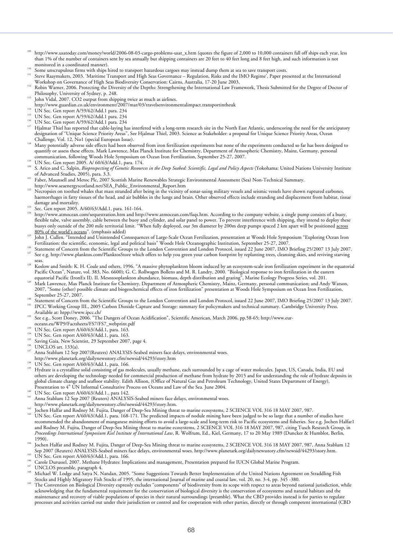- http://www.usatoday.com/money/world/2006-08-03-cargo-problems-usat\_x.htm (quotes the figure of 2,000 to 10,000 containers fall off ships each year, less than 1% of the number of containers sent by sea annually but shipping containers are 20 feet to 40 feet long and 8 feet high, and such information is not
- 
- <sup>110</sup> Some unscrupulous firms with ships hired to transport hazardous cargoes may instead dump them at sea to save transport costs.<br><sup>111</sup> Steve Raaymakers, 2003. 'Maritime Transport and High Seas Governance Regulation, R
- 112 Robin Warner, 2006. Protecting the Diversity of the Depths: Strengthening the International Law Framework, Thesis Submitted for the Degree of Doctor of<br>Philosophy, University of Sydney, p. 248.
- 
- John Vidal, 2007. CO2 output from shipping twice as much as airlines.<br>http://www.guardian.co.uk/environment/2007/mar/03/travelsenvironmentalimpact.transportintheuk
- 
- 
- 
- II4 UN Sec. Gen report A/59/62/Add.1 para. 234<br>II5 UN Sec. Gen report A/59/62/Add.1 para. 234<br>II6 UN Sec. Gen report A/59/62/Add.1 para. 234<br>II7 Hjalmar Thiel has reported that cable-laying has interfered with a long-term designation of "Unique Science Priority Areas", See Hjalmar Thiel, 2003. Science as Stakeholder: a proposal for Unique Science Priority Areas, Ocean
- Challenge, Vol. 12, No1 (special European Issue). 118 Many potentially adverse side effects had been observed from iron fertilization experiments but none of the experiments conducted so far has been designed to quantify or assess these effects. Mark Lawrence, Max Planck Institute for Chemistry, Department of Atmospheric Chemistry, Mainz, Germany, personal communication, following Woods Hole Symposium on Ocean Iron Fertilization,
- 
- <sup>119</sup> UN Sec. Gen report 2005. A/ 60/63/Add.1, para. 174.<br><sup>120</sup> S. Arico and C. Salpin, *Bioprospecting of Genetic Resources in the Deep Seabed: Scientific, Legal and Policy Aspects (Yokohama: United Nations University Ins*
- of Advanced Studies, 2005), para. 3.3.<br>1<sup>121</sup> Faber, Maunsell and Metoc Plc, 2007 Scottish Marine Renewables Strategic Environmental Assessment (Sea) Non-Technical Summary.<br>1<sup>121</sup> http://www.seaenergyscotland.net/SEA\_Publi
- 
- $\frac{1}{12}$  Necropsies on toolfed whales that mass stranded after being in the vicinity of sonar-using military vessels and seismic vessels have shown ruptured earbones, haemorrhages in fatty tissues of the head, and air bubbles in the lungs and brain. Other observed effects include stranding and displacement from habitat, tissue
- 
- damage and mortality.<br><sup>123</sup> Sec. Gen report 2005. A/60/63/Add.1, para. 161-164.<br><sup>124</sup> http://www.atmocean.com/sequestration.htm and http://www.atmocean.com/faqs.htm. According to the company website, a single pump consists flexible tube, valve assembly, cable between the buoy and cylinder, and solar panel to power. To prevent interference with shipping, they intend to deploy these buoys only outside of the 200 mile territorial limit. "When fully deployed, our 3m diameter by 200m deep pumps spaced 2 km apart will be positioned across
- 80% of the world's oceans". (emphasis added)<br>125 John J. Cullen. "Intended and Unintended Consequences of Large-Scale Ocean Fertilization, presentation at Woods Hole Symposium "Exploring Ocean Iron<br>125 John J. Cullen. "Int
- <sup>126</sup> Statement of Concern from the Scientific Groups to the London Convention and London Protocol, issued 22 June 2007, IMO Briefing 25/2007 13 July 2007.<br><sup>126</sup> Statement of Concern from the Scientific Groups to the Londo
- seas. 128 Koslow and Smith: K. H. Coale and others, 1996. "A massive phytoplankton bloom induced by an ecosystem-scale iron fertilization experiment in the equatorial
- Pacific Ocean", Nature, vol. 383, No. 6600); G. C. Rollwagen Bollens and M. R. Landry, 2000. "Biological response to iron fertilization in the eastern
- equatorial Pacific (IronEx II). II. Mesozooplankton abundance, biomass, depth distribution and grazing<sup>5</sup>, Marine Ecology Progress Series, vol. 201.<br>Mark Lawrence, Max Planck Institute for Chemistry, Department of Atmosphe 2007, "Some (other) possible climate and biogeochemical effects of iron fertilization" presentation at Woods Hole Symposium on Ocean Iron Fertilization,
- September 25-27, 2007.<br><sup>130</sup> Statement of Concern from the Scientific Groups to the London Convention and London Protocol, issued 22 June 2007, IMO Briefing 25/2007 13 July 2007.<br><sup>131</sup> IPCC Working Group III., 2005 Carbon
- 
- Available at: htpp://www.eur-<br>
See e.g., Scott Doney, 2006. "The Dangers of Ocean Acidification", Scientific American, March 2006, pp.58-65; http://www.eur-<br>
oceans.eu/WP9/Factsheets/FS7/FS7\_webprint.pdf
- 
- 
- 
- 
- 
- <sup>133</sup> UN Sec. Gen report A/60/63/Add.1, para. 163.<br><sup>134</sup> UN Sec. Gen report A/60/63/Add.1, para. 163.<br><sup>134</sup> UN Sec. Gen report A/60/63/Add.1, para. 163.<br><sup>135</sup> Saving Gaia, New Scientist, 29 September 2007, page 4.<br><sup>136</sup> UN
- 
- 
- <sup>138</sup> UN Sec. Gen report A/60/63/Add.1, para. 166.<br><sup>139</sup> Hydrate is a crystalline solid consisting of gas molecules, usually methane, each surrounded by a cage of water molecules. Japan, US, Canada, India, EU and others are developing the technology needed for commercial production of methane from hydrate by 2015 and for understanding the role of hydrate deposits in global climate change and seafloor stability. Edith Allison, (Office of Natural Gas and Petroleum Technology, United States Department of Energy),<br>Presentation to 4<sup>th</sup> UN Informal Consultative Process on Oceans and Law of
- 
- UN Sec. Gen report A/60/63/Add.1., para 142.<br>Anna Stablum 12 Sep 2007 (Reuters) ANALYSIS-Seabed miners face delays, environmental woes.<br>http://www.planetark.org/dailynewsstory.cfm/newsid/44293/story.htm.
- 
- 143 Jochen Halfar and Rodney M. Fujita, Danger of Deep-Sea Mining threat to marine ecosystems, 2 SCIENCE VOL 316 18 MAY 2007, 987.<br><sup>143</sup> UN Sec. Gen report A/60/63/Add.1, para. 168-171. The predicted impacts of nodule mini recommended the abandonment of manganese mining efforts to avoid a large-scale and long-term risk to Pacific ecosystems and fisheries. See e.g. Jochen Halfar1 and Rodney M. Fujita, Danger of Deep-Sea Mining threat to marine ecosystems, 2 SCIENCE VOL 316 18 MAY 2007, 987, citing Tusch Research Group, in and *Proceedings International Symposium Kiel Institute of International Law*, R. Wolfrum, Ed., Kiel, Germany, 17 to 20 May 1989 (Duncker & Humblot, Berlin,<br>1990)
- 1990). 144 Jochen Halfar and Rodney M. Fujita, Danger of Deep-Sea Mining threat to marine ecosystems, 2 SCIENCE VOL 316 18 MAY 2007, 987, Anna Stablum 12<br>Sep 2007 (Reuters) ANALYSIS-Seabed miners face delays, environmental
- 
- 
- 
- <sup>145</sup> UN Sec. Gen report A/60/63/Add.1, para. 166.<br><sup>146</sup> Carole Durussel, 2007. Methane Hydrates: Implications and management, Presentation prepared for IUCN Global Marine Program.<br><sup>147</sup> UNCLOS preamble, paragraph 4.<br><sup>148</sup>
- The Convention on Biological Diversity expressly excludes "components" of biodiversity from its scope with respect to areas beyond national jurisdiction, while acknowledging that the fundamental requirement for the conservation of biological diversity is the conservation of ecosystems and natural habitats and the maintenance and recovery of viable populations of species in their natural surroundings (preamble). What the CBD provides instead is for parties to regulate processes and activities carried out under their jurisdiction or control and for cooperation with other parties, directly or through competent international (CBD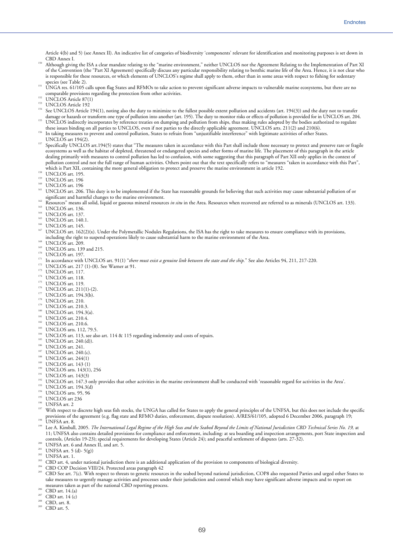Article 4(b) and 5) (see Annex II). An indicative list of categories of biodiversity 'components' relevant for identification and monitoring purposes is set down in<br>CBD Annex I

- <sup>150</sup> Although giving the ISA a clear mandate relating to the "marine environment," neither UNCLOS nor the Agreement Relating to the Implementation of Part XI of the Convention (the "Part XI Agreement) specifically discuss any particular responsibility relating to benthic marine life of the Area. Hence, it is not clear who is responsible for these resources, or which elements of UNCLOS's regime shall apply to them, other than in some areas with respect to fishing for sedentary species (see Table 2).
- species (see Table 2). 151 UNGA res. 61/105 calls upon flag States and RFMOs to take action to prevent significant adverse impacts to vulnerable marine ecosystems, but there are no comparable provisions regarding the prote
- 
- 
- 153 UNCLOS Article 87(1)<br><sup>153</sup> UNCLOS Article 87(1)<br><sup>153</sup> UNCLOS Article 192 damage or hazards or transform one type of pollution into another (art. 195). The duty to monitor risks or effects of pollution is provided for in UNCLOS art. 204.<br>UNCLOS indirectly incorporates by reference treaties on du
- In taking measures to prevent and control pollution, States to refrain from "unjustifiable interference" with legitimate activities of other States.
- 
- UNCLOS art 194(2).<br><sup>157</sup> Specifically UNCLOS art.194(5) states that "The measures taken in accordance with this Part shall include those necessary to protect and preserve rare or fragile ecosystems as well as the habitat of depleted, threatened or endangered species and other forms of marine life. The placement of this paragraph in the article dealing primarily with measures to control pollution has led to confusion, with some suggesting that this paragraph of Part XII only applies in the context of pollution control and not the full range of human activities. Others point out that the text specifically refers to "measures "taken in accordance with this Part", which is Part XII, containing the more general obligation
- 
- 
- 
- <sup>158</sup> UNCLOS art. 195.<br><sup>159</sup> UNCLOS art. 195.<br><sup>159</sup> UNCLOS art. 196<br><sup>160</sup> UNCLOS art. 206. This duty is to be implemented if the State has reasonable grounds for believing that such activities may cause substantial polluti
- 
- 
- 
- 
- 
- <sup>162</sup> Resources" means all solid, liquid or gaseous mineral resources *in situ* in the Area. Resources when recovered are referred to as minerals (UNCLOS art. 133).<br><sup>163</sup> UNCLOS art. 136.<br><sup>164</sup> UNCLOS art. 140.1.<br><sup>166</sup> UNC
- 
- 
- 
- 
- 
- 
- 
- 
- 
- 
- 
- 
- 
- 
- 
- 
- 
- 
- 
- 
- 
- 
- 
- 
- 11 milioliting the right to suspend operations likely to cause substantial harm to the matine environment of the Area.<br>
20 INCLOS art. 139 and 215.<br>
20 INCLOS art. 139.<br>
20 INCLOS art. 139.<br>
20 INCLOS art. 139.<br>
20 INCLOS
- 
- 
- 
- 
- 
- provisions of the agreement (e.g. flag state and RFMO duties, enforcement, dispute resolution). A/RES/61/105, adopted 6 December 2006, paragraph 19;<br><sup>198</sup> UNFSA art. 8.<br><sup>199</sup> Lee A. Kimball, 2005. *The International Legal*
- 
- 11; UNFSA also contains detailed provisions for compliance and enforcement, including: at sea boarding and inspection arrangements, port State inspection and
- 
- 
- 
- 
- 
- controls, (Articles 19-23); special requirements for developing States (Article 24); and peaceful settlement of disputes (arts. 27-32).<br><sup>200</sup> UNFSA art. 6 and Annex II, and art. 5.<br><sup>202</sup> UNFSA art. 5 (d)- 5(g))<br><sup>203</sup> UNFSA take measures to urgently manage activities and processes under their jurisdiction and control which may have significant adverse impacts and to report on measures taken as part of the national CBD reporting process.<br><sup>206</sup> CBD art. 14.(a)<br><sup>207</sup> CBD art. 14 (c)<br><sup>208</sup> CBD, art. 8.<br><sup>209</sup> CBD art. 5.
- 
- 
- 
- 

69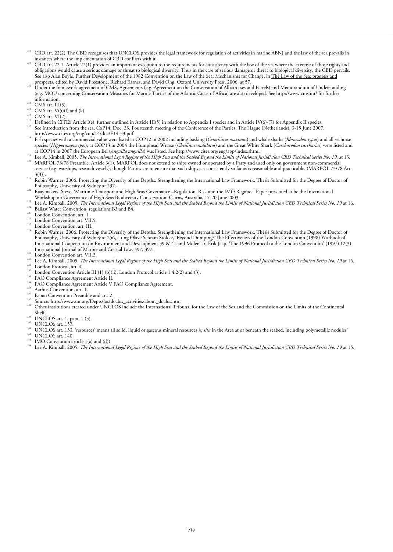- 210 CBD art. 22(2) The CBD recognises that UNCLOS provides the legal framework for regulation of activities in marine ABNJ and the law of the sea prevails in
- $\frac{1}{211}$  CBD art. 22.1. Article 22(1) provides an important exception to the requirements for consistency with the law of the sea where the exercise of those rights and obligations would cause a serious damage or threat to biological diversity. Thus in the case of serious damage or threat to biological diversity, the CBD prevails. See also Alan Boyle, Further Development of the 1982 Convention on the Law of the Sea: Mechanisms for Change, in The Law of the Sea: progress and prospects, edited by David Freestone, Richard Barnes, and David Ong, Oxford
- <sup>212</sup> Under the framework agreement of CMS, Agreements (e.g. Agreement on the Conservation of Albatrosses and Petrels) and Memorandum of Understanding (e.g. MOU concerning Conservation Measures for Marine Turtles of the Atlantic Coast of Africa) are also developed. See http://www.cms.int/ for further
- 
- 
- 
- <sup>213</sup> CMS art. III(5).<br><sup>214</sup> CMS art. V(5)(f) and (k).<br><sup>215</sup> CMS art. V(5)(f) and (k).<br><sup>215</sup> CMS art. VI(2).<br><sup>216</sup> Defined in CITES Article I(e), further outlined in Article III(5) in relation to Appendix I species and in
- http://www.cites.org/eng/cop/14/doc/E14-33.pdf. 218 Fish species with a commercial value were listed at COP12 in 2002 including basking (*Cetorhinus maximus*) and whale sharks (*Rhincodon typus*) and all seahorse species (*Hippocampus spp.*); at COP13 in 2004 the Humphead Wrasse (*Cheilinus undulatus*) and the Great White Shark (*Carcharodon carcharias*) were listed and<br>at COP14 in 2007 the European Eel (*Anguilla anguilla*) was li
- 
- Lee A. Kimball, 2005. The International Legal Regime of the High Seas and the Seabed Beyond the Limits of National Jurisdiction CBD Technical Series No. 19. at 13.<br>MARPOL 73/78 Preamble. Article 3(1). MARPOL does not exten service (e.g. warships, research vessels), though Parties are to ensure that such ships act consistently so far as is reasonable and practicable. (MARPOL 73/78 Art.
- 3(3)). 221 Robin Warner, 2006. Protecting the Diversity of the Depths: Strengthening the International Law Framework, Thesis Submitted for the Degree of Doctor of
- Philosophy, University of Sydney at 237. 222 Raaymakers, Steve, 'Maritime Transport and High Seas Governance –Regulation, Risk and the IMO Regime," Paper presented at he the International
- Workshop on Governance of High Seas Biodiversity Conservation: Cairns, Australia, 17-20 June 2003.<br><sup>225</sup> Lee A. Kimball, 2005. *The International Legal Regime of the High Seas and the Seabed Beyond the Limits of National J*
- 
- 
- 
- Philosophy, University of Sydney at 256, citing Olave Schram Stokke, 'Beyond Dumping? The Effectiveness of the London Convention (1998) Yearbook of International Cooperation on Environment and Development 39 & 41 and Molenaar, Erik Jaap, 'The 1996 Protocol to the London Convention' (1997) 12(3)
- 
- International Journal of Marine and Coastal Law, 397, 397.<br><sup>239</sup> London Convention art. VII.3.<br><sup>239</sup> Lee A. Kimball, 2005. *The International Legal Regime of the High Seas and the Seabed Beyond the Limits of National Juris*
- 
- 
- 
- 
- 
- 
- 
- 
- 
- 
- <sup>239</sup> UNCLOS art. 1, para. 1 (3).<br><sup>249</sup> UNCLOS art. 157.<br><sup>241</sup> UNCLOS art. 133: 'resources' means all solid, liquid or gaseous mineral resources *in situ* in the Area at or beneath the seabed, including polymetallic nodule
- 
- 
-